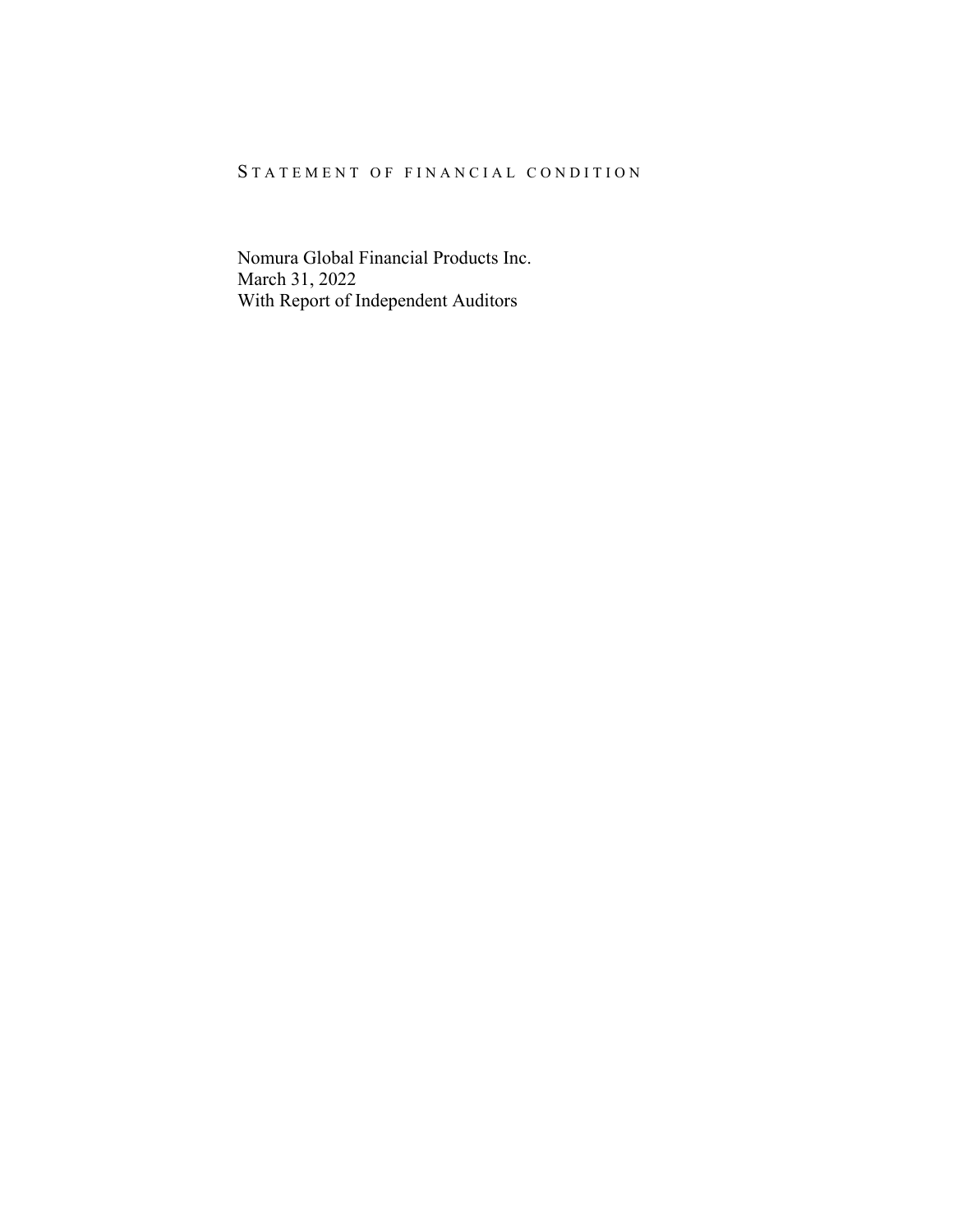### S TATEMENT OF FINANCIAL CONDITION

Nomura Global Financial Products Inc. March 31, 2022 With Report of Independent Auditors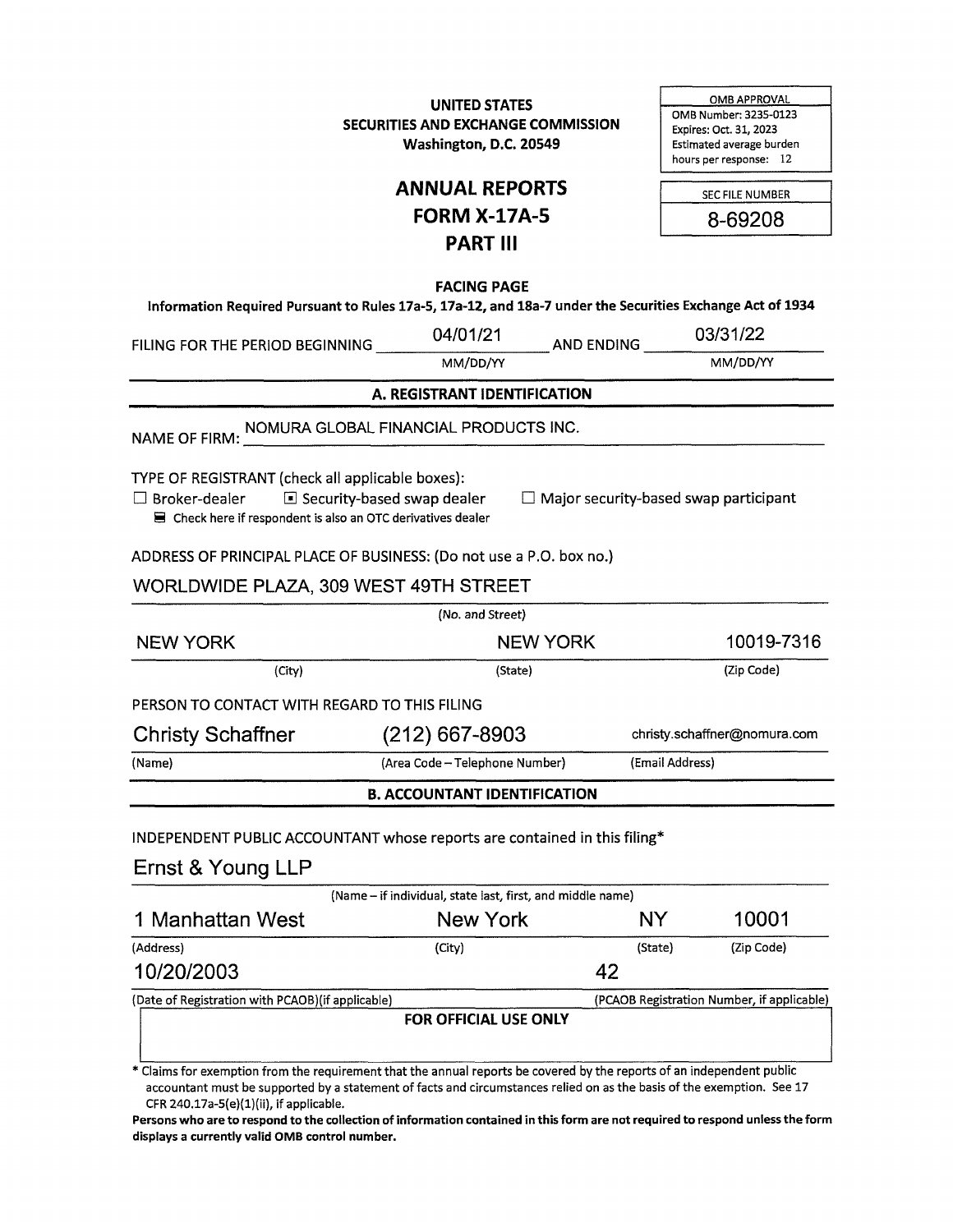**UNITED STATES SECURITIES AND EXCHANGE COMMISSION Washington, D.C. 20549**

OMB APPROVAL OMB Number: 3235-0123 Expires: Oct. 31,2023 Estimated average burden hours per response: 12

# **ANNUAL REPORTS FORM X-17A-5 PART III**

| <b>SEC FILE NUMBER</b> |  |
|------------------------|--|
| 8-69208                |  |

**FACING PAGE**

**Information Required Pursuant to Rules 17a-5,17a-12, and 18a-7 under the Securities Exchange Act of 1934**

| Information Required Pursuant to Rules 17a-5, 17a-12, and 18a-7 under the Securities Exchange Act of 1934                                   |                                                            |                                              |                 |                                            |  |  |  |
|---------------------------------------------------------------------------------------------------------------------------------------------|------------------------------------------------------------|----------------------------------------------|-----------------|--------------------------------------------|--|--|--|
| FILING FOR THE PERIOD BEGINNING                                                                                                             | 04/01/21                                                   | AND ENDING                                   | 03/31/22        |                                            |  |  |  |
|                                                                                                                                             | MM/DD/YY                                                   |                                              |                 | MM/DD/YY                                   |  |  |  |
|                                                                                                                                             | A. REGISTRANT IDENTIFICATION                               |                                              |                 |                                            |  |  |  |
| NAME OF FIRM: NOMURA GLOBAL FINANCIAL PRODUCTS INC.                                                                                         |                                                            |                                              |                 |                                            |  |  |  |
| TYPE OF REGISTRANT (check all applicable boxes):<br>Broker-dealer<br>$\sqcup$<br>Check here if respondent is also an OTC derivatives dealer | $\Box$ Security-based swap dealer                          | $\Box$ Major security-based swap participant |                 |                                            |  |  |  |
| ADDRESS OF PRINCIPAL PLACE OF BUSINESS: (Do not use a P.O. box no.)                                                                         |                                                            |                                              |                 |                                            |  |  |  |
| WORLDWIDE PLAZA, 309 WEST 49TH STREET                                                                                                       |                                                            |                                              |                 |                                            |  |  |  |
|                                                                                                                                             | (No. and Street)                                           |                                              |                 |                                            |  |  |  |
| <b>NEW YORK</b>                                                                                                                             | 10019-7316                                                 |                                              |                 |                                            |  |  |  |
| (Zip Code)<br>(City)<br>(State)                                                                                                             |                                                            |                                              |                 |                                            |  |  |  |
| PERSON TO CONTACT WITH REGARD TO THIS FILING                                                                                                |                                                            |                                              |                 |                                            |  |  |  |
| <b>Christy Schaffner</b>                                                                                                                    | $(212)$ 667-8903                                           |                                              |                 | christy.schaffner@nomura.com               |  |  |  |
| (Name)                                                                                                                                      | (Area Code - Telephone Number)                             |                                              | (Email Address) |                                            |  |  |  |
|                                                                                                                                             | <b>B. ACCOUNTANT IDENTIFICATION</b>                        |                                              |                 |                                            |  |  |  |
| INDEPENDENT PUBLIC ACCOUNTANT whose reports are contained in this filing*<br>Ernst & Young LLP                                              |                                                            |                                              |                 |                                            |  |  |  |
|                                                                                                                                             | (Name - if individual, state last, first, and middle name) |                                              |                 |                                            |  |  |  |
| 1 Manhattan West                                                                                                                            | New York                                                   |                                              | NY.             | 10001                                      |  |  |  |
| (Address)                                                                                                                                   | (City)                                                     |                                              | (State)         | (Zip Code)                                 |  |  |  |
| 10/20/2003                                                                                                                                  |                                                            | 42                                           |                 |                                            |  |  |  |
| (Date of Registration with PCAOB) (if applicable)                                                                                           |                                                            |                                              |                 | (PCAOB Registration Number, if applicable) |  |  |  |
|                                                                                                                                             | <b>FOR OFFICIAL USE ONLY</b>                               |                                              |                 |                                            |  |  |  |

\* Claims for exemption from the requirement that the annual reports be covered by the reports of an independent public accountant must be supported by <sup>a</sup> statement of facts and circumstances relied on as the basis of the exemption. See 17 CFR 240.17a-5(e) $(1)(ii)$ , if applicable.

Persons who are to respond to the collection of information contained in this form are not required to respond unless the form **displays a currently valid OMB control number.**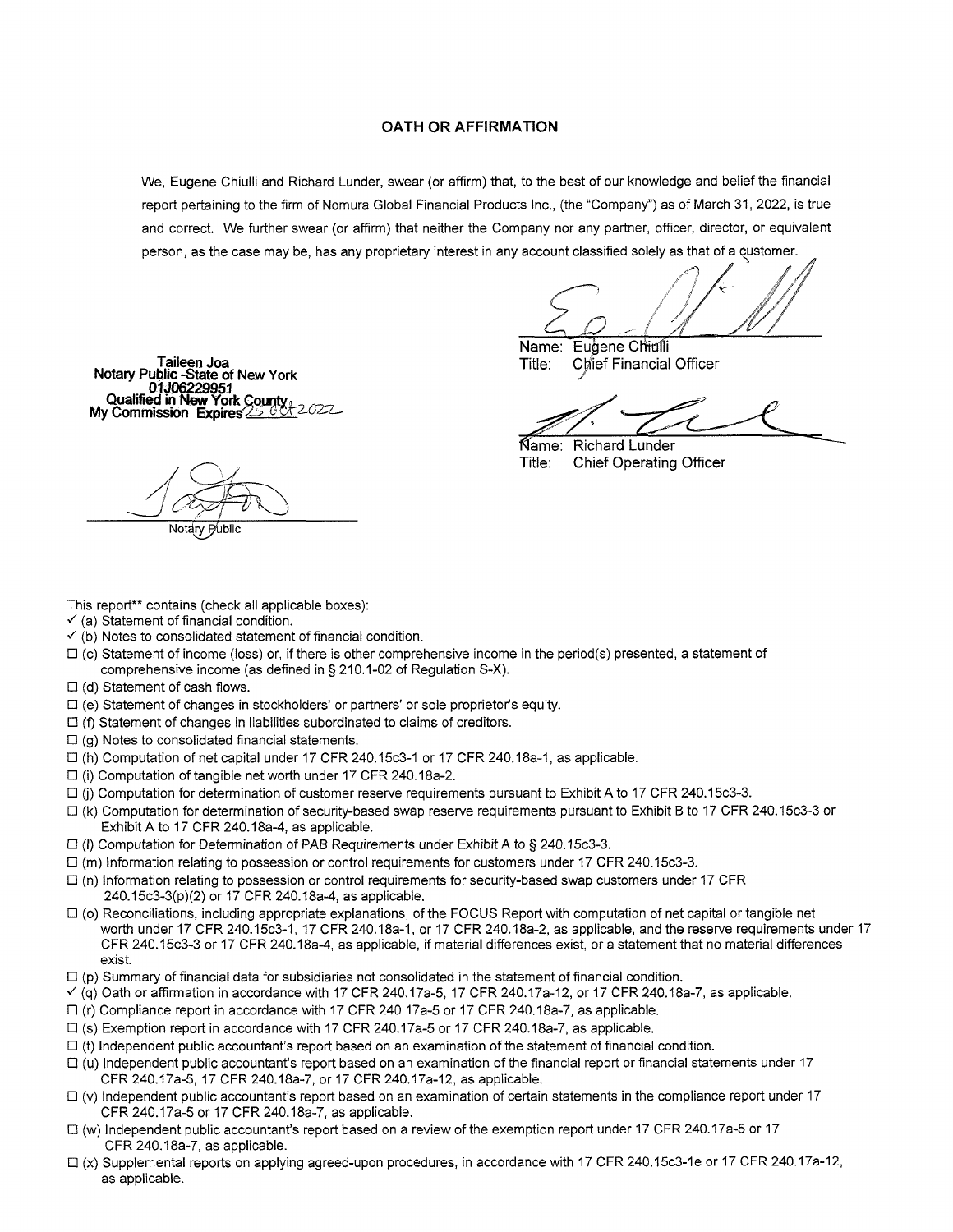#### **OATH OR AFFIRMATION**

We, Eugene Chiulli and Richard Lunder, swear (or affirm) that, to the best of our knowledge and belief the financial report pertaining to the firm of Nomura Global Financial Products Inc., (the "Company") as of March 31, 2022, is true and correct. We further swear (or affirm) that neither the Company nor any partner, officer, director, or equivalent person, as the case may be, has any proprietary interest in any account classified solely as that of a customer.

 $\frac{1}{2}$ 

**TaiJeen Joa Notary Public -State of New York 01JQ6229951 Qualified in New York County My Commission Expires^**

Notary Public

**Name: Eugene CHtalli Title: Chief Financial Officer**

**flame: Richard Lunder Title: Chief Operating Officer**

This report\*\* contains (check all applicable boxes):

- $\checkmark$  (a) Statement of financial condition.
- $\checkmark$  (b) Notes to consolidated statement of financial condition.
- $\Box$  (c) Statement of income (loss) or, if there is other comprehensive income in the period(s) presented, a statement of comprehensive income (as defined in § 210.1-02 of Regulation S-X).
- $\Box$  (d) Statement of cash flows.
- $\Box$  (e) Statement of changes in stockholders' or partners' or sole proprietor's equity.
- $\Box$  (f) Statement of changes in liabilities subordinated to claims of creditors.
- $\Box$  (g) Notes to consolidated financial statements.
- (h) Computation of net capital under 17 CFR 240.15c3-1 or 17 CFR 240.18a-1, as applicable.
- (i) Computation of tangible net worth under 17 CFR 240.18a-2.
- $\Box$  (i) Computation for determination of customer reserve requirements pursuant to Exhibit A to 17 CFR 240.15c3-3.
- (k) Computation for determination of security-based swap reserve requirements pursuant to Exhibit B to 17 CFR 240.15c3-3 or Exhibit A to 17 CFR 240.18a-4, as applicable.
- (I) Computation for Determination of PAB Requirements under Exhibit A to § 240.15c3-3.
- (m) Information relating to possession or control requirements for customers under 17 CFR 240.15c3-3.
- $\Box$  (n) Information relating to possession or control requirements for security-based swap customers under 17 CFR 240.15c3-3(p)(2) or 17 CFR 240.18a-4, as applicable.
- $\Box$  (o) Reconciliations, including appropriate explanations, of the FOCUS Report with computation of net capital or tangible net worth under 17 CFR 240.15c3-1,17 CFR 240.18a-1, or 17 CFR 240.18a-2, as applicable, and the reserve requirements under 17 CFR 240.15c3-3 or 17 CFR 240.18a-4, as applicable, if material differences exist, or a statement that no material differences exist.
- $\Box$  (p) Summary of financial data for subsidiaries not consolidated in the statement of financial condition.
- $\check{q}$  (q) Oath or affirmation in accordance with 17 CFR 240.17a-5, 17 CFR 240.17a-12, or 17 CFR 240.18a-7, as applicable.
- $\Box$  (r) Compliance report in accordance with 17 CFR 240.17a-5 or 17 CFR 240.18a-7, as applicable.
- $\Box$  (s) Exemption report in accordance with 17 CFR 240.17a-5 or 17 CFR 240.18a-7, as applicable.
- $\Box$  (t) Independent public accountant's report based on an examination of the statement of financial condition.
- $\Box$  (u) Independent public accountant's report based on an examination of the financial report or financial statements under 17 CFR 240.17a-5, 17 CFR 240.18a-7, or 17 CFR 240.17a-12, as applicable.
- $\Box$  (v) Independent public accountant's report based on an examination of certain statements in the compliance report under 17 CFR 240.17a-5 or 17 CFR 240,18a-7, as applicable.
- $\Box$  (w) Independent public accountant's report based on a review of the exemption report under 17 CFR 240.17a-5 or 17 CFR 240.18a-7, as applicable.
- (x) Supplemental reports on applying agreed-upon procedures, in accordance with 17 CFR 240.15c3-1e or 17 CFR 240.17a-12, as applicable.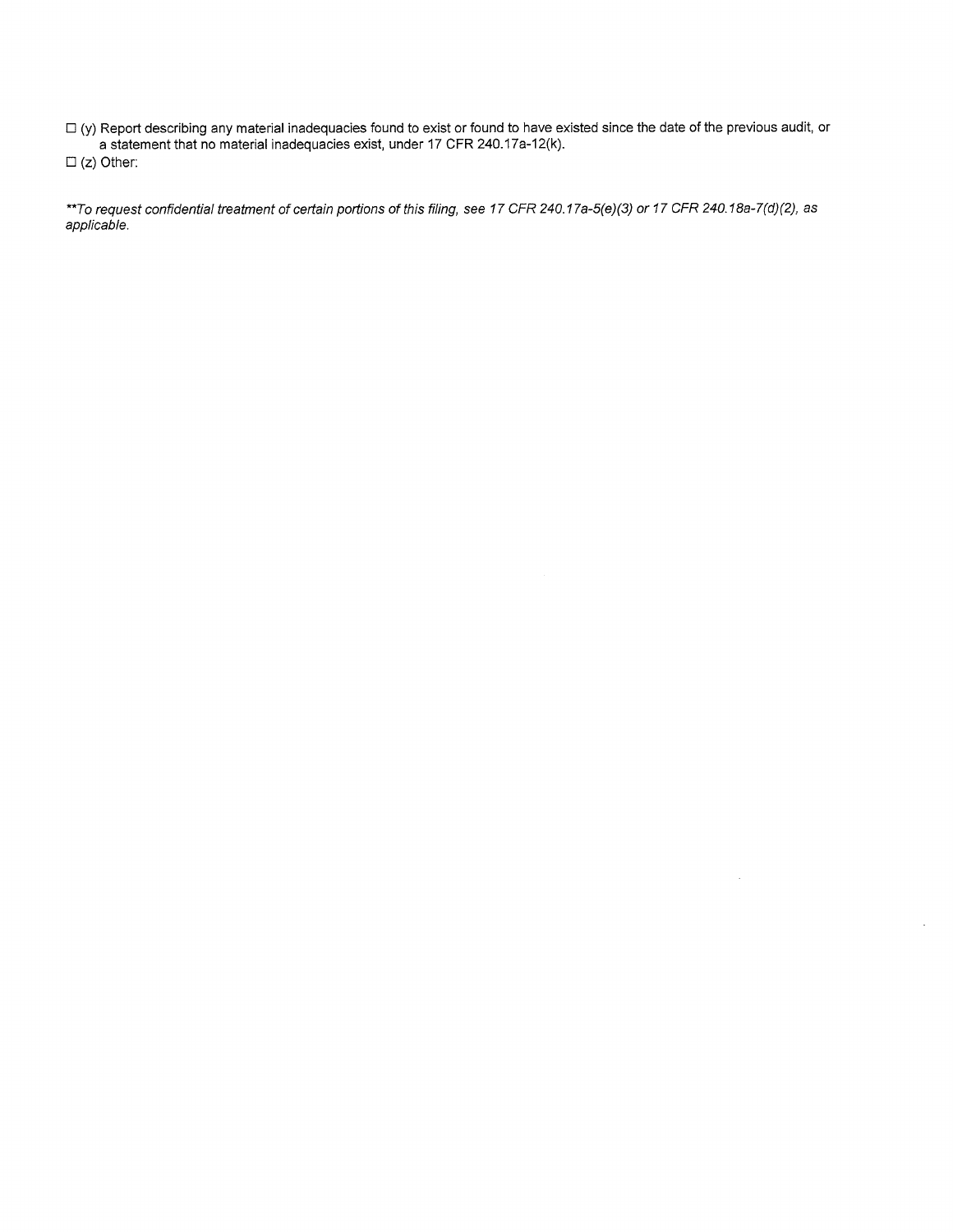(y) Report describing any material inadequacies found to exist or found to have existed since the date of the previous audit, or a statement that no material inadequacies exist, under 17 CFR 240.17a-12(k).

 $\Box$  (z) Other:

\*\* To request confidential treatment of certain portions of this filing, see 17 CFR 240.17a-5(e)(3) or 17 CFR 240.18a-7(d)(2), as *applicable.*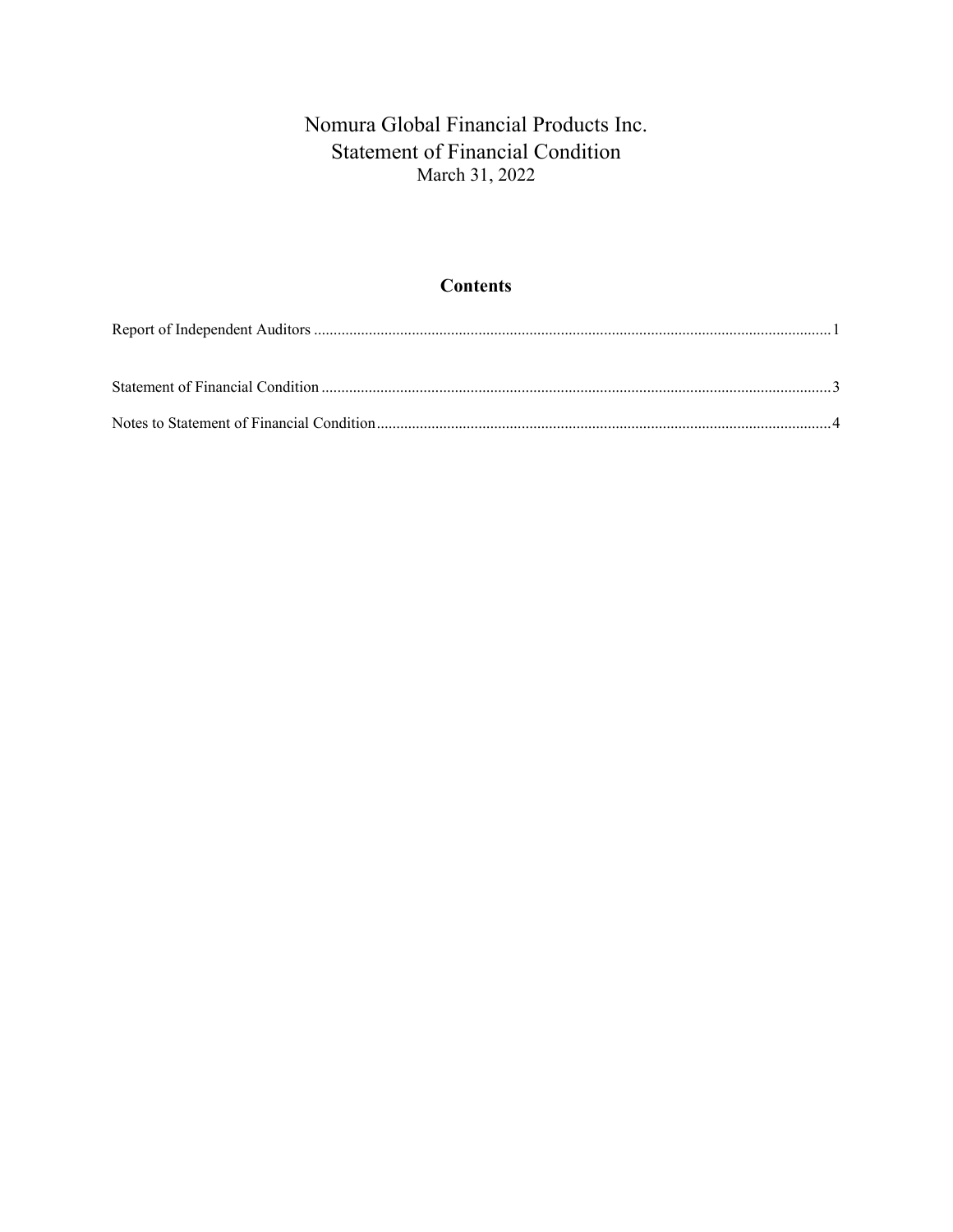Nomura Global Financial Products Inc. Statement of Financial Condition March 31, 2022

### **Contents**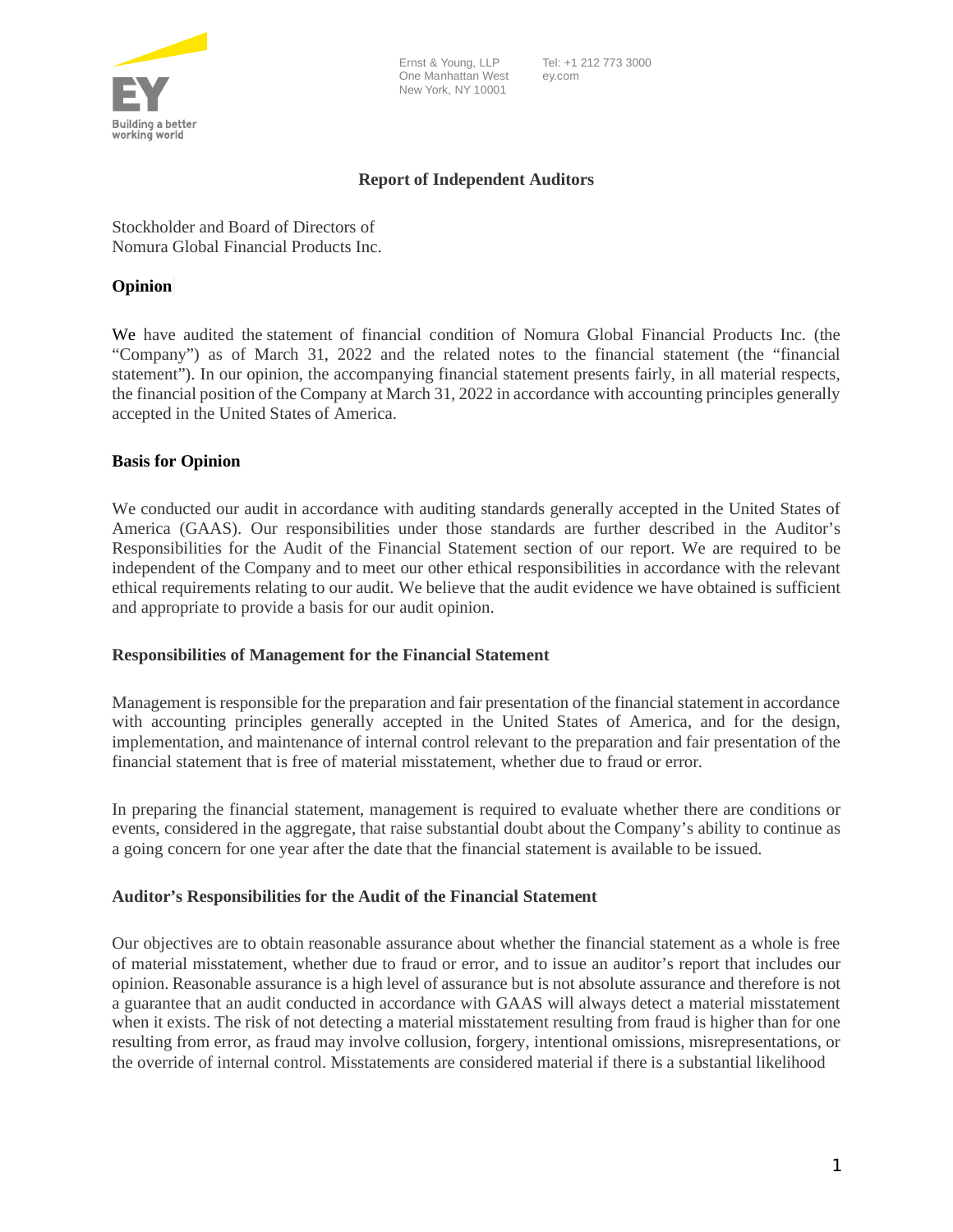

Ernst & Young, LLP One Manhattan West New York, NY 10001

 Tel: +1 212 773 3000 ey.com

#### **Report of Independent Auditors**

Stockholder and Board of Directors of Nomura Global Financial Products Inc.

#### **Opinion**

We have audited the statement of financial condition of Nomura Global Financial Products Inc. (the "Company") as of March 31, 2022 and the related notes to the financial statement (the "financial statement"). In our opinion, the accompanying financial statement presents fairly, in all material respects, the financial position of the Company at March 31, 2022 in accordance with accounting principles generally accepted in the United States of America.

#### **Basis for Opinion**

We conducted our audit in accordance with auditing standards generally accepted in the United States of America (GAAS). Our responsibilities under those standards are further described in the Auditor's Responsibilities for the Audit of the Financial Statement section of our report. We are required to be independent of the Company and to meet our other ethical responsibilities in accordance with the relevant ethical requirements relating to our audit. We believe that the audit evidence we have obtained is sufficient and appropriate to provide a basis for our audit opinion.

#### **Responsibilities of Management for the Financial Statement**

Management is responsible for the preparation and fair presentation of the financial statement in accordance with accounting principles generally accepted in the United States of America, and for the design, implementation, and maintenance of internal control relevant to the preparation and fair presentation of the financial statement that is free of material misstatement, whether due to fraud or error.

In preparing the financial statement, management is required to evaluate whether there are conditions or events, considered in the aggregate, that raise substantial doubt about the Company's ability to continue as a going concern for one year after the date that the financial statement is available to be issued.

#### **Auditor's Responsibilities for the Audit of the Financial Statement**

Our objectives are to obtain reasonable assurance about whether the financial statement as a whole is free of material misstatement, whether due to fraud or error, and to issue an auditor's report that includes our opinion. Reasonable assurance is a high level of assurance but is not absolute assurance and therefore is not a guarantee that an audit conducted in accordance with GAAS will always detect a material misstatement when it exists. The risk of not detecting a material misstatement resulting from fraud is higher than for one resulting from error, as fraud may involve collusion, forgery, intentional omissions, misrepresentations, or the override of internal control. Misstatements are considered material if there is a substantial likelihood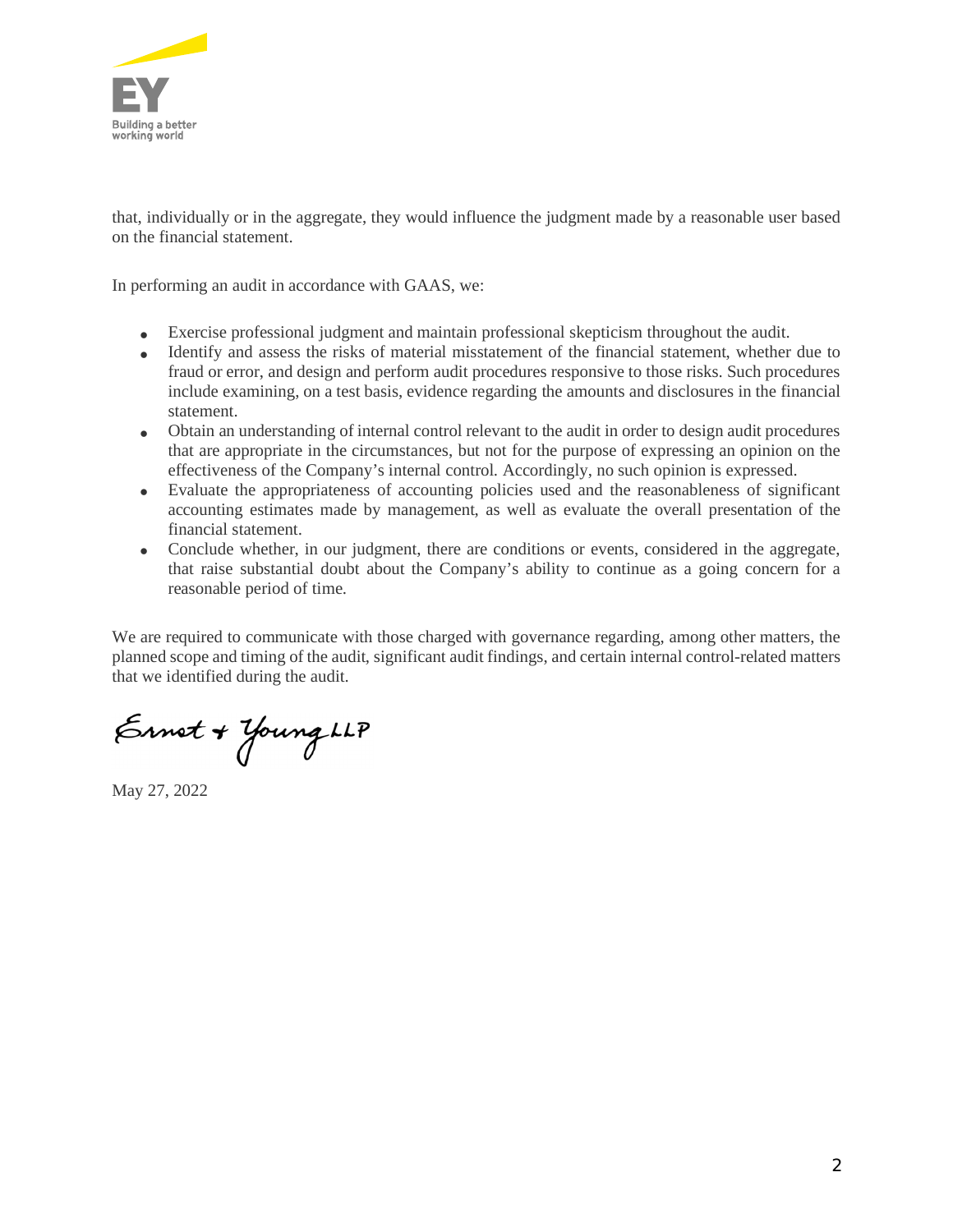

that, individually or in the aggregate, they would influence the judgment made by a reasonable user based on the financial statement.

In performing an audit in accordance with GAAS, we:

- Exercise professional judgment and maintain professional skepticism throughout the audit.
- Identify and assess the risks of material misstatement of the financial statement, whether due to fraud or error, and design and perform audit procedures responsive to those risks. Such procedures include examining, on a test basis, evidence regarding the amounts and disclosures in the financial statement.
- Obtain an understanding of internal control relevant to the audit in order to design audit procedures that are appropriate in the circumstances, but not for the purpose of expressing an opinion on the effectiveness of the Company's internal control. Accordingly, no such opinion is expressed.
- Evaluate the appropriateness of accounting policies used and the reasonableness of significant accounting estimates made by management, as well as evaluate the overall presentation of the financial statement.
- Conclude whether, in our judgment, there are conditions or events, considered in the aggregate, that raise substantial doubt about the Company's ability to continue as a going concern for a reasonable period of time.

We are required to communicate with those charged with governance regarding, among other matters, the planned scope and timing of the audit, significant audit findings, and certain internal control-related matters that we identified during the audit.

Ernet + Young LLP

May 27, 2022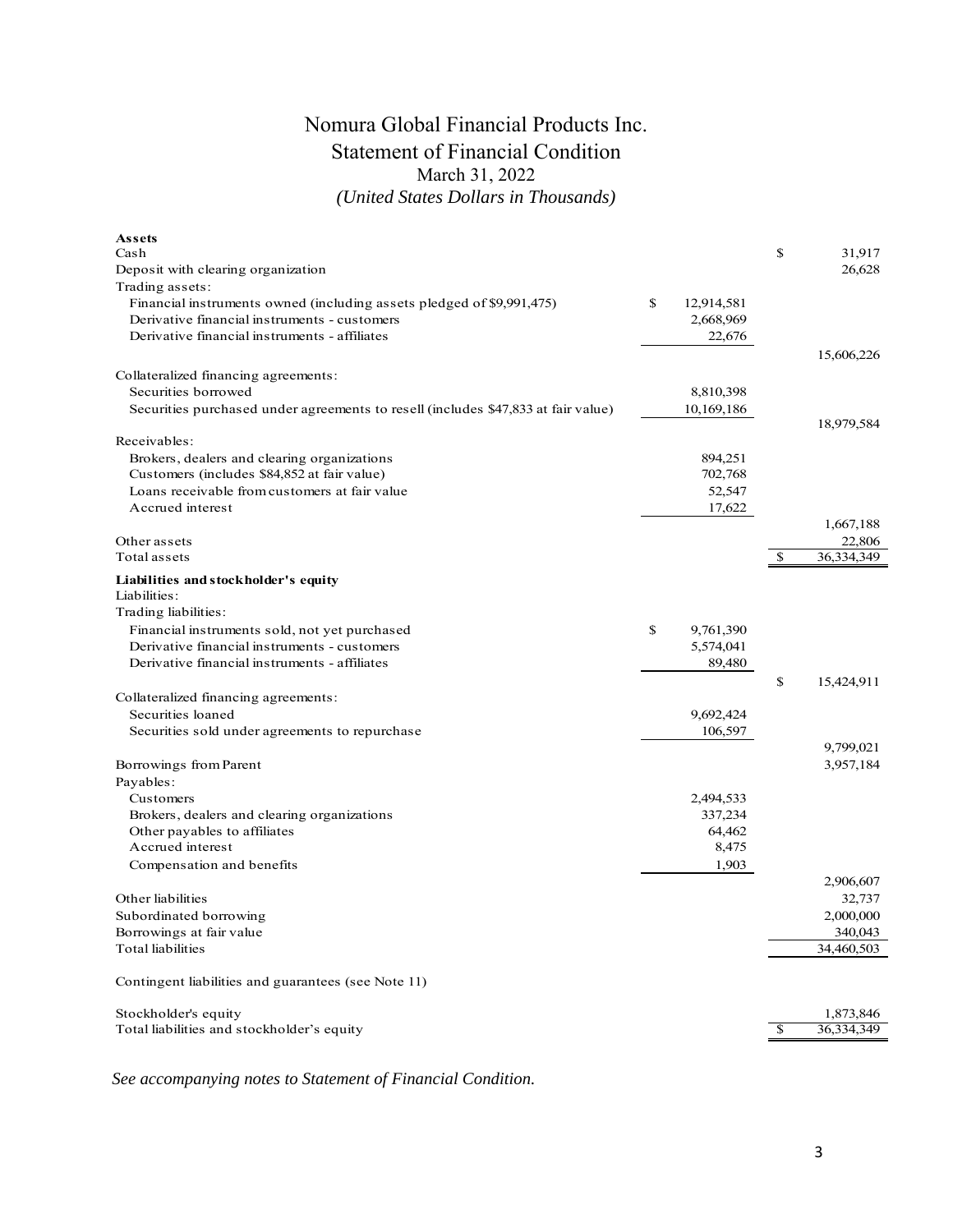## Nomura Global Financial Products Inc. Statement of Financial Condition March 31, 2022 *(United States Dollars in Thousands)*

| Assets                                                                            |                      |            |                  |
|-----------------------------------------------------------------------------------|----------------------|------------|------------------|
| Cash                                                                              |                      | \$         | 31,917<br>26,628 |
| Deposit with clearing organization<br>Trading assets:                             |                      |            |                  |
| Financial instruments owned (including assets pledged of \$9,991,475)             | \$<br>12,914,581     |            |                  |
| Derivative financial instruments - customers                                      | 2,668,969            |            |                  |
| Derivative financial instruments - affiliates                                     | 22,676               |            |                  |
|                                                                                   |                      |            | 15,606,226       |
| Collateralized financing agreements:                                              |                      |            |                  |
| Securities borrowed                                                               | 8,810,398            |            |                  |
| Securities purchased under agreements to resell (includes \$47,833 at fair value) | 10, 169, 186         |            |                  |
|                                                                                   |                      |            | 18,979,584       |
| Receivables:                                                                      |                      |            |                  |
| Brokers, dealers and clearing organizations                                       | 894,251              |            |                  |
| Customers (includes \$84,852 at fair value)                                       | 702,768              |            |                  |
| Loans receivable from customers at fair value                                     | 52,547               |            |                  |
| Accrued interest                                                                  | 17,622               |            |                  |
|                                                                                   |                      |            | 1,667,188        |
| Other assets                                                                      |                      |            | 22,806           |
| Total assets                                                                      |                      | \$         | 36,334,349       |
| Liabilities and stockholder's equity                                              |                      |            |                  |
| Liabilities:                                                                      |                      |            |                  |
| Trading liabilities:                                                              |                      |            |                  |
| Financial instruments sold, not yet purchased                                     | \$<br>9,761,390      |            |                  |
| Derivative financial instruments - customers                                      | 5,574,041            |            |                  |
| Derivative financial instruments - affiliates                                     | 89,480               |            |                  |
|                                                                                   |                      | \$         | 15,424,911       |
| Collateralized financing agreements:<br>Securities loaned                         |                      |            |                  |
| Securities sold under agreements to repurchase                                    | 9,692,424<br>106,597 |            |                  |
|                                                                                   |                      |            | 9,799,021        |
| Borrowings from Parent                                                            |                      |            | 3,957,184        |
| Payables:                                                                         |                      |            |                  |
| Customers                                                                         | 2,494,533            |            |                  |
| Brokers, dealers and clearing organizations                                       | 337,234              |            |                  |
| Other payables to affiliates                                                      | 64,462               |            |                  |
| Accrued interest                                                                  | 8,475                |            |                  |
| Compensation and benefits                                                         | 1,903                |            |                  |
|                                                                                   |                      |            | 2,906,607        |
| Other liabilities                                                                 |                      |            | 32,737           |
| Subordinated borrowing                                                            |                      |            | 2,000,000        |
| Borrowings at fair value                                                          |                      |            | 340,043          |
| <b>Total</b> liabilities                                                          |                      |            | 34,460,503       |
| Contingent liabilities and guarantees (see Note 11)                               |                      |            |                  |
| Stockholder's equity                                                              |                      |            | 1,873,846        |
| Total liabilities and stockholder's equity                                        |                      | $\sqrt{3}$ | 36,334,349       |
|                                                                                   |                      |            |                  |

*See accompanying notes to Statement of Financial Condition.*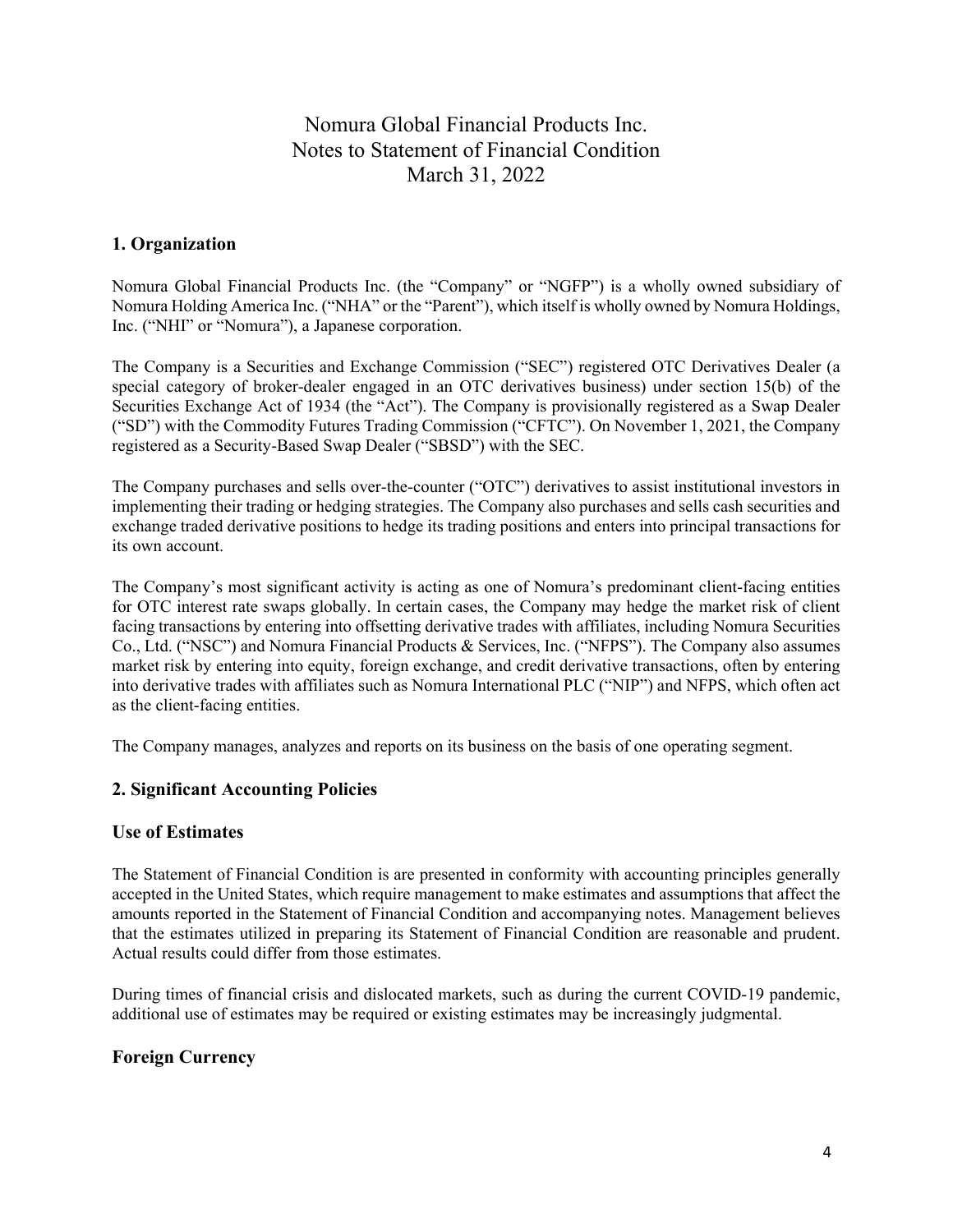## Nomura Global Financial Products Inc. Notes to Statement of Financial Condition March 31, 2022

### **1. Organization**

Nomura Global Financial Products Inc. (the "Company" or "NGFP") is a wholly owned subsidiary of Nomura Holding America Inc. ("NHA" or the "Parent"), which itself is wholly owned by Nomura Holdings, Inc. ("NHI" or "Nomura"), a Japanese corporation.

The Company is a Securities and Exchange Commission ("SEC") registered OTC Derivatives Dealer (a special category of broker-dealer engaged in an OTC derivatives business) under section 15(b) of the Securities Exchange Act of 1934 (the "Act"). The Company is provisionally registered as a Swap Dealer ("SD") with the Commodity Futures Trading Commission ("CFTC"). On November 1, 2021, the Company registered as a Security-Based Swap Dealer ("SBSD") with the SEC.

The Company purchases and sells over-the-counter ("OTC") derivatives to assist institutional investors in implementing their trading or hedging strategies. The Company also purchases and sells cash securities and exchange traded derivative positions to hedge its trading positions and enters into principal transactions for its own account.

The Company's most significant activity is acting as one of Nomura's predominant client-facing entities for OTC interest rate swaps globally. In certain cases, the Company may hedge the market risk of client facing transactions by entering into offsetting derivative trades with affiliates, including Nomura Securities Co., Ltd. ("NSC") and Nomura Financial Products & Services, Inc. ("NFPS"). The Company also assumes market risk by entering into equity, foreign exchange, and credit derivative transactions, often by entering into derivative trades with affiliates such as Nomura International PLC ("NIP") and NFPS, which often act as the client-facing entities.

The Company manages, analyzes and reports on its business on the basis of one operating segment.

#### **2. Significant Accounting Policies**

#### **Use of Estimates**

The Statement of Financial Condition is are presented in conformity with accounting principles generally accepted in the United States, which require management to make estimates and assumptions that affect the amounts reported in the Statement of Financial Condition and accompanying notes. Management believes that the estimates utilized in preparing its Statement of Financial Condition are reasonable and prudent. Actual results could differ from those estimates.

During times of financial crisis and dislocated markets, such as during the current COVID-19 pandemic, additional use of estimates may be required or existing estimates may be increasingly judgmental.

#### **Foreign Currency**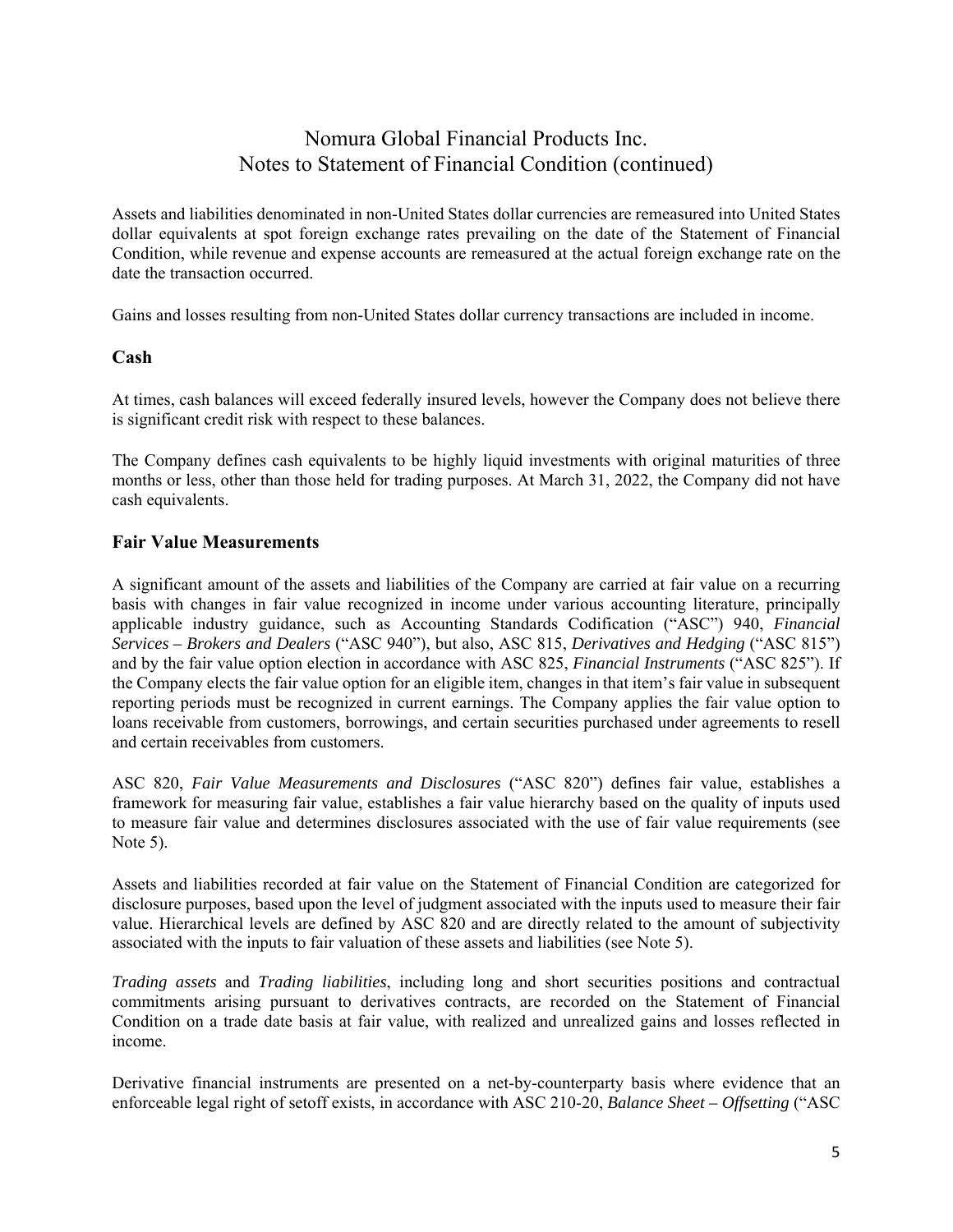Assets and liabilities denominated in non-United States dollar currencies are remeasured into United States dollar equivalents at spot foreign exchange rates prevailing on the date of the Statement of Financial Condition, while revenue and expense accounts are remeasured at the actual foreign exchange rate on the date the transaction occurred.

Gains and losses resulting from non-United States dollar currency transactions are included in income.

#### **Cash**

At times, cash balances will exceed federally insured levels, however the Company does not believe there is significant credit risk with respect to these balances.

The Company defines cash equivalents to be highly liquid investments with original maturities of three months or less, other than those held for trading purposes. At March 31, 2022, the Company did not have cash equivalents.

#### **Fair Value Measurements**

A significant amount of the assets and liabilities of the Company are carried at fair value on a recurring basis with changes in fair value recognized in income under various accounting literature, principally applicable industry guidance, such as Accounting Standards Codification ("ASC") 940, *Financial Services – Brokers and Dealers* ("ASC 940"), but also, ASC 815, *Derivatives and Hedging* ("ASC 815") and by the fair value option election in accordance with ASC 825, *Financial Instruments* ("ASC 825"). If the Company elects the fair value option for an eligible item, changes in that item's fair value in subsequent reporting periods must be recognized in current earnings. The Company applies the fair value option to loans receivable from customers, borrowings, and certain securities purchased under agreements to resell and certain receivables from customers.

ASC 820, *Fair Value Measurements and Disclosures* ("ASC 820") defines fair value, establishes a framework for measuring fair value, establishes a fair value hierarchy based on the quality of inputs used to measure fair value and determines disclosures associated with the use of fair value requirements (see Note 5).

Assets and liabilities recorded at fair value on the Statement of Financial Condition are categorized for disclosure purposes, based upon the level of judgment associated with the inputs used to measure their fair value. Hierarchical levels are defined by ASC 820 and are directly related to the amount of subjectivity associated with the inputs to fair valuation of these assets and liabilities (see Note 5).

*Trading assets* and *Trading liabilities*, including long and short securities positions and contractual commitments arising pursuant to derivatives contracts, are recorded on the Statement of Financial Condition on a trade date basis at fair value, with realized and unrealized gains and losses reflected in income.

Derivative financial instruments are presented on a net-by-counterparty basis where evidence that an enforceable legal right of setoff exists, in accordance with ASC 210-20, *Balance Sheet – Offsetting* ("ASC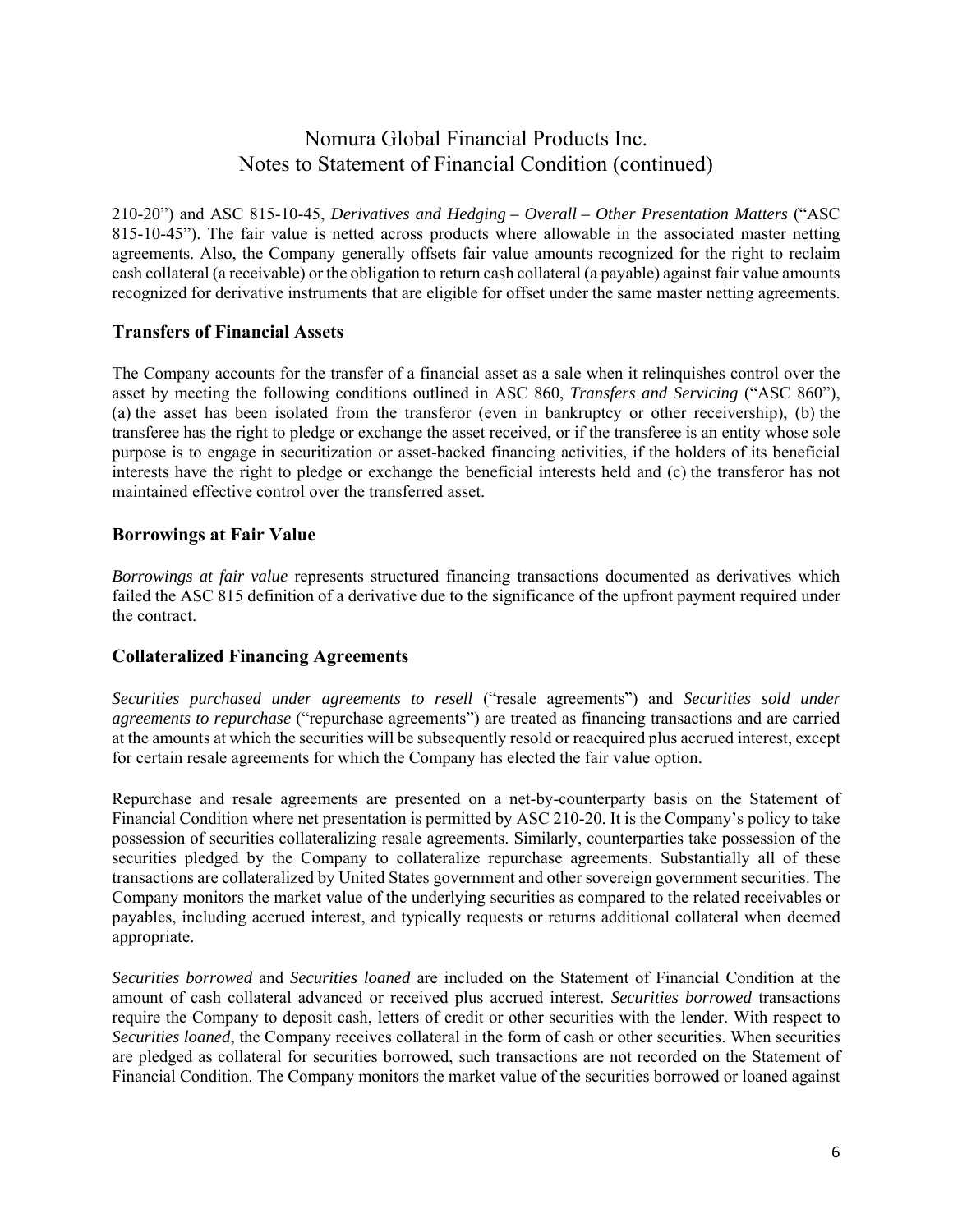210-20") and ASC 815-10-45, *Derivatives and Hedging – Overall – Other Presentation Matters* ("ASC 815-10-45"). The fair value is netted across products where allowable in the associated master netting agreements. Also, the Company generally offsets fair value amounts recognized for the right to reclaim cash collateral (a receivable) or the obligation to return cash collateral (a payable) against fair value amounts recognized for derivative instruments that are eligible for offset under the same master netting agreements.

### **Transfers of Financial Assets**

The Company accounts for the transfer of a financial asset as a sale when it relinquishes control over the asset by meeting the following conditions outlined in ASC 860, *Transfers and Servicing* ("ASC 860"), (a) the asset has been isolated from the transferor (even in bankruptcy or other receivership), (b) the transferee has the right to pledge or exchange the asset received, or if the transferee is an entity whose sole purpose is to engage in securitization or asset-backed financing activities, if the holders of its beneficial interests have the right to pledge or exchange the beneficial interests held and (c) the transferor has not maintained effective control over the transferred asset.

### **Borrowings at Fair Value**

*Borrowings at fair value* represents structured financing transactions documented as derivatives which failed the ASC 815 definition of a derivative due to the significance of the upfront payment required under the contract.

#### **Collateralized Financing Agreements**

*Securities purchased under agreements to resell* ("resale agreements") and *Securities sold under agreements to repurchase* ("repurchase agreements") are treated as financing transactions and are carried at the amounts at which the securities will be subsequently resold or reacquired plus accrued interest, except for certain resale agreements for which the Company has elected the fair value option.

Repurchase and resale agreements are presented on a net-by-counterparty basis on the Statement of Financial Condition where net presentation is permitted by ASC 210-20. It is the Company's policy to take possession of securities collateralizing resale agreements. Similarly, counterparties take possession of the securities pledged by the Company to collateralize repurchase agreements. Substantially all of these transactions are collateralized by United States government and other sovereign government securities. The Company monitors the market value of the underlying securities as compared to the related receivables or payables, including accrued interest, and typically requests or returns additional collateral when deemed appropriate.

*Securities borrowed* and *Securities loaned* are included on the Statement of Financial Condition at the amount of cash collateral advanced or received plus accrued interest*. Securities borrowed* transactions require the Company to deposit cash, letters of credit or other securities with the lender. With respect to *Securities loaned*, the Company receives collateral in the form of cash or other securities. When securities are pledged as collateral for securities borrowed, such transactions are not recorded on the Statement of Financial Condition. The Company monitors the market value of the securities borrowed or loaned against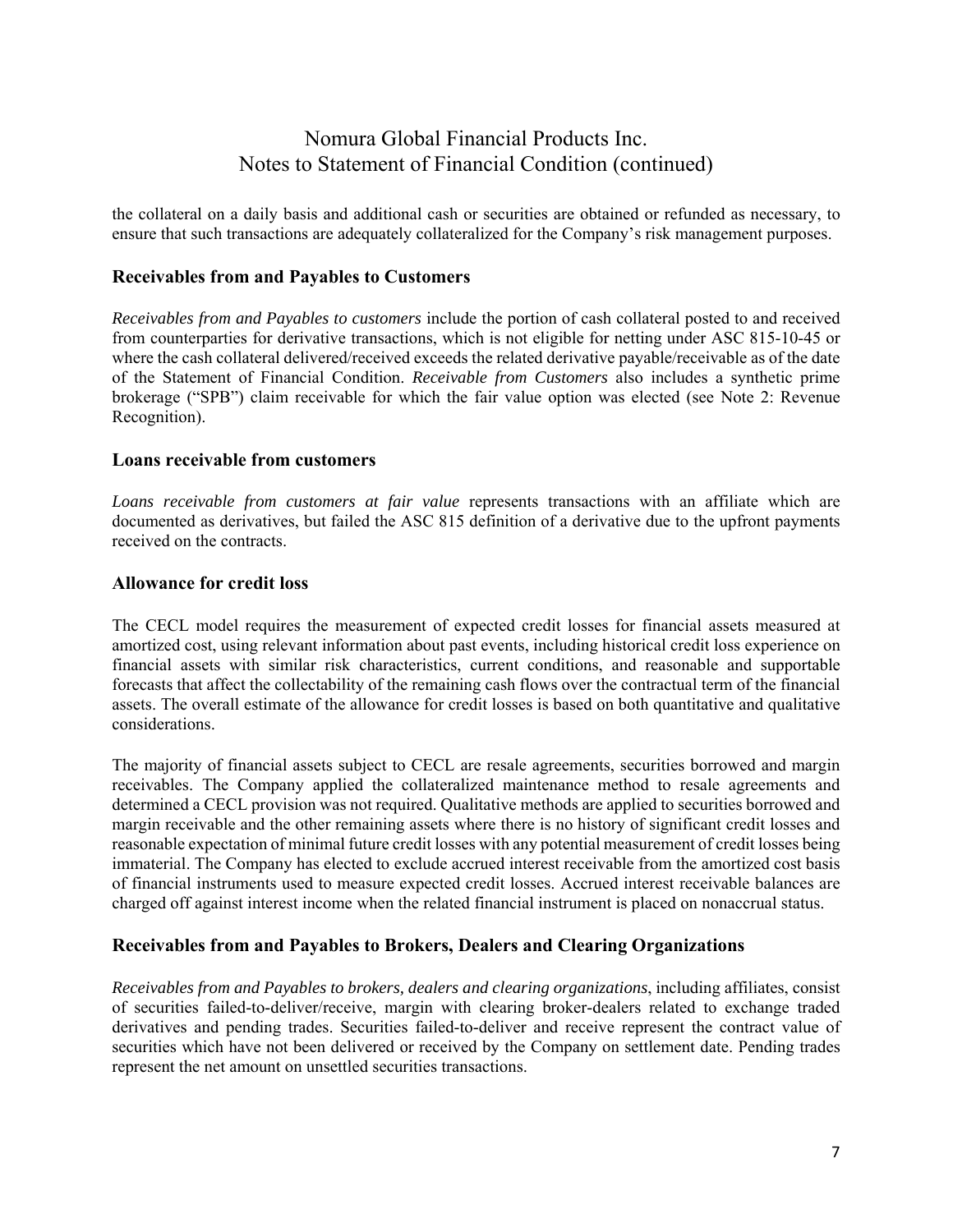the collateral on a daily basis and additional cash or securities are obtained or refunded as necessary, to ensure that such transactions are adequately collateralized for the Company's risk management purposes.

#### **Receivables from and Payables to Customers**

*Receivables from and Payables to customers* include the portion of cash collateral posted to and received from counterparties for derivative transactions, which is not eligible for netting under ASC 815-10-45 or where the cash collateral delivered/received exceeds the related derivative payable/receivable as of the date of the Statement of Financial Condition. *Receivable from Customers* also includes a synthetic prime brokerage ("SPB") claim receivable for which the fair value option was elected (see Note 2: Revenue Recognition).

#### **Loans receivable from customers**

*Loans receivable from customers at fair value* represents transactions with an affiliate which are documented as derivatives, but failed the ASC 815 definition of a derivative due to the upfront payments received on the contracts.

#### **Allowance for credit loss**

The CECL model requires the measurement of expected credit losses for financial assets measured at amortized cost, using relevant information about past events, including historical credit loss experience on financial assets with similar risk characteristics, current conditions, and reasonable and supportable forecasts that affect the collectability of the remaining cash flows over the contractual term of the financial assets. The overall estimate of the allowance for credit losses is based on both quantitative and qualitative considerations.

The majority of financial assets subject to CECL are resale agreements, securities borrowed and margin receivables. The Company applied the collateralized maintenance method to resale agreements and determined a CECL provision was not required. Qualitative methods are applied to securities borrowed and margin receivable and the other remaining assets where there is no history of significant credit losses and reasonable expectation of minimal future credit losses with any potential measurement of credit losses being immaterial. The Company has elected to exclude accrued interest receivable from the amortized cost basis of financial instruments used to measure expected credit losses. Accrued interest receivable balances are charged off against interest income when the related financial instrument is placed on nonaccrual status.

#### **Receivables from and Payables to Brokers, Dealers and Clearing Organizations**

*Receivables from and Payables to brokers, dealers and clearing organizations*, including affiliates, consist of securities failed-to-deliver/receive, margin with clearing broker-dealers related to exchange traded derivatives and pending trades. Securities failed-to-deliver and receive represent the contract value of securities which have not been delivered or received by the Company on settlement date. Pending trades represent the net amount on unsettled securities transactions.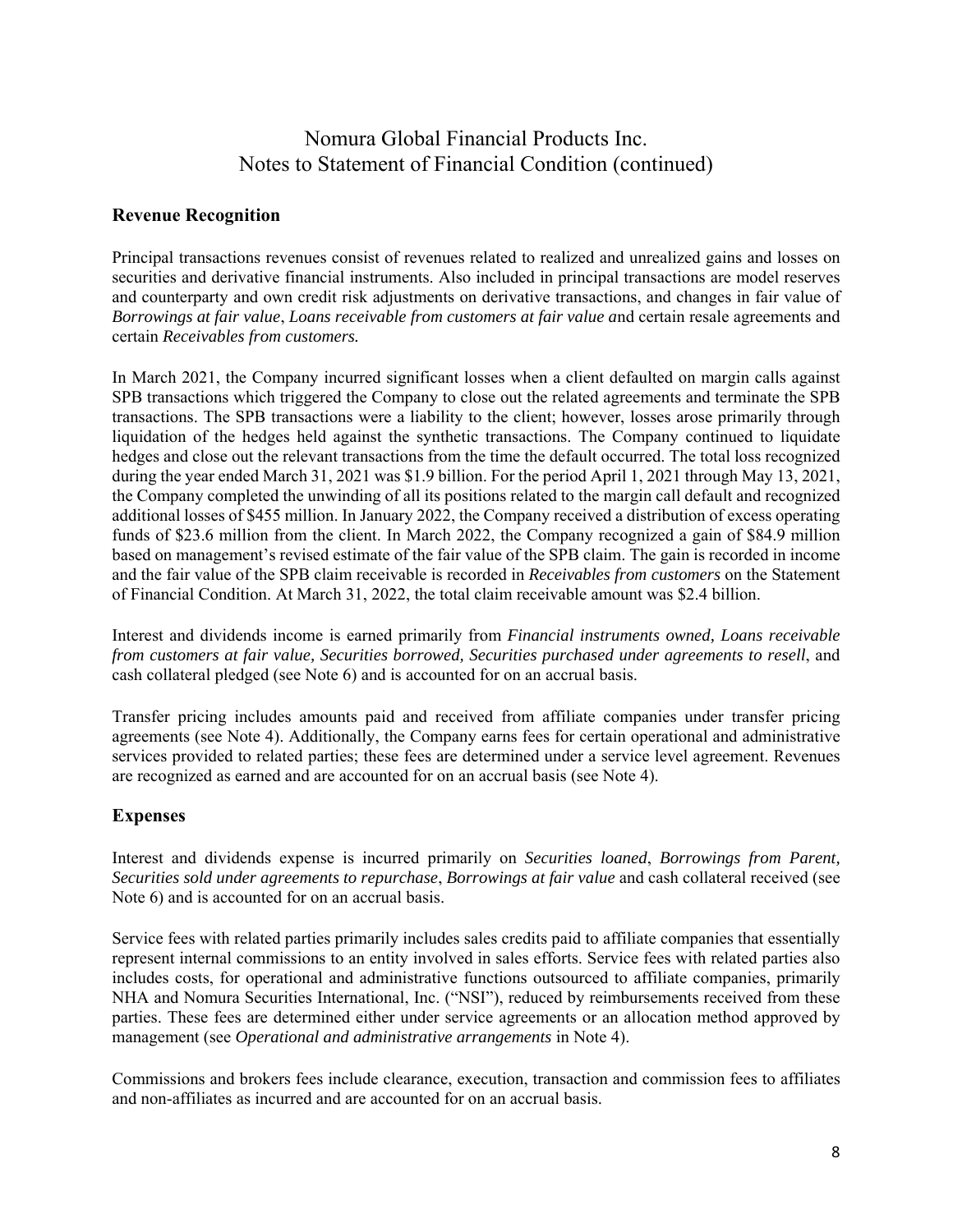### **Revenue Recognition**

Principal transactions revenues consist of revenues related to realized and unrealized gains and losses on securities and derivative financial instruments. Also included in principal transactions are model reserves and counterparty and own credit risk adjustments on derivative transactions, and changes in fair value of *Borrowings at fair value*, *Loans receivable from customers at fair value a*nd certain resale agreements and certain *Receivables from customers.* 

In March 2021, the Company incurred significant losses when a client defaulted on margin calls against SPB transactions which triggered the Company to close out the related agreements and terminate the SPB transactions. The SPB transactions were a liability to the client; however, losses arose primarily through liquidation of the hedges held against the synthetic transactions. The Company continued to liquidate hedges and close out the relevant transactions from the time the default occurred. The total loss recognized during the year ended March 31, 2021 was \$1.9 billion. For the period April 1, 2021 through May 13, 2021, the Company completed the unwinding of all its positions related to the margin call default and recognized additional losses of \$455 million. In January 2022, the Company received a distribution of excess operating funds of \$23.6 million from the client. In March 2022, the Company recognized a gain of \$84.9 million based on management's revised estimate of the fair value of the SPB claim. The gain is recorded in income and the fair value of the SPB claim receivable is recorded in *Receivables from customers* on the Statement of Financial Condition. At March 31, 2022, the total claim receivable amount was \$2.4 billion.

Interest and dividends income is earned primarily from *Financial instruments owned, Loans receivable from customers at fair value, Securities borrowed, Securities purchased under agreements to resell*, and cash collateral pledged (see Note 6) and is accounted for on an accrual basis.

Transfer pricing includes amounts paid and received from affiliate companies under transfer pricing agreements (see Note 4). Additionally, the Company earns fees for certain operational and administrative services provided to related parties; these fees are determined under a service level agreement. Revenues are recognized as earned and are accounted for on an accrual basis (see Note 4).

### **Expenses**

Interest and dividends expense is incurred primarily on *Securities loaned*, *Borrowings from Parent, Securities sold under agreements to repurchase*, *Borrowings at fair value* and cash collateral received (see Note 6) and is accounted for on an accrual basis.

Service fees with related parties primarily includes sales credits paid to affiliate companies that essentially represent internal commissions to an entity involved in sales efforts. Service fees with related parties also includes costs, for operational and administrative functions outsourced to affiliate companies, primarily NHA and Nomura Securities International, Inc. ("NSI"), reduced by reimbursements received from these parties. These fees are determined either under service agreements or an allocation method approved by management (see *Operational and administrative arrangements* in Note 4).

Commissions and brokers fees include clearance, execution, transaction and commission fees to affiliates and non-affiliates as incurred and are accounted for on an accrual basis.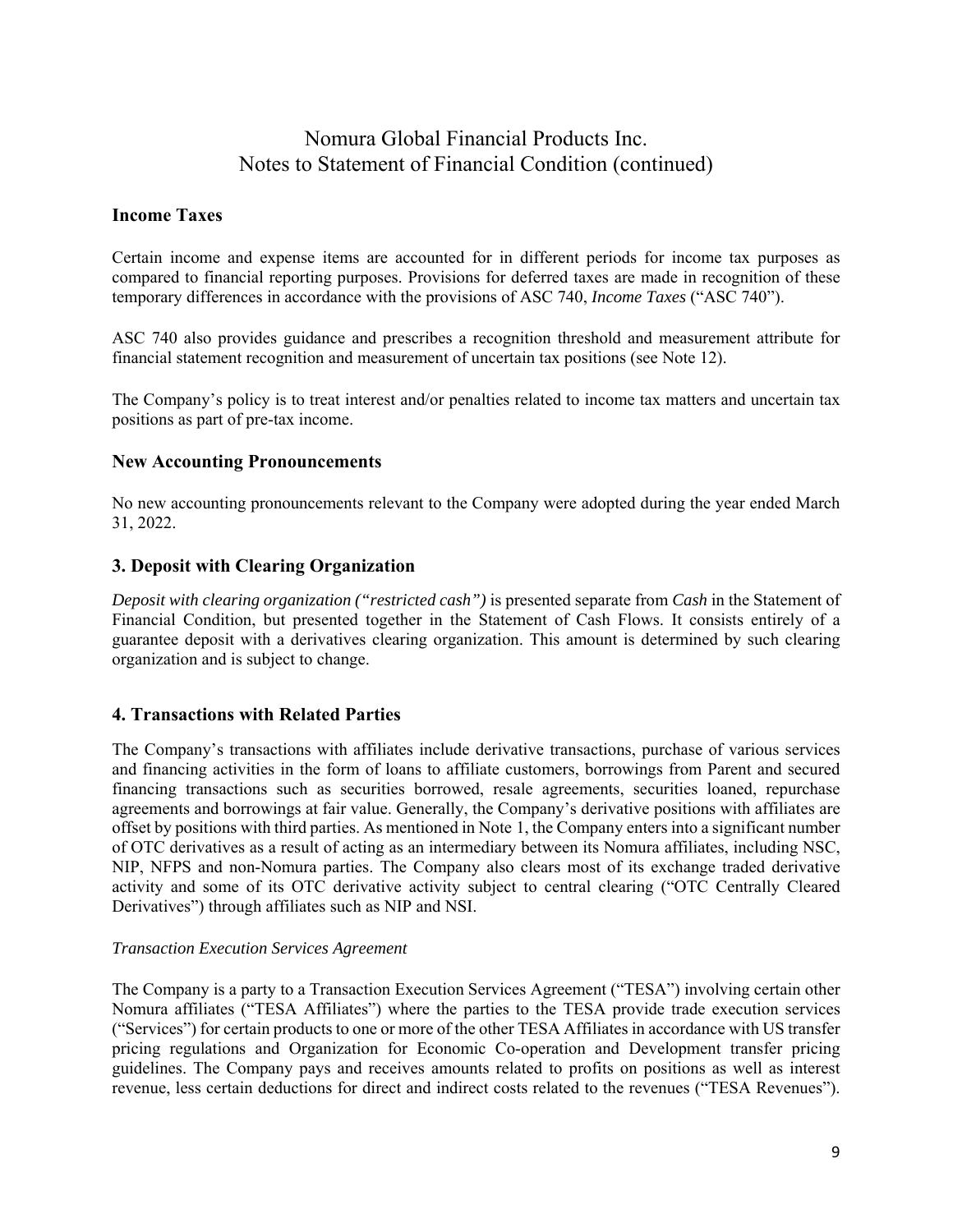#### **Income Taxes**

Certain income and expense items are accounted for in different periods for income tax purposes as compared to financial reporting purposes. Provisions for deferred taxes are made in recognition of these temporary differences in accordance with the provisions of ASC 740, *Income Taxes* ("ASC 740").

ASC 740 also provides guidance and prescribes a recognition threshold and measurement attribute for financial statement recognition and measurement of uncertain tax positions (see Note 12).

The Company's policy is to treat interest and/or penalties related to income tax matters and uncertain tax positions as part of pre-tax income.

#### **New Accounting Pronouncements**

No new accounting pronouncements relevant to the Company were adopted during the year ended March 31, 2022.

#### **3. Deposit with Clearing Organization**

*Deposit with clearing organization ("restricted cash")* is presented separate from *Cash* in the Statement of Financial Condition, but presented together in the Statement of Cash Flows. It consists entirely of a guarantee deposit with a derivatives clearing organization. This amount is determined by such clearing organization and is subject to change.

#### **4. Transactions with Related Parties**

The Company's transactions with affiliates include derivative transactions, purchase of various services and financing activities in the form of loans to affiliate customers, borrowings from Parent and secured financing transactions such as securities borrowed, resale agreements, securities loaned, repurchase agreements and borrowings at fair value. Generally, the Company's derivative positions with affiliates are offset by positions with third parties. As mentioned in Note 1, the Company enters into a significant number of OTC derivatives as a result of acting as an intermediary between its Nomura affiliates, including NSC, NIP, NFPS and non-Nomura parties. The Company also clears most of its exchange traded derivative activity and some of its OTC derivative activity subject to central clearing ("OTC Centrally Cleared Derivatives") through affiliates such as NIP and NSI.

#### *Transaction Execution Services Agreement*

The Company is a party to a Transaction Execution Services Agreement ("TESA") involving certain other Nomura affiliates ("TESA Affiliates") where the parties to the TESA provide trade execution services ("Services") for certain products to one or more of the other TESA Affiliates in accordance with US transfer pricing regulations and Organization for Economic Co-operation and Development transfer pricing guidelines. The Company pays and receives amounts related to profits on positions as well as interest revenue, less certain deductions for direct and indirect costs related to the revenues ("TESA Revenues").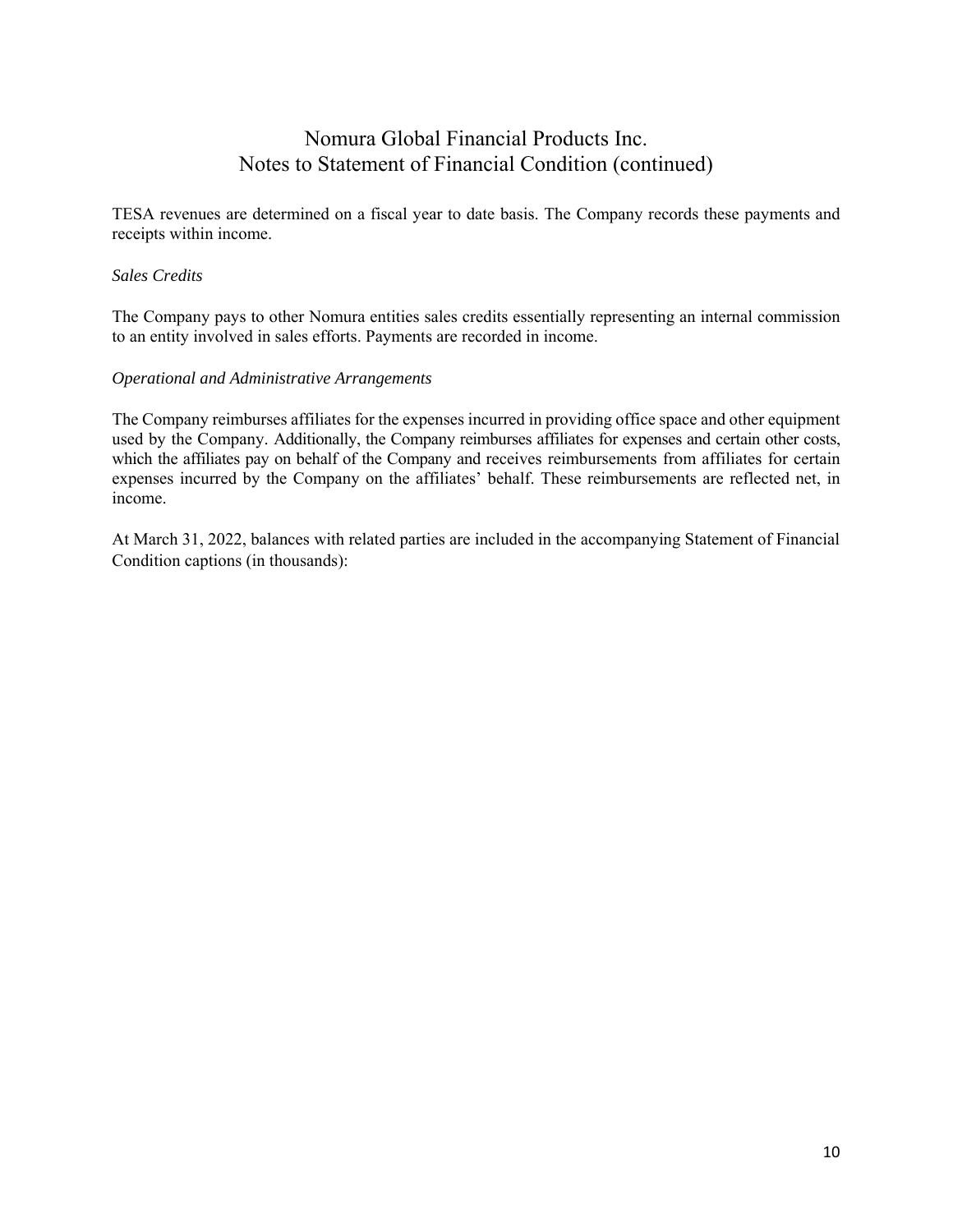TESA revenues are determined on a fiscal year to date basis. The Company records these payments and receipts within income.

#### *Sales Credits*

The Company pays to other Nomura entities sales credits essentially representing an internal commission to an entity involved in sales efforts. Payments are recorded in income.

#### *Operational and Administrative Arrangements*

The Company reimburses affiliates for the expenses incurred in providing office space and other equipment used by the Company. Additionally, the Company reimburses affiliates for expenses and certain other costs, which the affiliates pay on behalf of the Company and receives reimbursements from affiliates for certain expenses incurred by the Company on the affiliates' behalf. These reimbursements are reflected net, in income.

At March 31, 2022, balances with related parties are included in the accompanying Statement of Financial Condition captions (in thousands):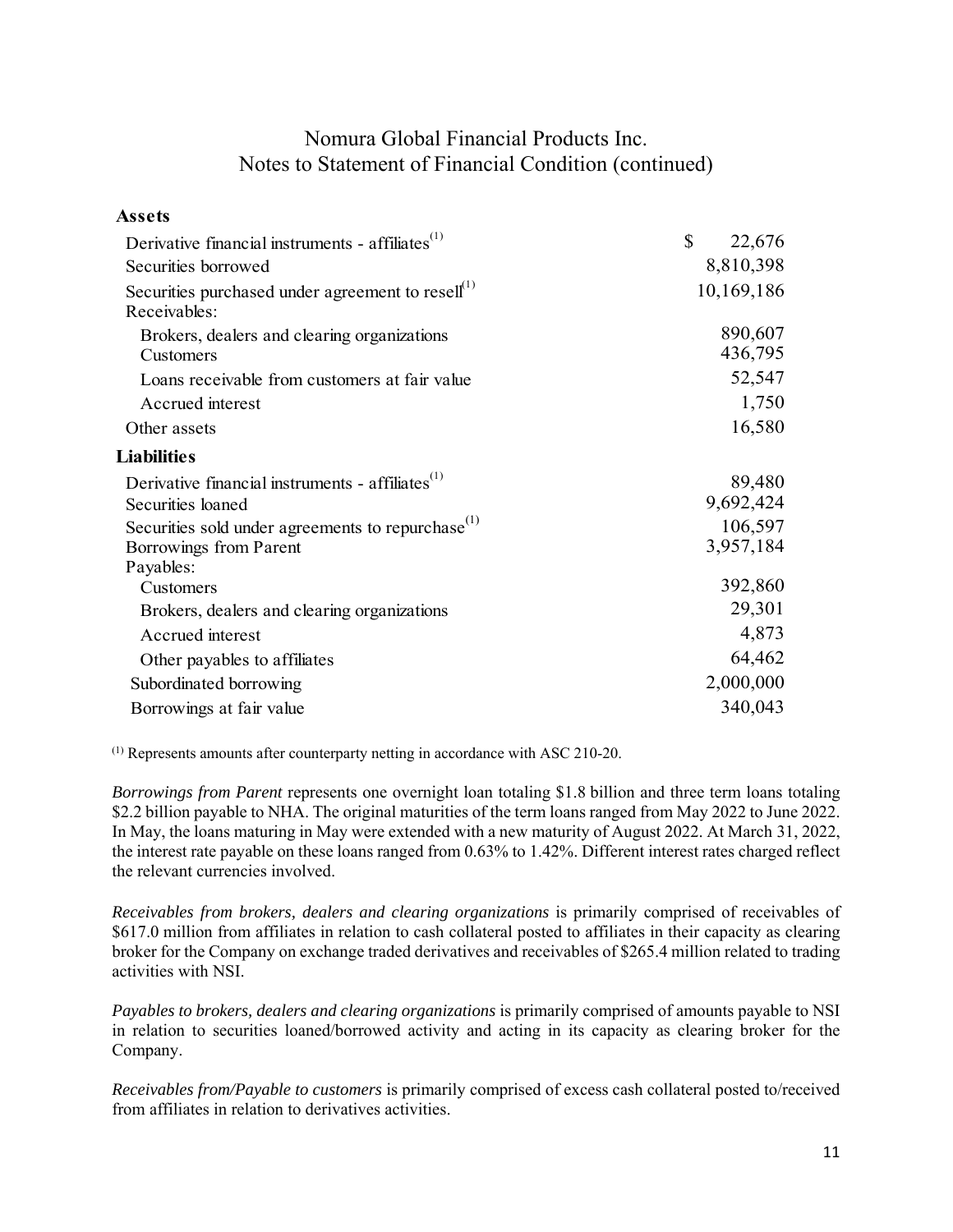| Derivative financial instruments - affiliates <sup>(1)</sup>             | $\mathbb{S}$<br>22,676           |
|--------------------------------------------------------------------------|----------------------------------|
| Securities borrowed                                                      | 8,810,398                        |
| Securities purchased under agreement to resell $^{(1)}$<br>Receivables:  | 10,169,186                       |
| Brokers, dealers and clearing organizations<br>Customers                 | 890,607<br>436,795               |
| Loans receivable from customers at fair value                            | 52,547                           |
| Accrued interest                                                         | 1,750                            |
| Other assets                                                             | 16,580                           |
| <b>Liabilities</b>                                                       |                                  |
| Derivative financial instruments - affiliates $(1)$<br>Securities loaned | 89,480<br>9,692,424              |
| Securities sold under agreements to repurchase <sup>(1)</sup>            | 106,597                          |
| Borrowings from Parent<br>Payables:                                      | 3,957,184                        |
| Customers                                                                | 392,860                          |
| Brokers, dealers and clearing organizations                              | 29,301                           |
| Accrued interest                                                         | 4,873                            |
| $\sim$ 1 $\sim$ 0.01 $\sim$                                              | $\epsilon$ $\epsilon$ $\epsilon$ |

**Assets**

Other payables to affiliates 64,462 Subordinated borrowing 2,000,000 Borrowings at fair value 340,043

(1) Represents amounts after counterparty netting in accordance with ASC 210-20.

*Borrowings from Parent* represents one overnight loan totaling \$1.8 billion and three term loans totaling \$2.2 billion payable to NHA. The original maturities of the term loans ranged from May 2022 to June 2022. In May, the loans maturing in May were extended with a new maturity of August 2022. At March 31, 2022, the interest rate payable on these loans ranged from 0.63% to 1.42%. Different interest rates charged reflect the relevant currencies involved.

*Receivables from brokers, dealers and clearing organizations* is primarily comprised of receivables of \$617.0 million from affiliates in relation to cash collateral posted to affiliates in their capacity as clearing broker for the Company on exchange traded derivatives and receivables of \$265.4 million related to trading activities with NSI.

*Payables to brokers, dealers and clearing organizations* is primarily comprised of amounts payable to NSI in relation to securities loaned/borrowed activity and acting in its capacity as clearing broker for the Company.

*Receivables from/Payable to customers* is primarily comprised of excess cash collateral posted to/received from affiliates in relation to derivatives activities.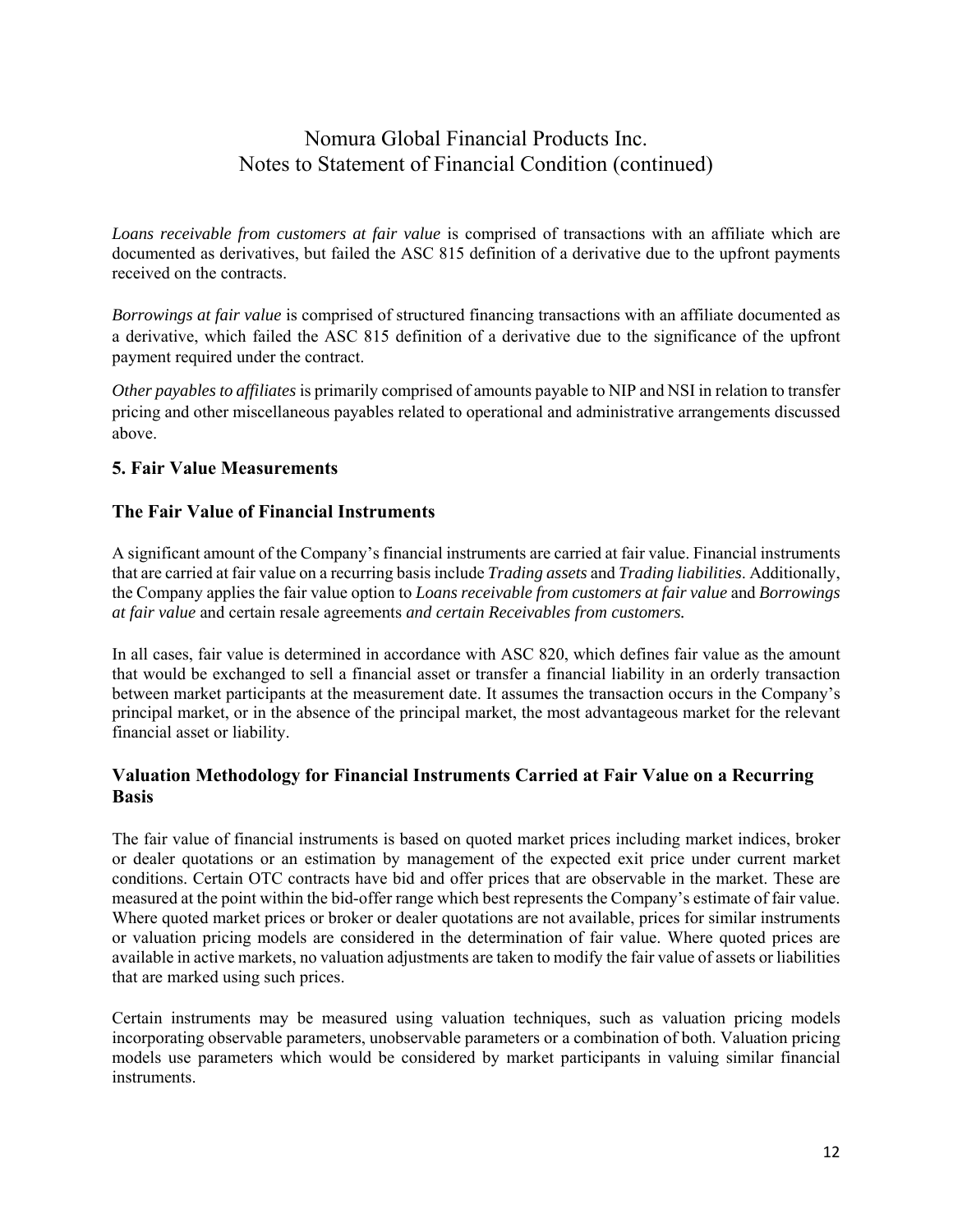*Loans receivable from customers at fair value* is comprised of transactions with an affiliate which are documented as derivatives, but failed the ASC 815 definition of a derivative due to the upfront payments received on the contracts.

*Borrowings at fair value* is comprised of structured financing transactions with an affiliate documented as a derivative, which failed the ASC 815 definition of a derivative due to the significance of the upfront payment required under the contract.

*Other payables to affiliates* is primarily comprised of amounts payable to NIP and NSI in relation to transfer pricing and other miscellaneous payables related to operational and administrative arrangements discussed above.

### **5. Fair Value Measurements**

### **The Fair Value of Financial Instruments**

A significant amount of the Company's financial instruments are carried at fair value. Financial instruments that are carried at fair value on a recurring basis include *Trading assets* and *Trading liabilities*. Additionally, the Company applies the fair value option to *Loans receivable from customers at fair value* and *Borrowings at fair value* and certain resale agreements *and certain Receivables from customers.* 

In all cases, fair value is determined in accordance with ASC 820, which defines fair value as the amount that would be exchanged to sell a financial asset or transfer a financial liability in an orderly transaction between market participants at the measurement date. It assumes the transaction occurs in the Company's principal market, or in the absence of the principal market, the most advantageous market for the relevant financial asset or liability.

### **Valuation Methodology for Financial Instruments Carried at Fair Value on a Recurring Basis**

The fair value of financial instruments is based on quoted market prices including market indices, broker or dealer quotations or an estimation by management of the expected exit price under current market conditions. Certain OTC contracts have bid and offer prices that are observable in the market. These are measured at the point within the bid-offer range which best represents the Company's estimate of fair value. Where quoted market prices or broker or dealer quotations are not available, prices for similar instruments or valuation pricing models are considered in the determination of fair value. Where quoted prices are available in active markets, no valuation adjustments are taken to modify the fair value of assets or liabilities that are marked using such prices.

Certain instruments may be measured using valuation techniques, such as valuation pricing models incorporating observable parameters, unobservable parameters or a combination of both. Valuation pricing models use parameters which would be considered by market participants in valuing similar financial instruments.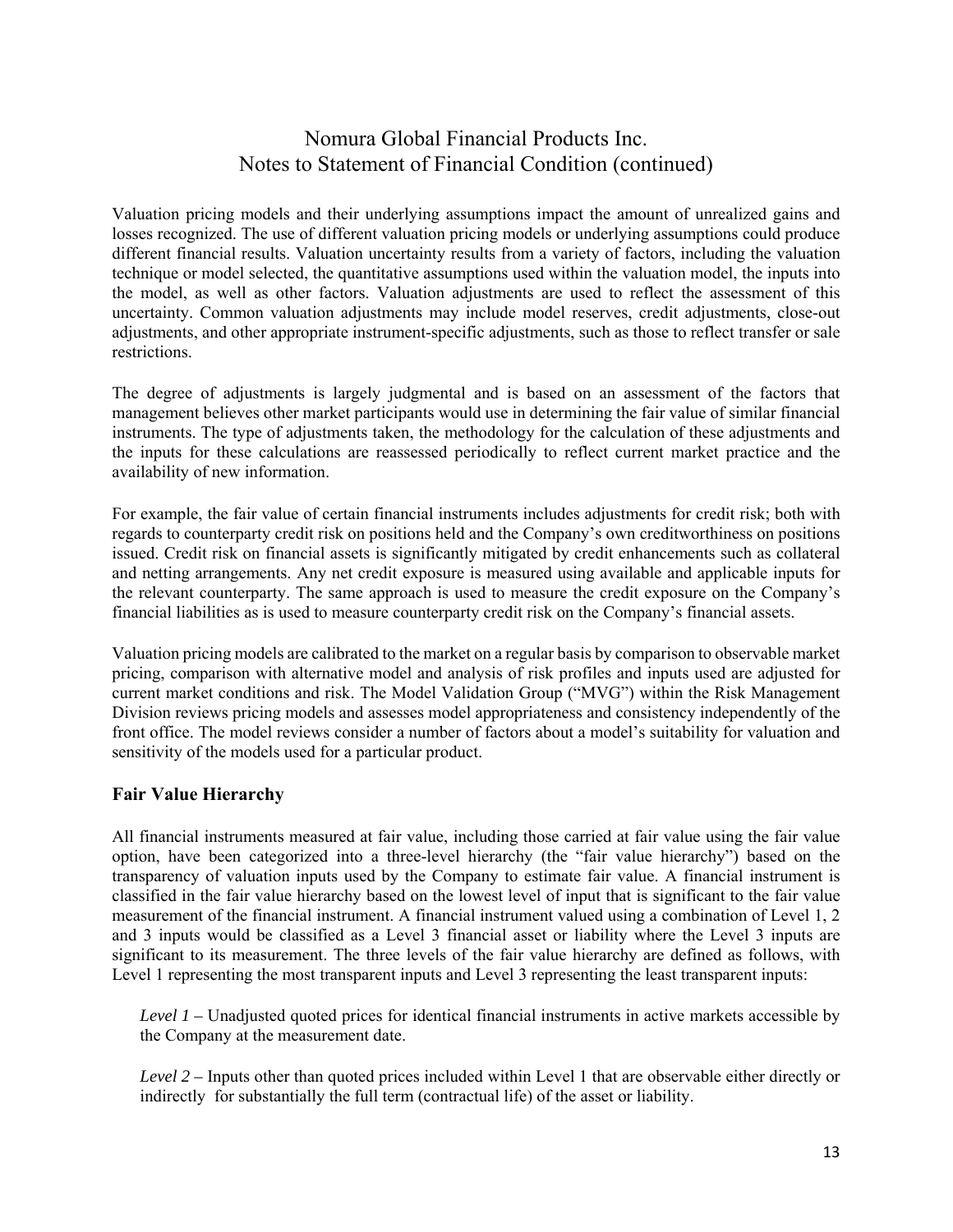Valuation pricing models and their underlying assumptions impact the amount of unrealized gains and losses recognized. The use of different valuation pricing models or underlying assumptions could produce different financial results. Valuation uncertainty results from a variety of factors, including the valuation technique or model selected, the quantitative assumptions used within the valuation model, the inputs into the model, as well as other factors. Valuation adjustments are used to reflect the assessment of this uncertainty. Common valuation adjustments may include model reserves, credit adjustments, close-out adjustments, and other appropriate instrument-specific adjustments, such as those to reflect transfer or sale restrictions.

The degree of adjustments is largely judgmental and is based on an assessment of the factors that management believes other market participants would use in determining the fair value of similar financial instruments. The type of adjustments taken, the methodology for the calculation of these adjustments and the inputs for these calculations are reassessed periodically to reflect current market practice and the availability of new information.

For example, the fair value of certain financial instruments includes adjustments for credit risk; both with regards to counterparty credit risk on positions held and the Company's own creditworthiness on positions issued. Credit risk on financial assets is significantly mitigated by credit enhancements such as collateral and netting arrangements. Any net credit exposure is measured using available and applicable inputs for the relevant counterparty. The same approach is used to measure the credit exposure on the Company's financial liabilities as is used to measure counterparty credit risk on the Company's financial assets.

Valuation pricing models are calibrated to the market on a regular basis by comparison to observable market pricing, comparison with alternative model and analysis of risk profiles and inputs used are adjusted for current market conditions and risk. The Model Validation Group ("MVG") within the Risk Management Division reviews pricing models and assesses model appropriateness and consistency independently of the front office. The model reviews consider a number of factors about a model's suitability for valuation and sensitivity of the models used for a particular product.

#### **Fair Value Hierarchy**

All financial instruments measured at fair value, including those carried at fair value using the fair value option, have been categorized into a three-level hierarchy (the "fair value hierarchy") based on the transparency of valuation inputs used by the Company to estimate fair value. A financial instrument is classified in the fair value hierarchy based on the lowest level of input that is significant to the fair value measurement of the financial instrument. A financial instrument valued using a combination of Level 1, 2 and 3 inputs would be classified as a Level 3 financial asset or liability where the Level 3 inputs are significant to its measurement. The three levels of the fair value hierarchy are defined as follows, with Level 1 representing the most transparent inputs and Level 3 representing the least transparent inputs:

*Level 1 –* Unadjusted quoted prices for identical financial instruments in active markets accessible by the Company at the measurement date.

*Level 2 –* Inputs other than quoted prices included within Level 1 that are observable either directly or indirectly for substantially the full term (contractual life) of the asset or liability.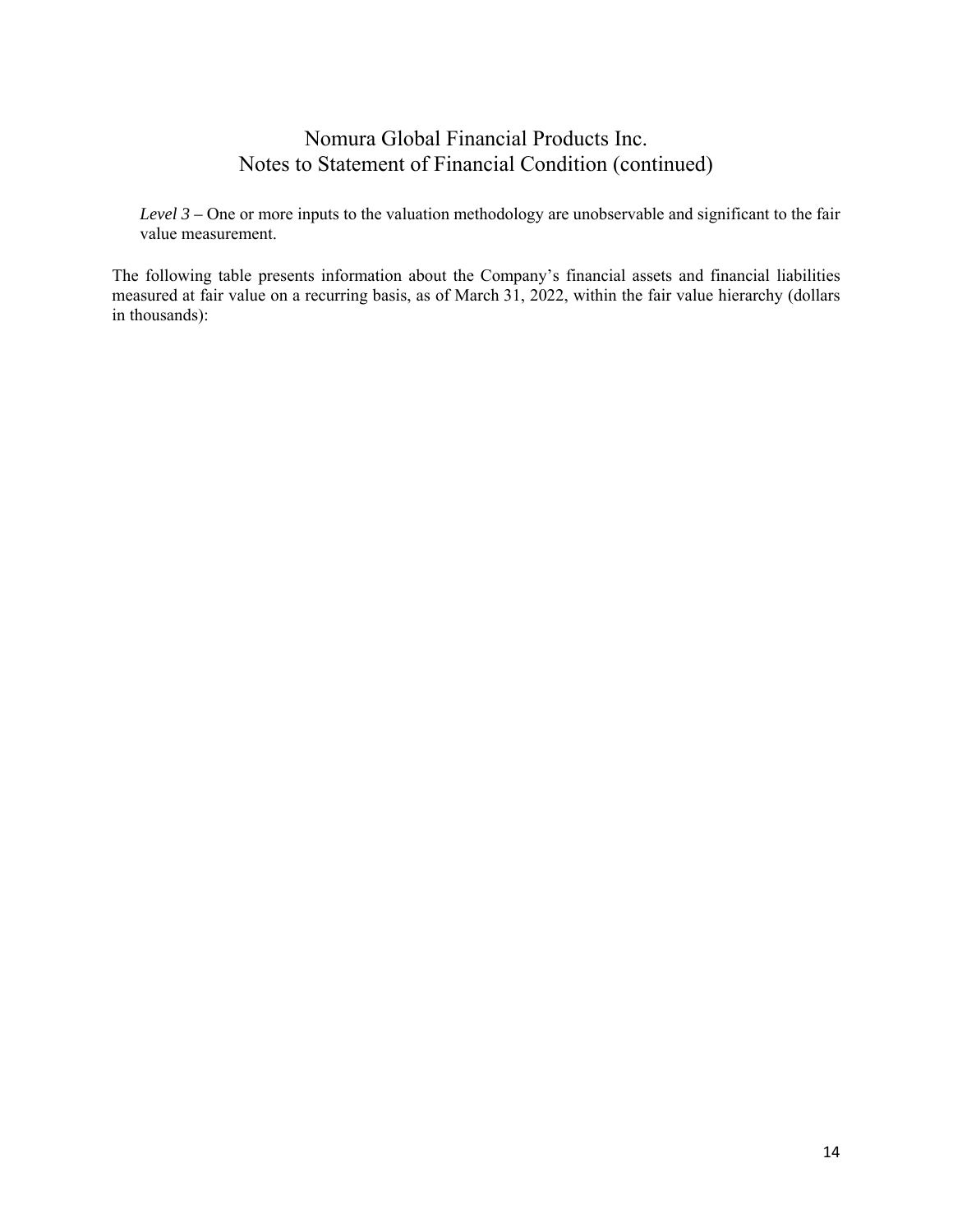*Level 3 –* One or more inputs to the valuation methodology are unobservable and significant to the fair value measurement.

The following table presents information about the Company's financial assets and financial liabilities measured at fair value on a recurring basis, as of March 31, 2022, within the fair value hierarchy (dollars in thousands):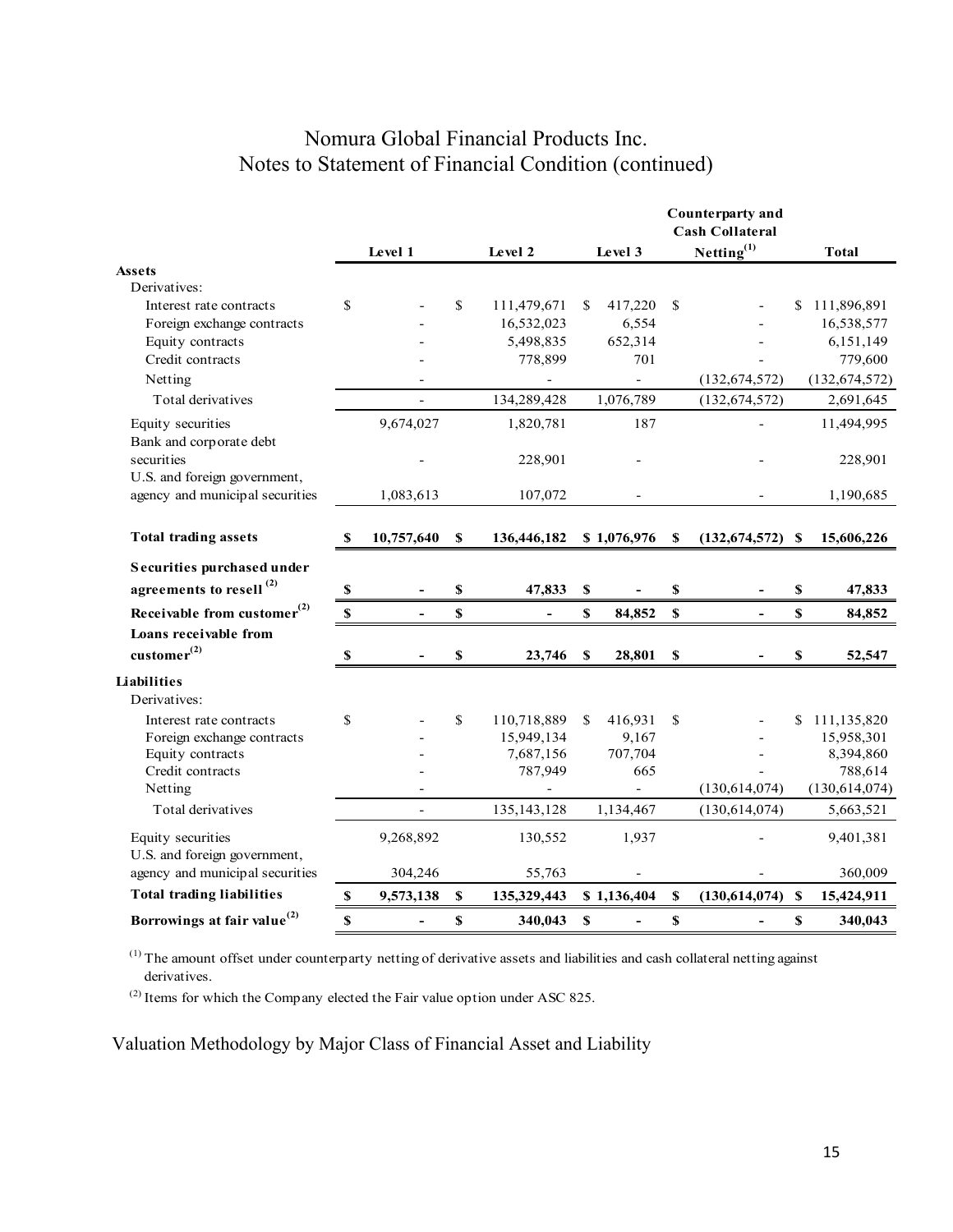|                                                   |                  |                   |     | <b>Counterparty and</b><br><b>Cash Collateral</b> |               |                     |              |                 |  |  |  |  |  |
|---------------------------------------------------|------------------|-------------------|-----|---------------------------------------------------|---------------|---------------------|--------------|-----------------|--|--|--|--|--|
|                                                   | Level 1          | Level 2           |     | Level 3                                           |               | $N$ etting $^{(1)}$ |              | <b>Total</b>    |  |  |  |  |  |
| <b>Assets</b>                                     |                  |                   |     |                                                   |               |                     |              |                 |  |  |  |  |  |
| Derivatives:                                      |                  |                   |     |                                                   |               |                     |              |                 |  |  |  |  |  |
| Interest rate contracts                           | \$               | \$<br>111,479,671 | S   | 417,220                                           | $\mathcal{S}$ |                     | \$           | 111,896,891     |  |  |  |  |  |
| Foreign exchange contracts                        |                  | 16,532,023        |     | 6,554                                             |               |                     |              | 16,538,577      |  |  |  |  |  |
| Equity contracts                                  |                  | 5,498,835         |     | 652,314                                           |               |                     |              | 6,151,149       |  |  |  |  |  |
| Credit contracts                                  |                  | 778,899           |     | 701                                               |               |                     |              | 779,600         |  |  |  |  |  |
| Netting                                           |                  |                   |     |                                                   |               | (132, 674, 572)     |              | (132, 674, 572) |  |  |  |  |  |
| Total derivatives                                 |                  | 134,289,428       |     | 1,076,789                                         |               | (132, 674, 572)     |              | 2,691,645       |  |  |  |  |  |
| Equity securities<br>Bank and corporate debt      | 9,674,027        | 1,820,781         |     | 187                                               |               |                     |              | 11,494,995      |  |  |  |  |  |
| securities<br>U.S. and foreign government,        |                  | 228,901           |     |                                                   |               |                     |              | 228,901         |  |  |  |  |  |
| agency and municipal securities                   | 1,083,613        | 107,072           |     |                                                   |               |                     |              | 1,190,685       |  |  |  |  |  |
| <b>Total trading assets</b>                       | \$<br>10,757,640 | \$<br>136,446,182 |     | \$1,076,976                                       | \$            | (132, 674, 572)     | -S           | 15,606,226      |  |  |  |  |  |
| Securities purchased under                        |                  |                   |     |                                                   |               |                     |              |                 |  |  |  |  |  |
| agreements to resell $^{(2)}$                     | \$               | \$<br>47,833      | \$  |                                                   | \$            |                     | \$           | 47,833          |  |  |  |  |  |
| Receivable from customer <sup>(2)</sup>           | \$               | \$                | \$  | 84,852                                            | \$            |                     | \$           | 84,852          |  |  |  |  |  |
| Loans receivable from                             |                  |                   |     |                                                   |               |                     |              |                 |  |  |  |  |  |
| $\text{customer}^{(2)}$                           | \$               | \$<br>23,746      | S   | 28,801                                            | \$            |                     | \$           | 52,547          |  |  |  |  |  |
| <b>Liabilities</b>                                |                  |                   |     |                                                   |               |                     |              |                 |  |  |  |  |  |
| Derivatives:                                      |                  |                   |     |                                                   |               |                     |              |                 |  |  |  |  |  |
| Interest rate contracts                           | \$               | \$<br>110,718,889 | \$. | 416,931                                           | <sup>\$</sup> |                     |              | 111,135,820     |  |  |  |  |  |
| Foreign exchange contracts                        |                  | 15,949,134        |     | 9,167                                             |               |                     |              | 15,958,301      |  |  |  |  |  |
| Equity contracts                                  |                  | 7,687,156         |     | 707,704                                           |               |                     |              | 8,394,860       |  |  |  |  |  |
| Credit contracts                                  |                  | 787,949           |     | 665                                               |               |                     |              | 788,614         |  |  |  |  |  |
| Netting                                           |                  |                   |     |                                                   |               | (130, 614, 074)     |              | (130,614,074)   |  |  |  |  |  |
| Total derivatives                                 |                  | 135, 143, 128     |     | 1,134,467                                         |               | (130, 614, 074)     |              | 5,663,521       |  |  |  |  |  |
| Equity securities<br>U.S. and foreign government, | 9,268,892        | 130,552           |     | 1,937                                             |               |                     |              | 9,401,381       |  |  |  |  |  |
| agency and municipal securities                   | 304,246          | 55,763            |     |                                                   |               |                     |              | 360,009         |  |  |  |  |  |
| <b>Total trading liabilities</b>                  | \$<br>9,573,138  | \$<br>135,329,443 |     | \$1,136,404                                       | \$            | (130, 614, 074)     | $\mathbf{s}$ | 15,424,911      |  |  |  |  |  |
| Borrowings at fair value <sup>(2)</sup>           | \$               | \$<br>340,043     | \$  | $\overline{\phantom{0}}$                          | \$            |                     | \$           | 340,043         |  |  |  |  |  |

(1) The amount offset under counterparty netting of derivative assets and liabilities and cash collateral netting against derivatives.

 $(2)$  Items for which the Company elected the Fair value option under ASC 825.

Valuation Methodology by Major Class of Financial Asset and Liability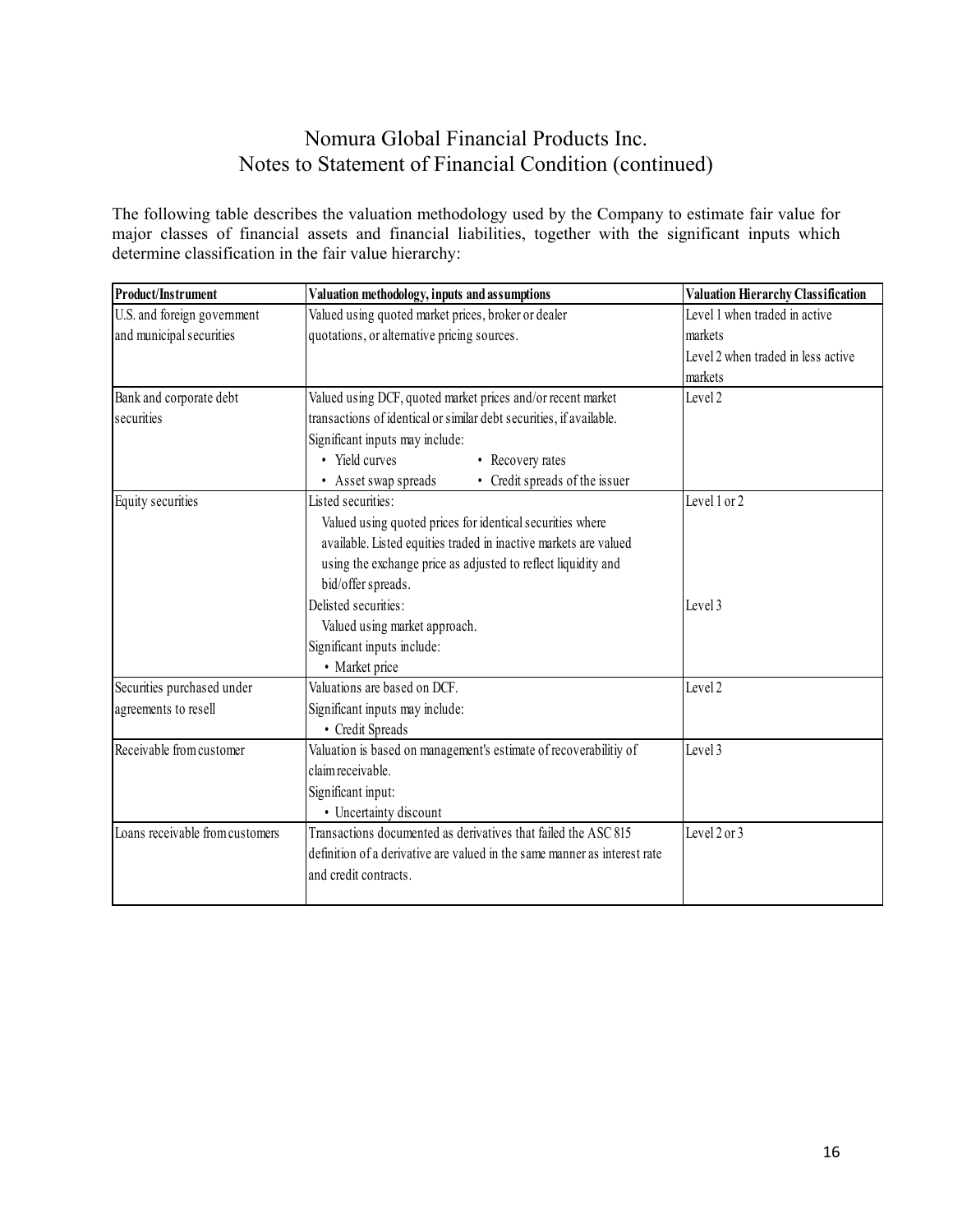The following table describes the valuation methodology used by the Company to estimate fair value for major classes of financial assets and financial liabilities, together with the significant inputs which determine classification in the fair value hierarchy:

| <b>Product/Instrument</b>       | Valuation methodology, inputs and assumptions                             | <b>Valuation Hierarchy Classification</b> |
|---------------------------------|---------------------------------------------------------------------------|-------------------------------------------|
| U.S. and foreign government     | Valued using quoted market prices, broker or dealer                       | Level 1 when traded in active             |
| and municipal securities        | quotations, or alternative pricing sources.                               | markets                                   |
|                                 |                                                                           | Level 2 when traded in less active        |
|                                 |                                                                           | markets                                   |
| Bank and corporate debt         | Valued using DCF, quoted market prices and/or recent market               | Level <sub>2</sub>                        |
| securities                      | transactions of identical or similar debt securities, if available.       |                                           |
|                                 | Significant inputs may include:                                           |                                           |
|                                 | • Yield curves<br>• Recovery rates                                        |                                           |
|                                 | • Credit spreads of the issuer<br>• Asset swap spreads                    |                                           |
| Equity securities               | Listed securities:                                                        | Level 1 or 2                              |
|                                 | Valued using quoted prices for identical securities where                 |                                           |
|                                 | available. Listed equities traded in inactive markets are valued          |                                           |
|                                 | using the exchange price as adjusted to reflect liquidity and             |                                           |
|                                 | bid/offer spreads.                                                        |                                           |
|                                 | Delisted securities:                                                      | Level 3                                   |
|                                 | Valued using market approach.                                             |                                           |
|                                 | Significant inputs include:                                               |                                           |
|                                 | • Market price                                                            |                                           |
| Securities purchased under      | Valuations are based on DCF.                                              | Level <sub>2</sub>                        |
| agreements to resell            | Significant inputs may include:                                           |                                           |
|                                 | • Credit Spreads                                                          |                                           |
| Receivable from customer        | Valuation is based on management's estimate of recoverabilitiy of         | Level 3                                   |
|                                 | claim receivable.                                                         |                                           |
|                                 | Significant input:                                                        |                                           |
|                                 | • Uncertainty discount                                                    |                                           |
| Loans receivable from customers | Transactions documented as derivatives that failed the ASC 815            | Level $2$ or $3$                          |
|                                 | definition of a derivative are valued in the same manner as interest rate |                                           |
|                                 | and credit contracts.                                                     |                                           |
|                                 |                                                                           |                                           |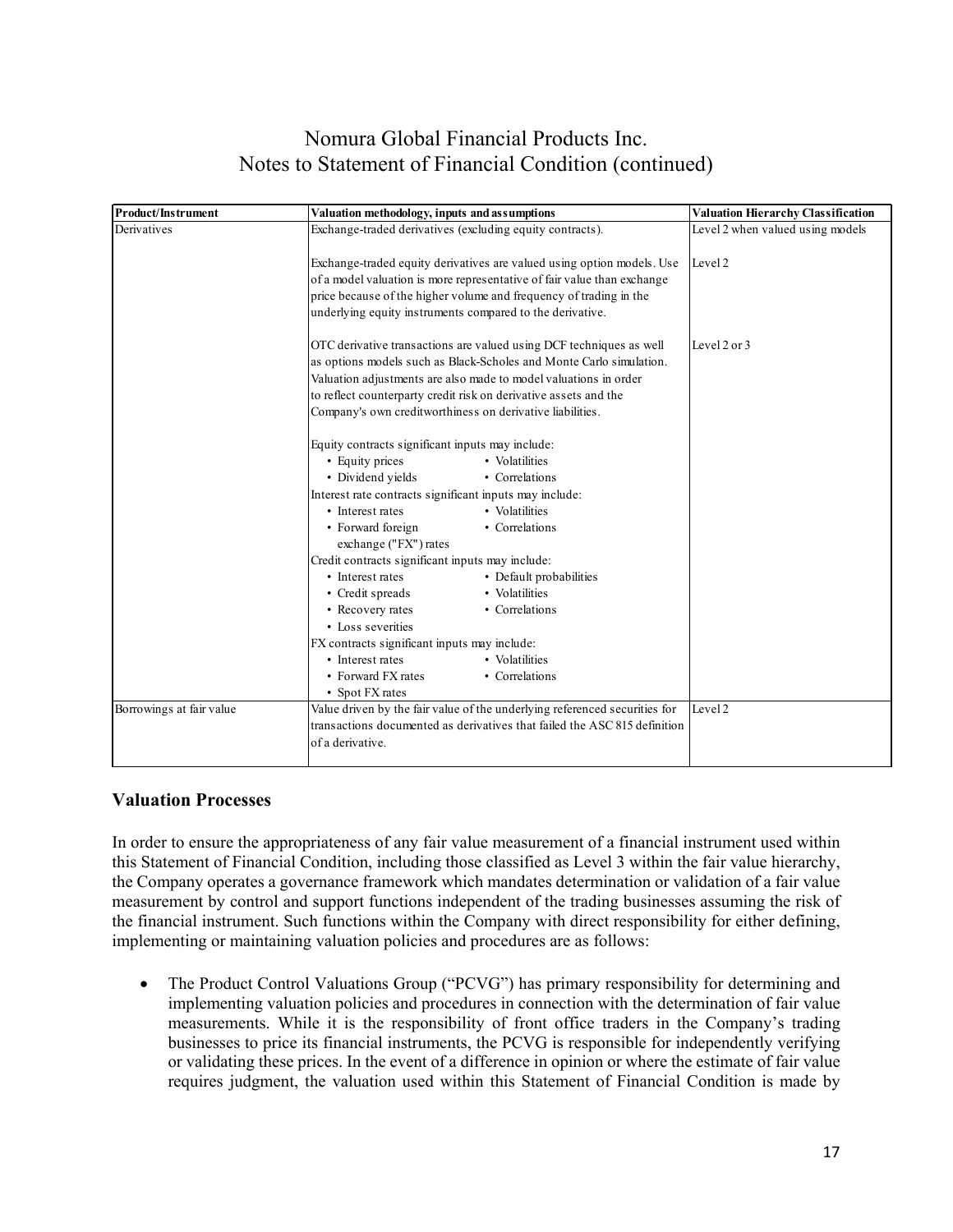| <b>Product/Instrument</b> | Valuation methodology, inputs and assumptions                    |                                                                            | <b>Valuation Hierarchy Classification</b> |
|---------------------------|------------------------------------------------------------------|----------------------------------------------------------------------------|-------------------------------------------|
| Derivatives               | Exchange-traded derivatives (excluding equity contracts).        |                                                                            | Level 2 when valued using models          |
|                           |                                                                  |                                                                            |                                           |
|                           |                                                                  | Exchange-traded equity derivatives are valued using option models. Use     | Level 2                                   |
|                           |                                                                  | of a model valuation is more representative of fair value than exchange    |                                           |
|                           |                                                                  | price because of the higher volume and frequency of trading in the         |                                           |
|                           | underlying equity instruments compared to the derivative.        |                                                                            |                                           |
|                           |                                                                  | OTC derivative transactions are valued using DCF techniques as well        | Level $2$ or $3$                          |
|                           |                                                                  | as options models such as Black-Scholes and Monte Carlo simulation.        |                                           |
|                           |                                                                  | Valuation adjustments are also made to model valuations in order           |                                           |
|                           | to reflect counterparty credit risk on derivative assets and the |                                                                            |                                           |
|                           | Company's own creditworthiness on derivative liabilities.        |                                                                            |                                           |
|                           | Equity contracts significant inputs may include:                 |                                                                            |                                           |
|                           | • Equity prices                                                  |                                                                            |                                           |
|                           | • Dividend yields                                                | • Correlations                                                             |                                           |
|                           | Interest rate contracts significant inputs may include:          |                                                                            |                                           |
|                           | • Interest rates                                                 | • Volatilities                                                             |                                           |
|                           | • Forward foreign                                                | • Correlations                                                             |                                           |
|                           | exchange ("FX") rates                                            |                                                                            |                                           |
|                           | Credit contracts significant inputs may include:                 |                                                                            |                                           |
|                           | • Interest rates                                                 | • Default probabilities                                                    |                                           |
|                           | • Credit spreads                                                 | • Volatilities                                                             |                                           |
|                           | • Recovery rates                                                 | • Correlations                                                             |                                           |
|                           | • Loss severities                                                |                                                                            |                                           |
|                           | FX contracts significant inputs may include:                     |                                                                            |                                           |
|                           | • Interest rates                                                 | • Volatilities                                                             |                                           |
|                           | • Forward FX rates                                               | • Correlations                                                             |                                           |
|                           | • Spot FX rates                                                  |                                                                            |                                           |
| Borrowings at fair value  |                                                                  | Value driven by the fair value of the underlying referenced securities for | Level 2                                   |
|                           |                                                                  | transactions documented as derivatives that failed the ASC 815 definition  |                                           |
|                           | of a derivative.                                                 |                                                                            |                                           |
|                           |                                                                  |                                                                            |                                           |

### **Valuation Processes**

In order to ensure the appropriateness of any fair value measurement of a financial instrument used within this Statement of Financial Condition, including those classified as Level 3 within the fair value hierarchy, the Company operates a governance framework which mandates determination or validation of a fair value measurement by control and support functions independent of the trading businesses assuming the risk of the financial instrument. Such functions within the Company with direct responsibility for either defining, implementing or maintaining valuation policies and procedures are as follows:

• The Product Control Valuations Group ("PCVG") has primary responsibility for determining and implementing valuation policies and procedures in connection with the determination of fair value measurements. While it is the responsibility of front office traders in the Company's trading businesses to price its financial instruments, the PCVG is responsible for independently verifying or validating these prices. In the event of a difference in opinion or where the estimate of fair value requires judgment, the valuation used within this Statement of Financial Condition is made by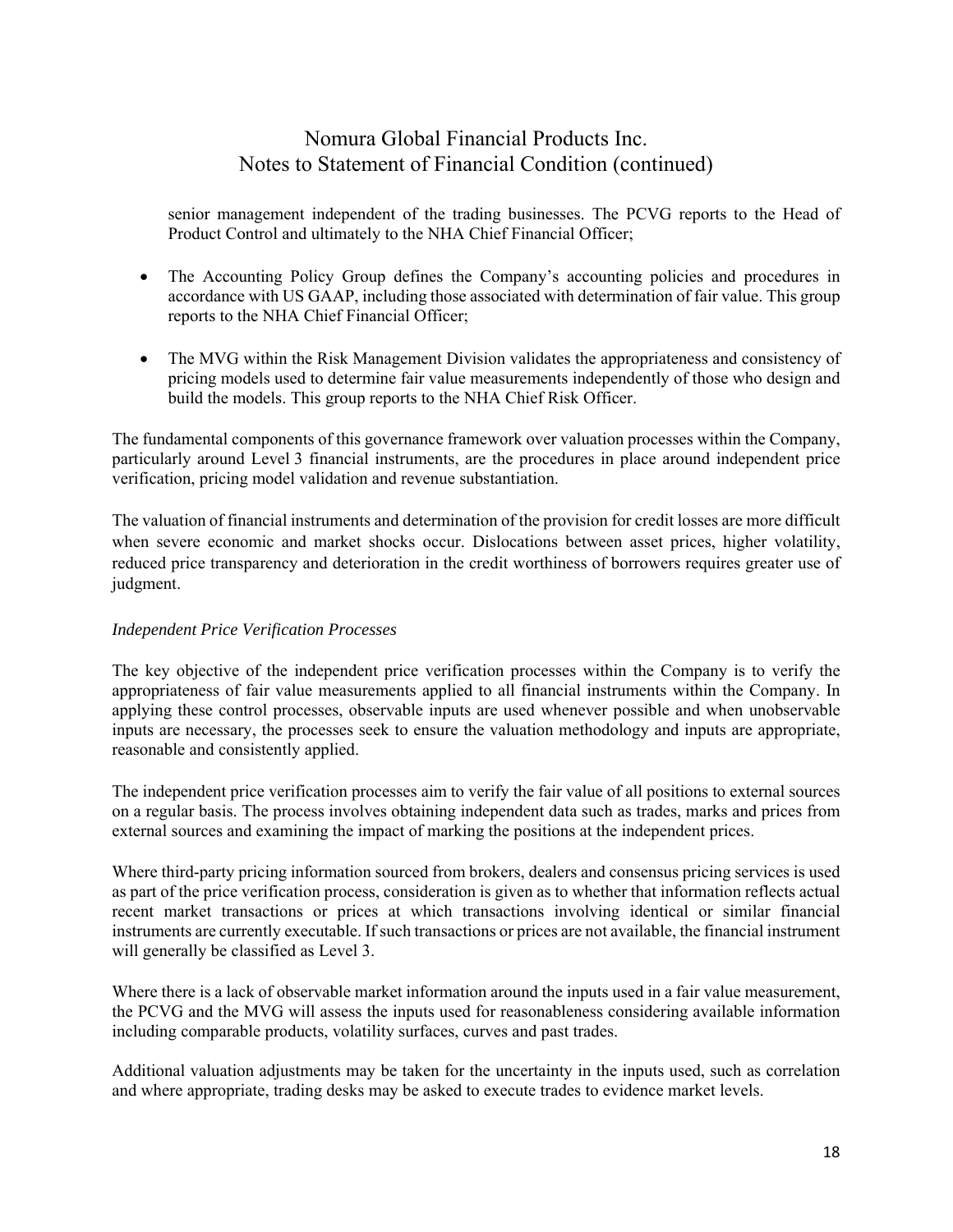senior management independent of the trading businesses. The PCVG reports to the Head of Product Control and ultimately to the NHA Chief Financial Officer;

- The Accounting Policy Group defines the Company's accounting policies and procedures in accordance with US GAAP, including those associated with determination of fair value. This group reports to the NHA Chief Financial Officer;
- The MVG within the Risk Management Division validates the appropriateness and consistency of pricing models used to determine fair value measurements independently of those who design and build the models. This group reports to the NHA Chief Risk Officer.

The fundamental components of this governance framework over valuation processes within the Company, particularly around Level 3 financial instruments, are the procedures in place around independent price verification, pricing model validation and revenue substantiation.

The valuation of financial instruments and determination of the provision for credit losses are more difficult when severe economic and market shocks occur. Dislocations between asset prices, higher volatility, reduced price transparency and deterioration in the credit worthiness of borrowers requires greater use of judgment.

#### *Independent Price Verification Processes*

The key objective of the independent price verification processes within the Company is to verify the appropriateness of fair value measurements applied to all financial instruments within the Company. In applying these control processes, observable inputs are used whenever possible and when unobservable inputs are necessary, the processes seek to ensure the valuation methodology and inputs are appropriate, reasonable and consistently applied.

The independent price verification processes aim to verify the fair value of all positions to external sources on a regular basis. The process involves obtaining independent data such as trades, marks and prices from external sources and examining the impact of marking the positions at the independent prices.

Where third-party pricing information sourced from brokers, dealers and consensus pricing services is used as part of the price verification process, consideration is given as to whether that information reflects actual recent market transactions or prices at which transactions involving identical or similar financial instruments are currently executable. If such transactions or prices are not available, the financial instrument will generally be classified as Level 3.

Where there is a lack of observable market information around the inputs used in a fair value measurement, the PCVG and the MVG will assess the inputs used for reasonableness considering available information including comparable products, volatility surfaces, curves and past trades.

Additional valuation adjustments may be taken for the uncertainty in the inputs used, such as correlation and where appropriate, trading desks may be asked to execute trades to evidence market levels.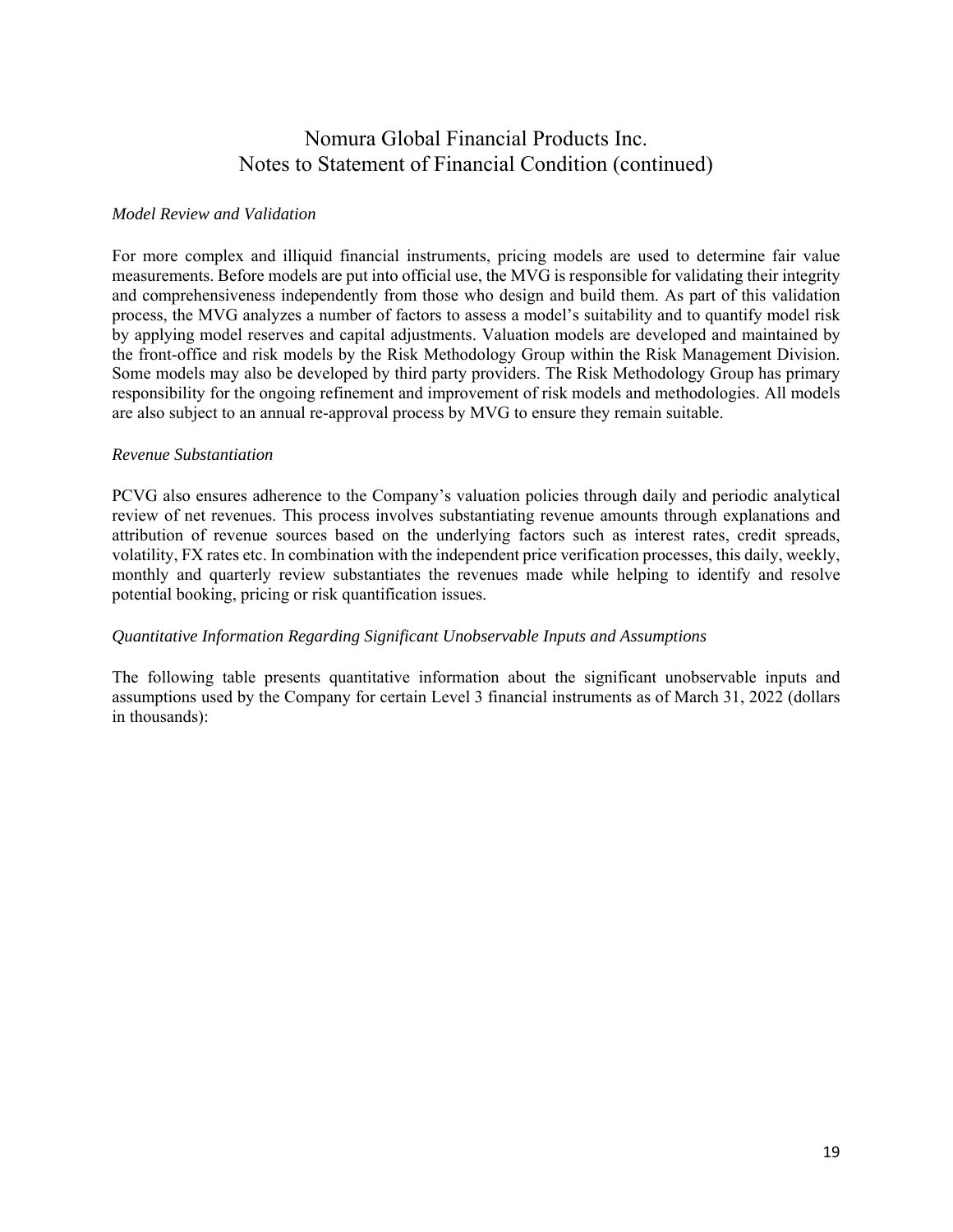#### *Model Review and Validation*

For more complex and illiquid financial instruments, pricing models are used to determine fair value measurements. Before models are put into official use, the MVG is responsible for validating their integrity and comprehensiveness independently from those who design and build them. As part of this validation process, the MVG analyzes a number of factors to assess a model's suitability and to quantify model risk by applying model reserves and capital adjustments. Valuation models are developed and maintained by the front-office and risk models by the Risk Methodology Group within the Risk Management Division. Some models may also be developed by third party providers. The Risk Methodology Group has primary responsibility for the ongoing refinement and improvement of risk models and methodologies. All models are also subject to an annual re-approval process by MVG to ensure they remain suitable.

#### *Revenue Substantiation*

PCVG also ensures adherence to the Company's valuation policies through daily and periodic analytical review of net revenues. This process involves substantiating revenue amounts through explanations and attribution of revenue sources based on the underlying factors such as interest rates, credit spreads, volatility, FX rates etc. In combination with the independent price verification processes, this daily, weekly, monthly and quarterly review substantiates the revenues made while helping to identify and resolve potential booking, pricing or risk quantification issues.

#### *Quantitative Information Regarding Significant Unobservable Inputs and Assumptions*

The following table presents quantitative information about the significant unobservable inputs and assumptions used by the Company for certain Level 3 financial instruments as of March 31, 2022 (dollars in thousands):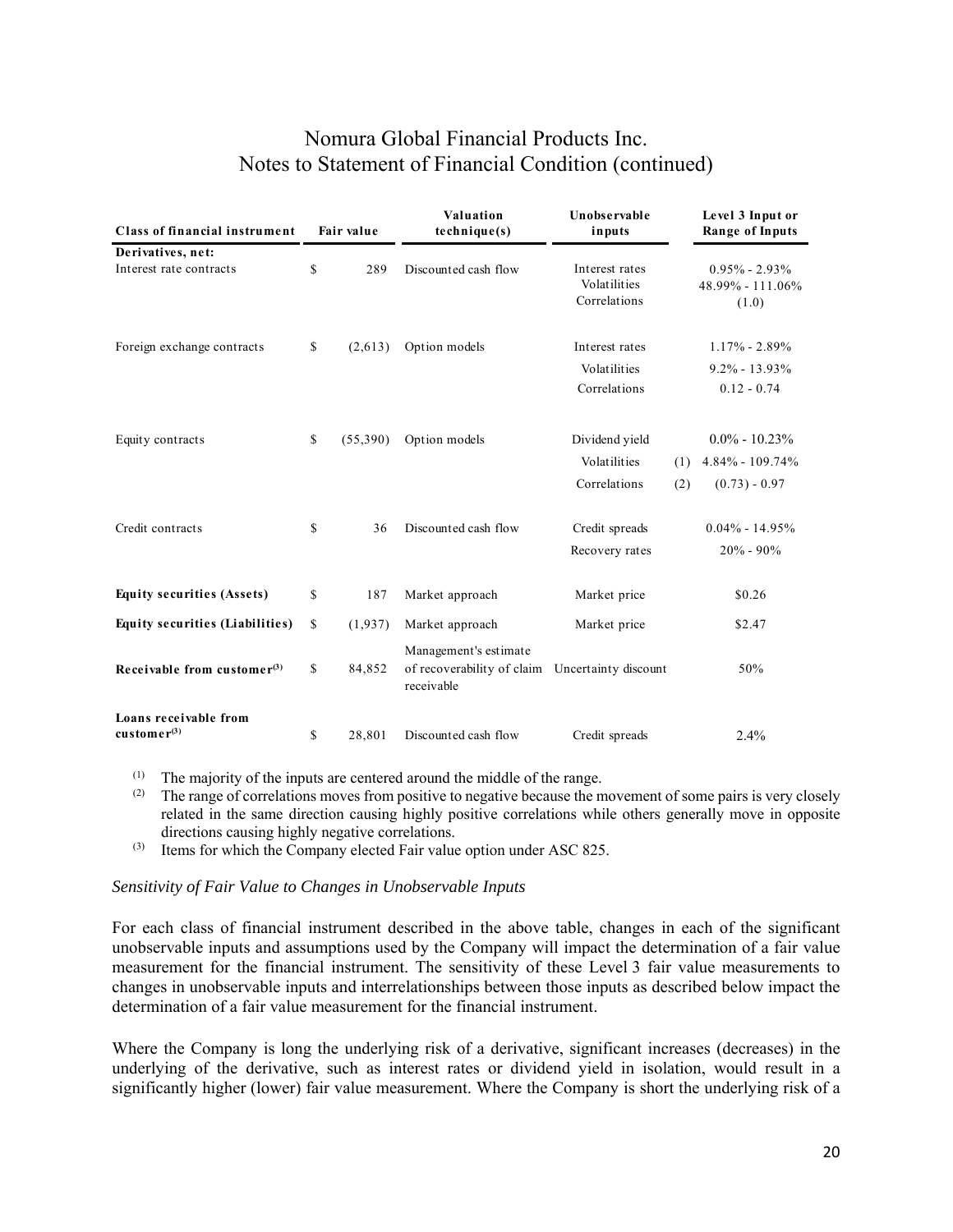| Class of financial instrument                    |    | Fair value | Valuation<br>technique(s)                                                              | Unobservable<br>inputs                         |     | Level 3 Input or<br><b>Range of Inputs</b>     |
|--------------------------------------------------|----|------------|----------------------------------------------------------------------------------------|------------------------------------------------|-----|------------------------------------------------|
| Derivatives, net:                                |    |            |                                                                                        |                                                |     |                                                |
| Interest rate contracts                          | \$ | 289        | Discounted cash flow                                                                   | Interest rates<br>Volatilities<br>Correlations |     | $0.95\% - 2.93\%$<br>48.99% - 111.06%<br>(1.0) |
| Foreign exchange contracts                       | \$ | (2,613)    | Option models                                                                          | Interest rates                                 |     | $1.17\% - 2.89\%$                              |
|                                                  |    |            |                                                                                        | Volatilities                                   |     | $9.2\% - 13.93\%$                              |
|                                                  |    |            |                                                                                        | Correlations                                   |     | $0.12 - 0.74$                                  |
| Equity contracts                                 | \$ | (55,390)   | Option models                                                                          | Dividend yield                                 |     | $0.0\% - 10.23\%$                              |
|                                                  |    |            |                                                                                        | Volatilities                                   | (1) | 4.84% - 109.74%                                |
|                                                  |    |            |                                                                                        | Correlations                                   | (2) | $(0.73) - 0.97$                                |
| Credit contracts                                 | \$ | 36         | Discounted cash flow                                                                   | Credit spreads                                 |     | $0.04\% - 14.95\%$                             |
|                                                  |    |            |                                                                                        | Recovery rates                                 |     | $20\% - 90\%$                                  |
| <b>Equity securities (Assets)</b>                | \$ | 187        | Market approach                                                                        | Market price                                   |     | \$0.26                                         |
| <b>Equity securities (Liabilities)</b>           | \$ | (1,937)    | Market approach                                                                        | Market price                                   |     | \$2.47                                         |
| Receivable from customer <sup>(3)</sup>          | \$ | 84,852     | Management's estimate<br>of recoverability of claim Uncertainty discount<br>receivable |                                                |     | 50%                                            |
| Loans receivable from<br>customer <sup>(3)</sup> | \$ | 28,801     | Discounted cash flow                                                                   | Credit spreads                                 |     | 2.4%                                           |

(1) The majority of the inputs are centered around the middle of the range.<br>(2) The range of correlations moves from positive to negative because the m

- The range of correlations moves from positive to negative because the movement of some pairs is very closely related in the same direction causing highly positive correlations while others generally move in opposite directions causing highly negative correlations.
- (3) Items for which the Company elected Fair value option under ASC 825.

#### *Sensitivity of Fair Value to Changes in Unobservable Inputs*

For each class of financial instrument described in the above table, changes in each of the significant unobservable inputs and assumptions used by the Company will impact the determination of a fair value measurement for the financial instrument. The sensitivity of these Level 3 fair value measurements to changes in unobservable inputs and interrelationships between those inputs as described below impact the determination of a fair value measurement for the financial instrument.

Where the Company is long the underlying risk of a derivative, significant increases (decreases) in the underlying of the derivative, such as interest rates or dividend yield in isolation, would result in a significantly higher (lower) fair value measurement. Where the Company is short the underlying risk of a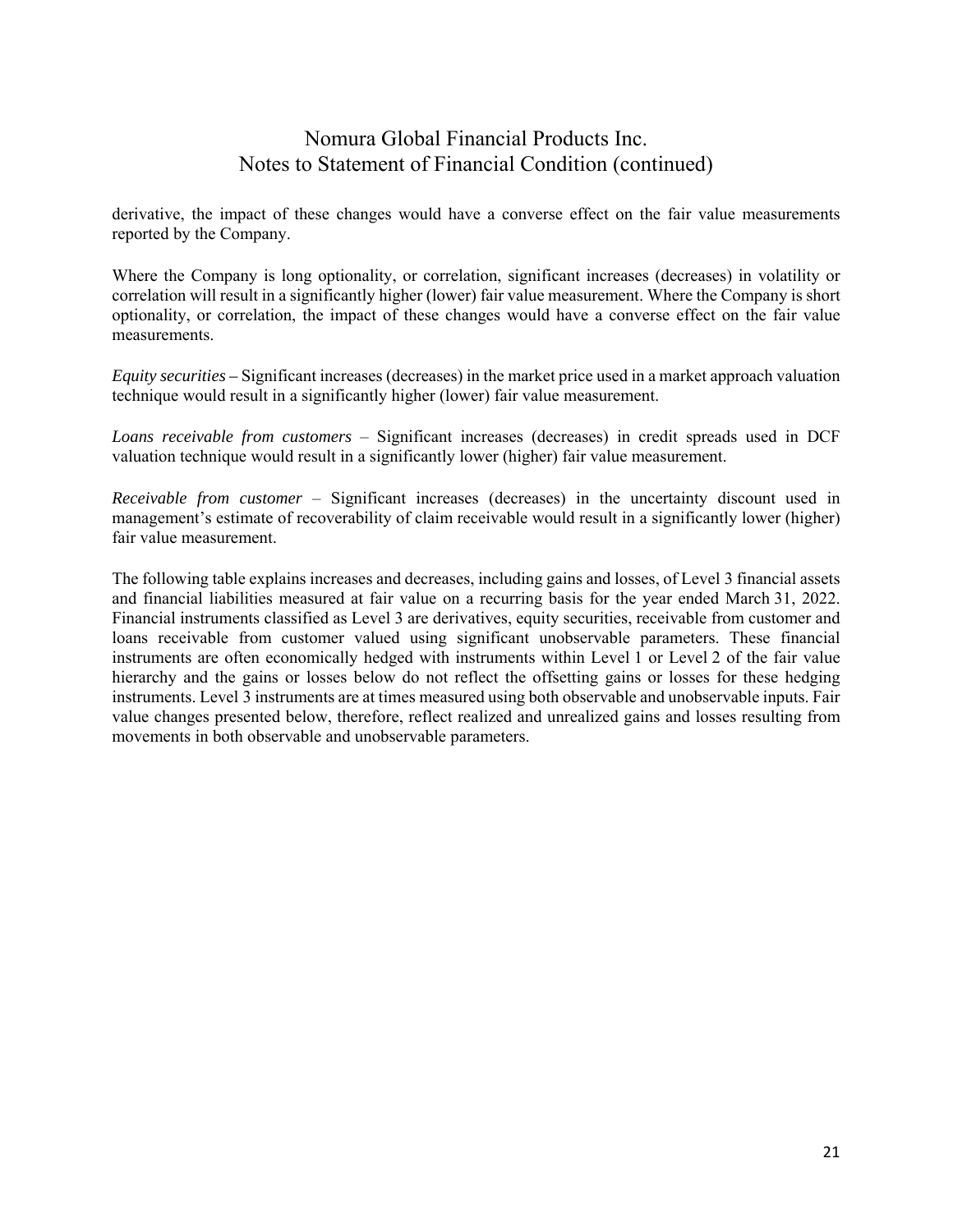derivative, the impact of these changes would have a converse effect on the fair value measurements reported by the Company.

Where the Company is long optionality, or correlation, significant increases (decreases) in volatility or correlation will result in a significantly higher (lower) fair value measurement. Where the Company is short optionality, or correlation, the impact of these changes would have a converse effect on the fair value measurements.

*Equity securities –* Significant increases (decreases) in the market price used in a market approach valuation technique would result in a significantly higher (lower) fair value measurement.

*Loans receivable from customers* – Significant increases (decreases) in credit spreads used in DCF valuation technique would result in a significantly lower (higher) fair value measurement.

*Receivable from customer* – Significant increases (decreases) in the uncertainty discount used in management's estimate of recoverability of claim receivable would result in a significantly lower (higher) fair value measurement.

The following table explains increases and decreases, including gains and losses, of Level 3 financial assets and financial liabilities measured at fair value on a recurring basis for the year ended March 31, 2022. Financial instruments classified as Level 3 are derivatives, equity securities, receivable from customer and loans receivable from customer valued using significant unobservable parameters. These financial instruments are often economically hedged with instruments within Level 1 or Level 2 of the fair value hierarchy and the gains or losses below do not reflect the offsetting gains or losses for these hedging instruments. Level 3 instruments are at times measured using both observable and unobservable inputs. Fair value changes presented below, therefore, reflect realized and unrealized gains and losses resulting from movements in both observable and unobservable parameters.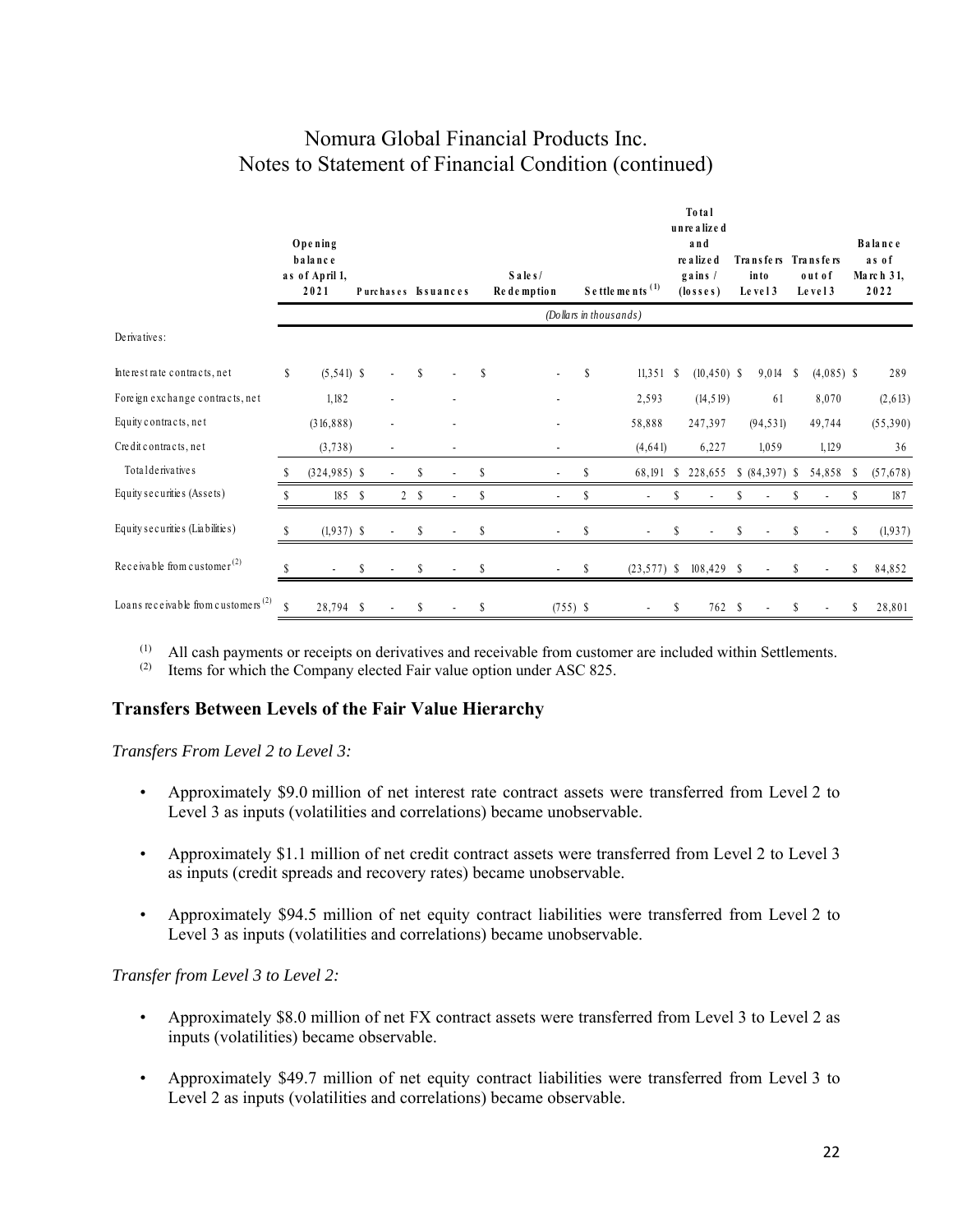|                                                |             | Opening<br>balance<br>as of April 1,<br>2021 |    | Purchases Issuances |    |                          |    | $S$ a le s/<br>Re de mption |    | Settlements <sup>(1)</sup> |    | Total<br>unre a lize d<br>and<br>re a liz e d<br>$g \sin s$<br>$(\log s e s)$ |   | Transfers Transfers<br>in to<br>Level 3 |   | out of<br>Level 3 |    | <b>Balance</b><br>as of<br>March 31,<br>2022 |
|------------------------------------------------|-------------|----------------------------------------------|----|---------------------|----|--------------------------|----|-----------------------------|----|----------------------------|----|-------------------------------------------------------------------------------|---|-----------------------------------------|---|-------------------|----|----------------------------------------------|
|                                                |             |                                              |    |                     |    |                          |    |                             |    | (Dollars in thousands)     |    |                                                                               |   |                                         |   |                   |    |                                              |
| De riva tive s:                                |             |                                              |    |                     |    |                          |    |                             |    |                            |    |                                                                               |   |                                         |   |                   |    |                                              |
| Interest rate contracts, net                   | S           | $(5, 541)$ \$                                |    | $\blacksquare$      | S  |                          | S  | $\blacksquare$              | S  | $11,351$ \$                |    | $(10, 450)$ \$                                                                |   | $9,014$ \$                              |   | $(4,085)$ \$      |    | 289                                          |
| Foreign exchange contracts, net                |             | 1,182                                        |    |                     |    |                          |    |                             |    | 2,593                      |    | (14, 519)                                                                     |   | 61                                      |   | 8,070             |    | (2, 613)                                     |
| Equity contracts, net                          |             | (316,888)                                    |    | $\blacksquare$      |    |                          |    |                             |    | 58,888                     |    | 247,397                                                                       |   | (94, 531)                               |   | 49,744            |    | (55,390)                                     |
| Credit contracts, net                          |             | (3, 738)                                     |    | $\overline{a}$      |    |                          |    |                             |    | (4, 641)                   |    | 6,227                                                                         |   | 1,059                                   |   | 1,129             |    | 36                                           |
| Total de rivative s                            |             | $(324, 985)$ \$                              |    |                     |    |                          | \$ |                             | S  | 68,191 \$                  |    | 228,655                                                                       |   | \$ (84,397) \$                          |   | 54,858            | -S | (57,678)                                     |
| Equity securities (Assets)                     |             | 185                                          | -S | $\overline{2}$      | -S |                          | \$ |                             | S  |                            | \$ | ٠                                                                             | S |                                         |   |                   |    | 187                                          |
| Equity securities (Liabilities)                | S           | $(1,937)$ \$                                 |    |                     | S  |                          | \$ |                             | \$ |                            | S  |                                                                               | S |                                         |   |                   | S. | (1, 937)                                     |
| Receivable from customer <sup>(2)</sup>        | \$          | $\overline{\phantom{a}}$                     | s  |                     | S  | $\overline{\phantom{a}}$ | S  |                             | \$ | $(23,577)$ \$              |    | $108,429$ \$                                                                  |   |                                         | S |                   | \$ | 84,852                                       |
| Loans receivable from customers <sup>(2)</sup> | $\mathbf S$ | 28,794 \$                                    |    |                     | S  |                          | \$ | $(755)$ \$                  |    | $\overline{\phantom{a}}$   | \$ | 762 \$                                                                        |   |                                         | s |                   | \$ | 28,801                                       |

 $<sup>(1)</sup>$  All cash payments or receipts on derivatives and receivable from customer are included within Settlements.</sup>

(2) Items for which the Company elected Fair value option under ASC 825.

### **Transfers Between Levels of the Fair Value Hierarchy**

*Transfers From Level 2 to Level 3:* 

- Approximately \$9.0 million of net interest rate contract assets were transferred from Level 2 to Level 3 as inputs (volatilities and correlations) became unobservable.
- Approximately \$1.1 million of net credit contract assets were transferred from Level 2 to Level 3 as inputs (credit spreads and recovery rates) became unobservable.
- Approximately \$94.5 million of net equity contract liabilities were transferred from Level 2 to Level 3 as inputs (volatilities and correlations) became unobservable.

#### *Transfer from Level 3 to Level 2:*

- Approximately \$8.0 million of net FX contract assets were transferred from Level 3 to Level 2 as inputs (volatilities) became observable.
- Approximately \$49.7 million of net equity contract liabilities were transferred from Level 3 to Level 2 as inputs (volatilities and correlations) became observable.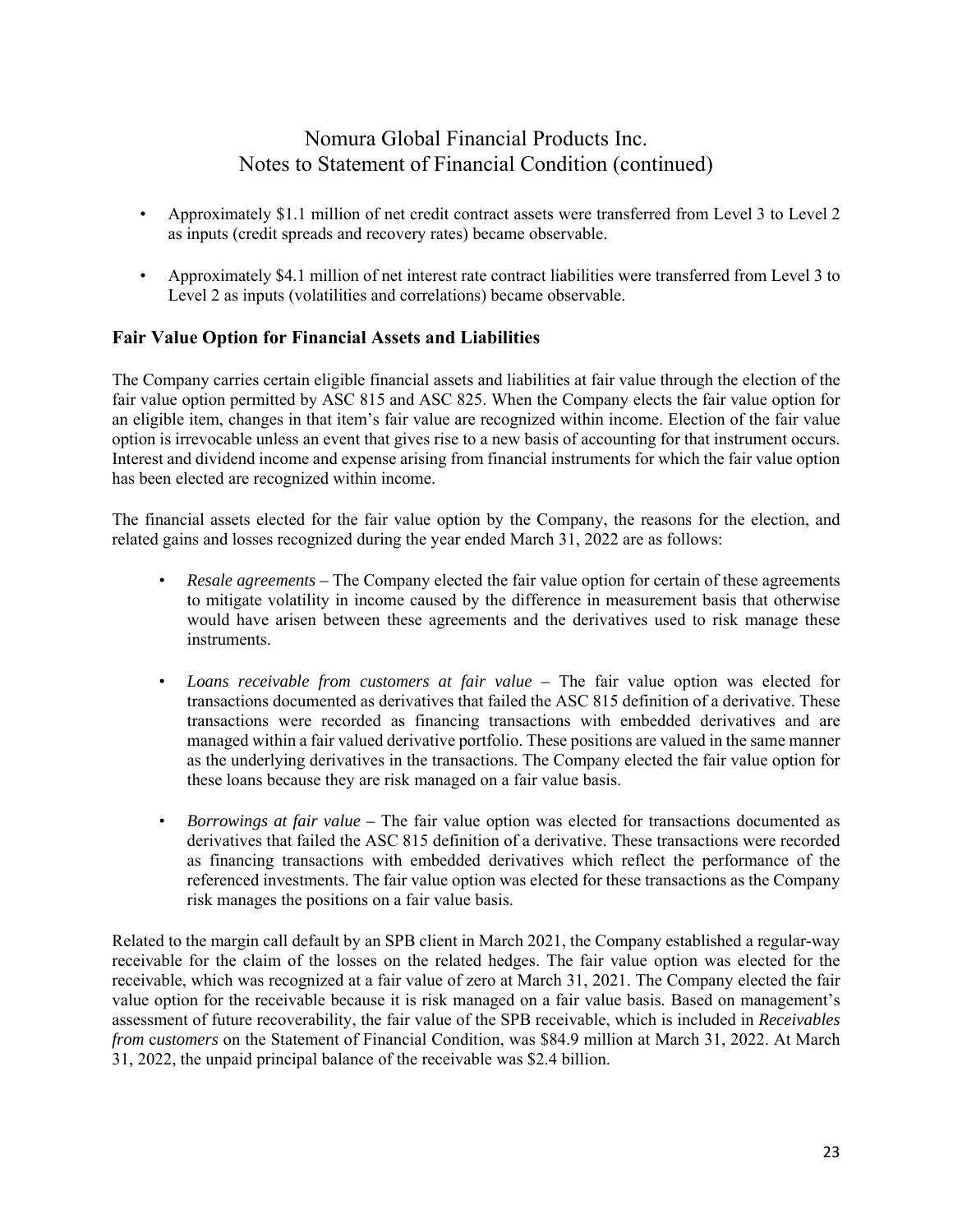- Approximately \$1.1 million of net credit contract assets were transferred from Level 3 to Level 2 as inputs (credit spreads and recovery rates) became observable.
- Approximately \$4.1 million of net interest rate contract liabilities were transferred from Level 3 to Level 2 as inputs (volatilities and correlations) became observable.

### **Fair Value Option for Financial Assets and Liabilities**

The Company carries certain eligible financial assets and liabilities at fair value through the election of the fair value option permitted by ASC 815 and ASC 825. When the Company elects the fair value option for an eligible item, changes in that item's fair value are recognized within income. Election of the fair value option is irrevocable unless an event that gives rise to a new basis of accounting for that instrument occurs. Interest and dividend income and expense arising from financial instruments for which the fair value option has been elected are recognized within income.

The financial assets elected for the fair value option by the Company, the reasons for the election, and related gains and losses recognized during the year ended March 31, 2022 are as follows:

- *Resale agreements* The Company elected the fair value option for certain of these agreements to mitigate volatility in income caused by the difference in measurement basis that otherwise would have arisen between these agreements and the derivatives used to risk manage these instruments.
- *Loans receivable from customers at fair value* The fair value option was elected for transactions documented as derivatives that failed the ASC 815 definition of a derivative. These transactions were recorded as financing transactions with embedded derivatives and are managed within a fair valued derivative portfolio. These positions are valued in the same manner as the underlying derivatives in the transactions. The Company elected the fair value option for these loans because they are risk managed on a fair value basis.
- *Borrowings at fair value –* The fair value option was elected for transactions documented as derivatives that failed the ASC 815 definition of a derivative. These transactions were recorded as financing transactions with embedded derivatives which reflect the performance of the referenced investments. The fair value option was elected for these transactions as the Company risk manages the positions on a fair value basis.

Related to the margin call default by an SPB client in March 2021, the Company established a regular-way receivable for the claim of the losses on the related hedges. The fair value option was elected for the receivable, which was recognized at a fair value of zero at March 31, 2021. The Company elected the fair value option for the receivable because it is risk managed on a fair value basis. Based on management's assessment of future recoverability, the fair value of the SPB receivable, which is included in *Receivables from customers* on the Statement of Financial Condition, was \$84.9 million at March 31, 2022. At March 31, 2022, the unpaid principal balance of the receivable was \$2.4 billion.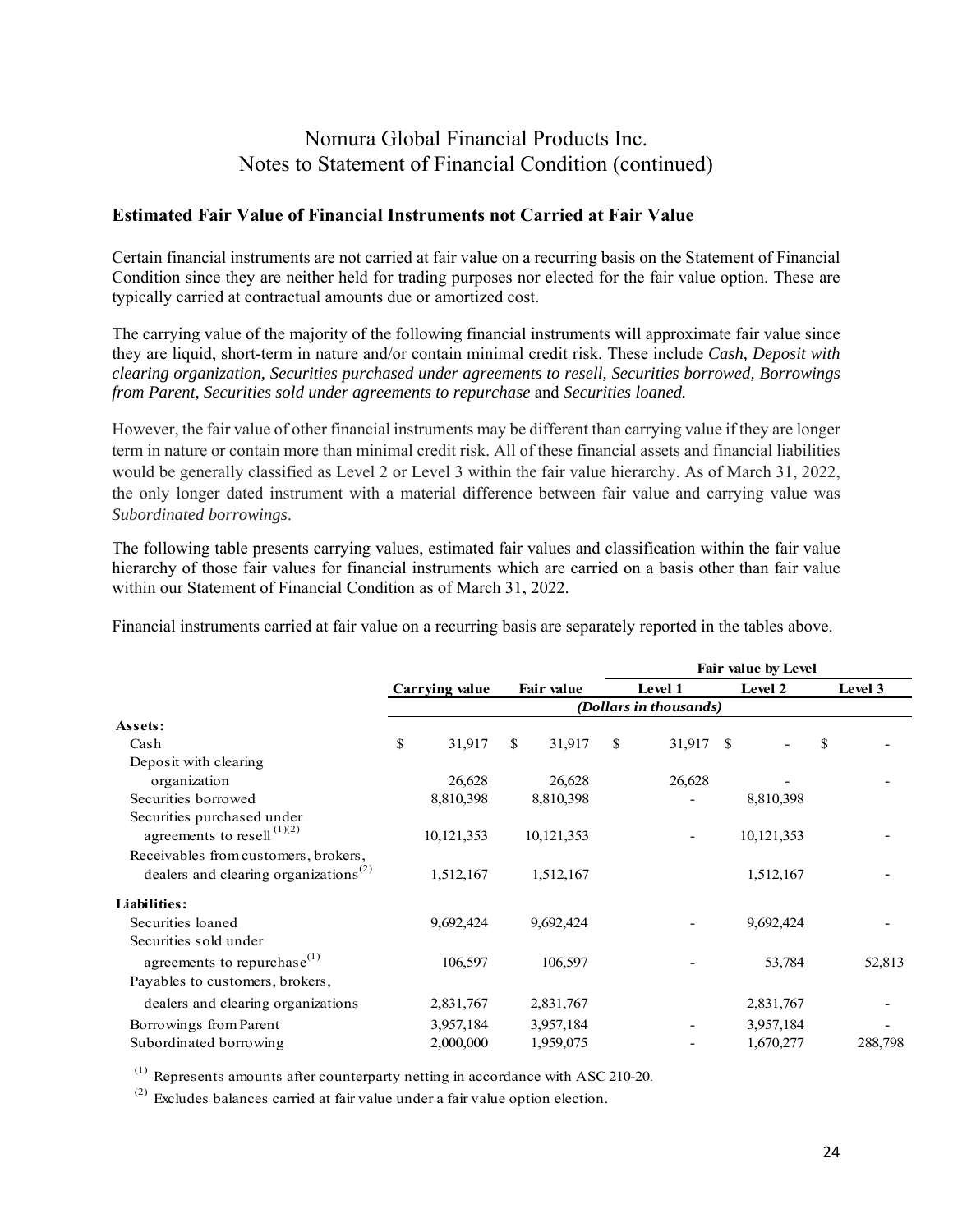### **Estimated Fair Value of Financial Instruments not Carried at Fair Value**

Certain financial instruments are not carried at fair value on a recurring basis on the Statement of Financial Condition since they are neither held for trading purposes nor elected for the fair value option. These are typically carried at contractual amounts due or amortized cost.

The carrying value of the majority of the following financial instruments will approximate fair value since they are liquid, short-term in nature and/or contain minimal credit risk. These include *Cash, Deposit with clearing organization, Securities purchased under agreements to resell, Securities borrowed, Borrowings from Parent, Securities sold under agreements to repurchase* and *Securities loaned.* 

However, the fair value of other financial instruments may be different than carrying value if they are longer term in nature or contain more than minimal credit risk. All of these financial assets and financial liabilities would be generally classified as Level 2 or Level 3 within the fair value hierarchy. As of March 31, 2022, the only longer dated instrument with a material difference between fair value and carrying value was *Subordinated borrowings*.

The following table presents carrying values, estimated fair values and classification within the fair value hierarchy of those fair values for financial instruments which are carried on a basis other than fair value within our Statement of Financial Condition as of March 31, 2022.

Financial instruments carried at fair value on a recurring basis are separately reported in the tables above.

|                                                                |                       |              |    |            |                        |              | Fair value by Level |    |         |
|----------------------------------------------------------------|-----------------------|--------------|----|------------|------------------------|--------------|---------------------|----|---------|
|                                                                | <b>Carrying value</b> |              |    | Fair value | Level 1                | Level 2      |                     |    | Level 3 |
|                                                                |                       |              |    |            | (Dollars in thousands) |              |                     |    |         |
| Assets:                                                        |                       |              |    |            |                        |              |                     |    |         |
| Cash                                                           | \$                    | 31,917       | \$ | 31,917     | \$<br>31,917           | <sup>S</sup> |                     | \$ |         |
| Deposit with clearing                                          |                       |              |    |            |                        |              |                     |    |         |
| organization                                                   |                       | 26,628       |    | 26,628     | 26,628                 |              |                     |    |         |
| Securities borrowed                                            |                       | 8,810,398    |    | 8,810,398  |                        |              | 8,810,398           |    |         |
| Securities purchased under                                     |                       |              |    |            |                        |              |                     |    |         |
| agreements to resell $^{(1)(2)}$                               |                       | 10, 121, 353 |    | 10,121,353 |                        |              | 10,121,353          |    |         |
| Receivables from customers, brokers,                           |                       |              |    |            |                        |              |                     |    |         |
| dealers and clearing organizations <sup><math>(2)</math></sup> |                       | 1,512,167    |    | 1,512,167  |                        |              | 1,512,167           |    |         |
| Liabilities:                                                   |                       |              |    |            |                        |              |                     |    |         |
| Securities loaned                                              |                       | 9,692,424    |    | 9,692,424  |                        |              | 9,692,424           |    |         |
| Securities sold under                                          |                       |              |    |            |                        |              |                     |    |         |
| agreements to repurchase <sup>(1)</sup>                        |                       | 106,597      |    | 106,597    |                        |              | 53,784              |    | 52,813  |
| Payables to customers, brokers,                                |                       |              |    |            |                        |              |                     |    |         |
| dealers and clearing organizations                             |                       | 2,831,767    |    | 2,831,767  |                        |              | 2,831,767           |    |         |
| Borrowings from Parent                                         |                       | 3,957,184    |    | 3,957,184  |                        |              | 3,957,184           |    |         |
| Subordinated borrowing                                         |                       | 2,000,000    |    | 1,959,075  |                        |              | 1,670,277           |    | 288,798 |

(1) Represents amounts after counterparty netting in accordance with ASC 210-20.

 $(2)$  Excludes balances carried at fair value under a fair value option election.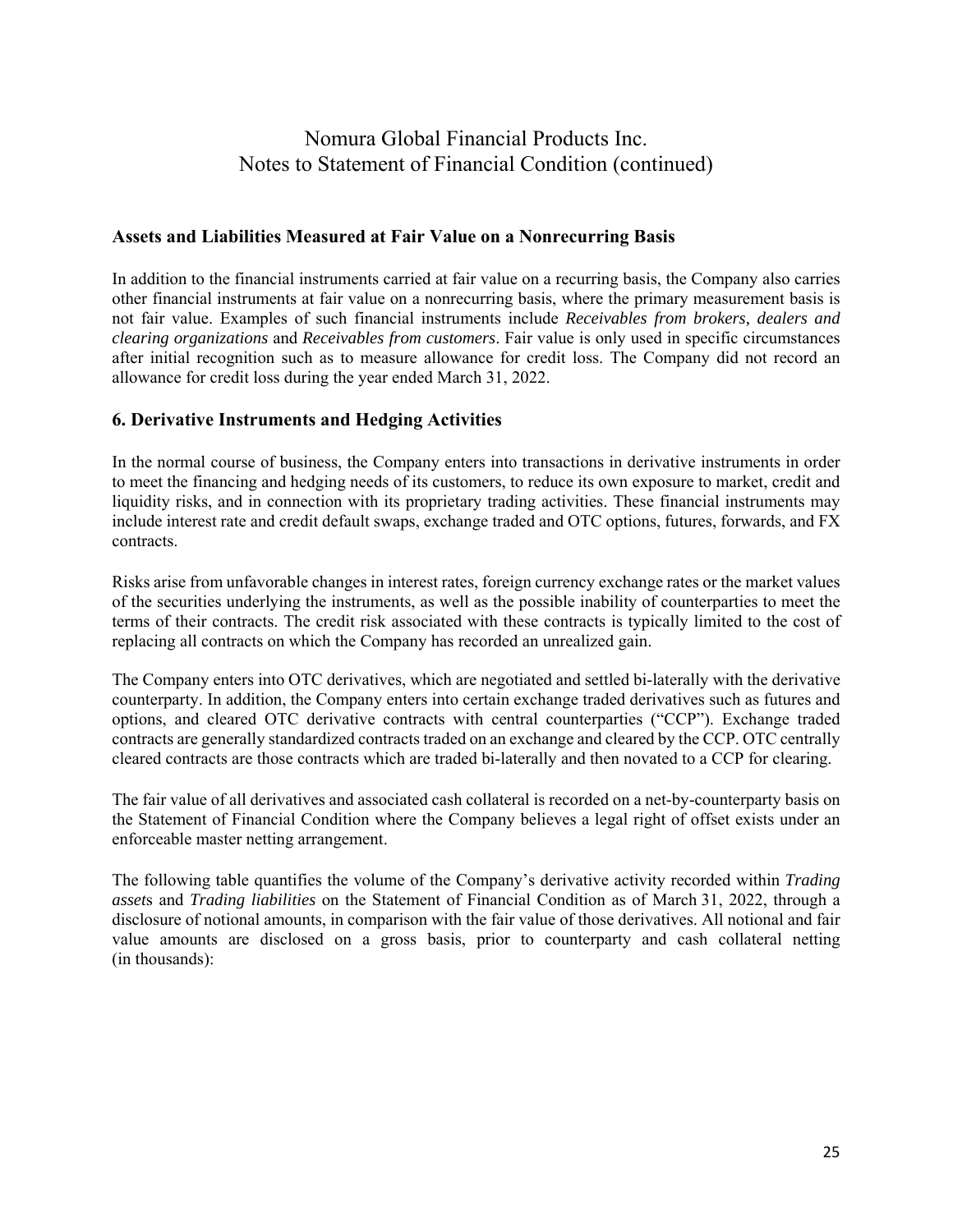### **Assets and Liabilities Measured at Fair Value on a Nonrecurring Basis**

In addition to the financial instruments carried at fair value on a recurring basis, the Company also carries other financial instruments at fair value on a nonrecurring basis, where the primary measurement basis is not fair value. Examples of such financial instruments include *Receivables from brokers, dealers and clearing organizations* and *Receivables from customers*. Fair value is only used in specific circumstances after initial recognition such as to measure allowance for credit loss. The Company did not record an allowance for credit loss during the year ended March 31, 2022.

### **6. Derivative Instruments and Hedging Activities**

In the normal course of business, the Company enters into transactions in derivative instruments in order to meet the financing and hedging needs of its customers, to reduce its own exposure to market, credit and liquidity risks, and in connection with its proprietary trading activities. These financial instruments may include interest rate and credit default swaps, exchange traded and OTC options, futures, forwards, and FX contracts.

Risks arise from unfavorable changes in interest rates, foreign currency exchange rates or the market values of the securities underlying the instruments, as well as the possible inability of counterparties to meet the terms of their contracts. The credit risk associated with these contracts is typically limited to the cost of replacing all contracts on which the Company has recorded an unrealized gain.

The Company enters into OTC derivatives, which are negotiated and settled bi-laterally with the derivative counterparty. In addition, the Company enters into certain exchange traded derivatives such as futures and options, and cleared OTC derivative contracts with central counterparties ("CCP"). Exchange traded contracts are generally standardized contracts traded on an exchange and cleared by the CCP. OTC centrally cleared contracts are those contracts which are traded bi-laterally and then novated to a CCP for clearing.

The fair value of all derivatives and associated cash collateral is recorded on a net-by-counterparty basis on the Statement of Financial Condition where the Company believes a legal right of offset exists under an enforceable master netting arrangement.

The following table quantifies the volume of the Company's derivative activity recorded within *Trading asset*s and *Trading liabilities* on the Statement of Financial Condition as of March 31, 2022, through a disclosure of notional amounts, in comparison with the fair value of those derivatives. All notional and fair value amounts are disclosed on a gross basis, prior to counterparty and cash collateral netting (in thousands):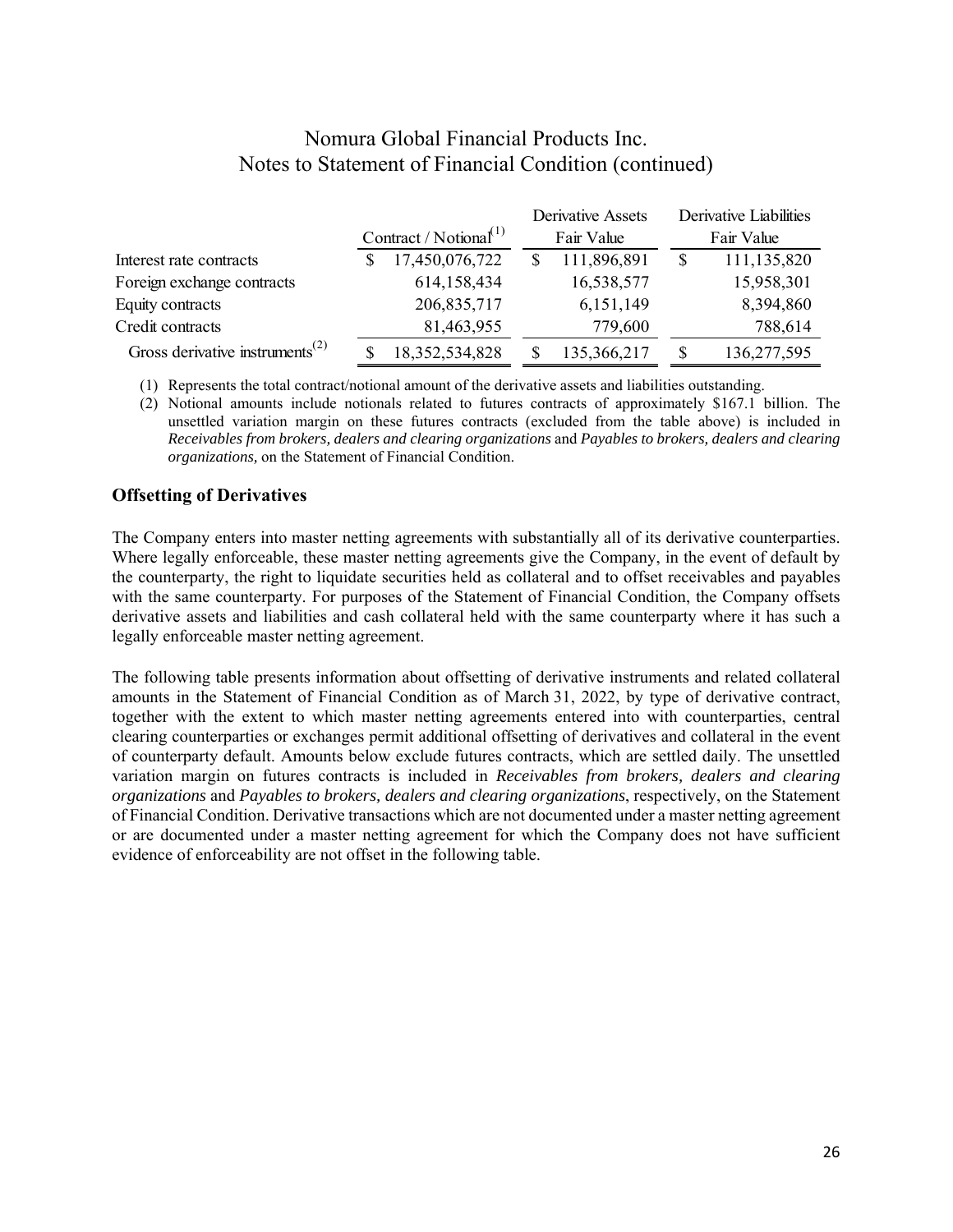|                                                          |                                    |                |  | <b>Derivative Assets</b> | Derivative Liabilities |
|----------------------------------------------------------|------------------------------------|----------------|--|--------------------------|------------------------|
|                                                          | Contract / Notional <sup>(1)</sup> |                |  | Fair Value               | Fair Value             |
| Interest rate contracts                                  |                                    | 17,450,076,722 |  | 111,896,891              | \$<br>111,135,820      |
| Foreign exchange contracts                               |                                    | 614,158,434    |  | 16,538,577               | 15,958,301             |
| Equity contracts                                         |                                    | 206,835,717    |  | 6,151,149                | 8,394,860              |
| Credit contracts                                         |                                    | 81,463,955     |  | 779,600                  | 788,614                |
| Gross derivative instruments <sup><math>(2)</math></sup> |                                    | 18,352,534,828 |  | 135,366,217              | \$<br>136,277,595      |

(1) Represents the total contract/notional amount of the derivative assets and liabilities outstanding.

(2) Notional amounts include notionals related to futures contracts of approximately \$167.1 billion. The unsettled variation margin on these futures contracts (excluded from the table above) is included in *Receivables from brokers, dealers and clearing organizations* and *Payables to brokers, dealers and clearing organizations,* on the Statement of Financial Condition.

### **Offsetting of Derivatives**

The Company enters into master netting agreements with substantially all of its derivative counterparties. Where legally enforceable, these master netting agreements give the Company, in the event of default by the counterparty, the right to liquidate securities held as collateral and to offset receivables and payables with the same counterparty. For purposes of the Statement of Financial Condition, the Company offsets derivative assets and liabilities and cash collateral held with the same counterparty where it has such a legally enforceable master netting agreement.

The following table presents information about offsetting of derivative instruments and related collateral amounts in the Statement of Financial Condition as of March 31, 2022, by type of derivative contract, together with the extent to which master netting agreements entered into with counterparties, central clearing counterparties or exchanges permit additional offsetting of derivatives and collateral in the event of counterparty default. Amounts below exclude futures contracts, which are settled daily. The unsettled variation margin on futures contracts is included in *Receivables from brokers, dealers and clearing organizations* and *Payables to brokers, dealers and clearing organizations*, respectively, on the Statement of Financial Condition. Derivative transactions which are not documented under a master netting agreement or are documented under a master netting agreement for which the Company does not have sufficient evidence of enforceability are not offset in the following table.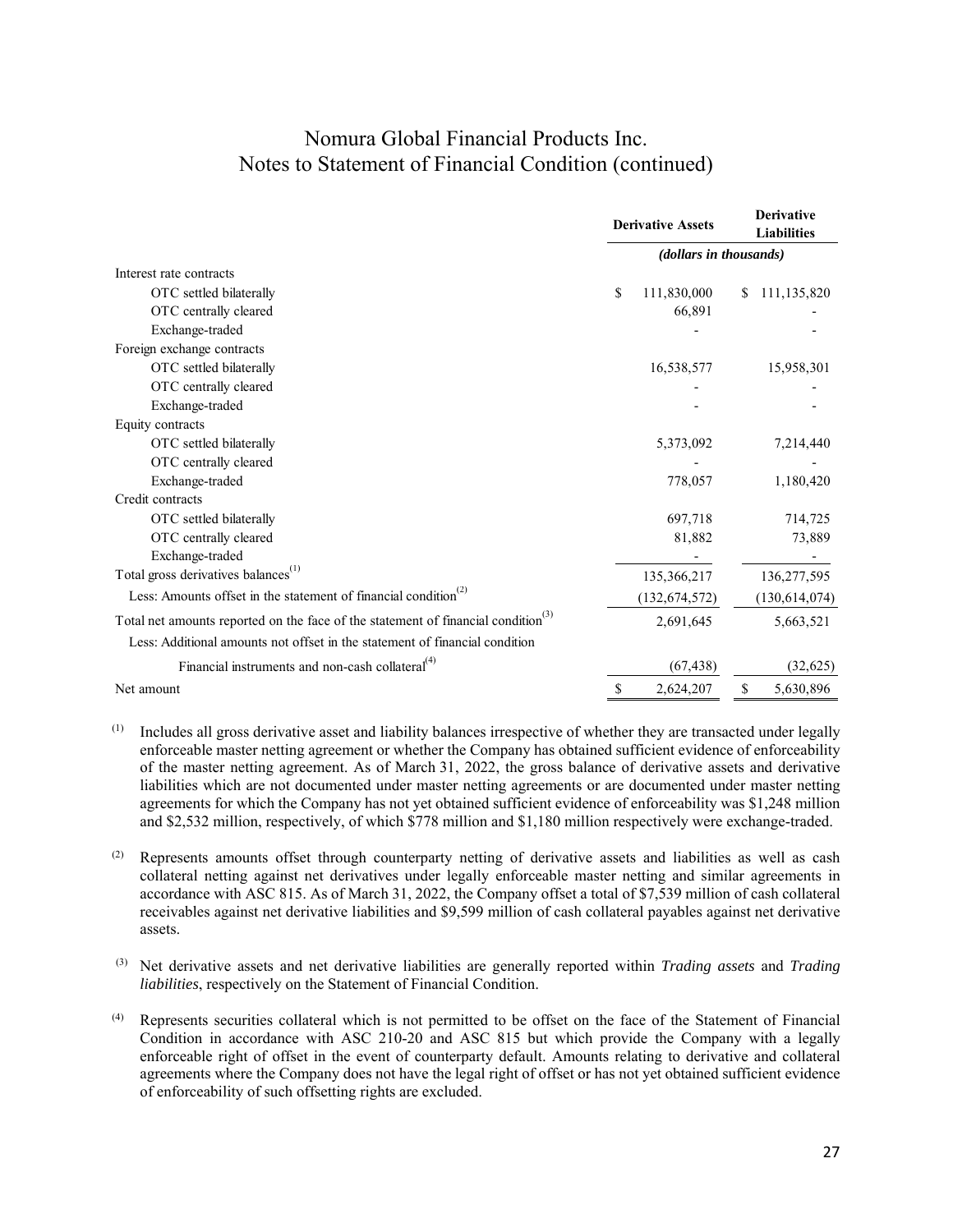|                                                                                               | <b>Derivative Assets</b> |                 |    | <b>Derivative</b><br><b>Liabilities</b> |
|-----------------------------------------------------------------------------------------------|--------------------------|-----------------|----|-----------------------------------------|
|                                                                                               | (dollars in thousands)   |                 |    |                                         |
| Interest rate contracts                                                                       |                          |                 |    |                                         |
| OTC settled bilaterally                                                                       | \$                       | 111,830,000     | S. | 111,135,820                             |
| OTC centrally cleared                                                                         |                          | 66,891          |    |                                         |
| Exchange-traded                                                                               |                          |                 |    |                                         |
| Foreign exchange contracts                                                                    |                          |                 |    |                                         |
| OTC settled bilaterally                                                                       |                          | 16,538,577      |    | 15,958,301                              |
| OTC centrally cleared                                                                         |                          |                 |    |                                         |
| Exchange-traded                                                                               |                          |                 |    |                                         |
| Equity contracts                                                                              |                          |                 |    |                                         |
| OTC settled bilaterally                                                                       |                          | 5,373,092       |    | 7,214,440                               |
| OTC centrally cleared                                                                         |                          |                 |    |                                         |
| Exchange-traded                                                                               |                          | 778,057         |    | 1,180,420                               |
| Credit contracts                                                                              |                          |                 |    |                                         |
| OTC settled bilaterally                                                                       |                          | 697,718         |    | 714,725                                 |
| OTC centrally cleared                                                                         |                          | 81,882          |    | 73,889                                  |
| Exchange-traded                                                                               |                          |                 |    |                                         |
| Total gross derivatives balances <sup>(1)</sup>                                               |                          | 135,366,217     |    | 136,277,595                             |
| Less: Amounts offset in the statement of financial condition <sup>(2)</sup>                   |                          | (132, 674, 572) |    | (130, 614, 074)                         |
| Total net amounts reported on the face of the statement of financial condition <sup>(3)</sup> |                          | 2,691,645       |    | 5,663,521                               |
| Less: Additional amounts not offset in the statement of financial condition                   |                          |                 |    |                                         |
| Financial instruments and non-cash collateral <sup>(4)</sup>                                  |                          | (67, 438)       |    | (32, 625)                               |
| Net amount                                                                                    | \$                       | 2,624,207       | \$ | 5,630,896                               |

- (1) Includes all gross derivative asset and liability balances irrespective of whether they are transacted under legally enforceable master netting agreement or whether the Company has obtained sufficient evidence of enforceability of the master netting agreement. As of March 31, 2022, the gross balance of derivative assets and derivative liabilities which are not documented under master netting agreements or are documented under master netting agreements for which the Company has not yet obtained sufficient evidence of enforceability was \$1,248 million and \$2,532 million, respectively, of which \$778 million and \$1,180 million respectively were exchange-traded.
- <sup>(2)</sup> Represents amounts offset through counterparty netting of derivative assets and liabilities as well as cash collateral netting against net derivatives under legally enforceable master netting and similar agreements in accordance with ASC 815. As of March 31, 2022, the Company offset a total of \$7,539 million of cash collateral receivables against net derivative liabilities and \$9,599 million of cash collateral payables against net derivative assets.
- (3) Net derivative assets and net derivative liabilities are generally reported within *Trading assets* and *Trading liabilities*, respectively on the Statement of Financial Condition.
- (4) Represents securities collateral which is not permitted to be offset on the face of the Statement of Financial Condition in accordance with ASC 210-20 and ASC 815 but which provide the Company with a legally enforceable right of offset in the event of counterparty default. Amounts relating to derivative and collateral agreements where the Company does not have the legal right of offset or has not yet obtained sufficient evidence of enforceability of such offsetting rights are excluded.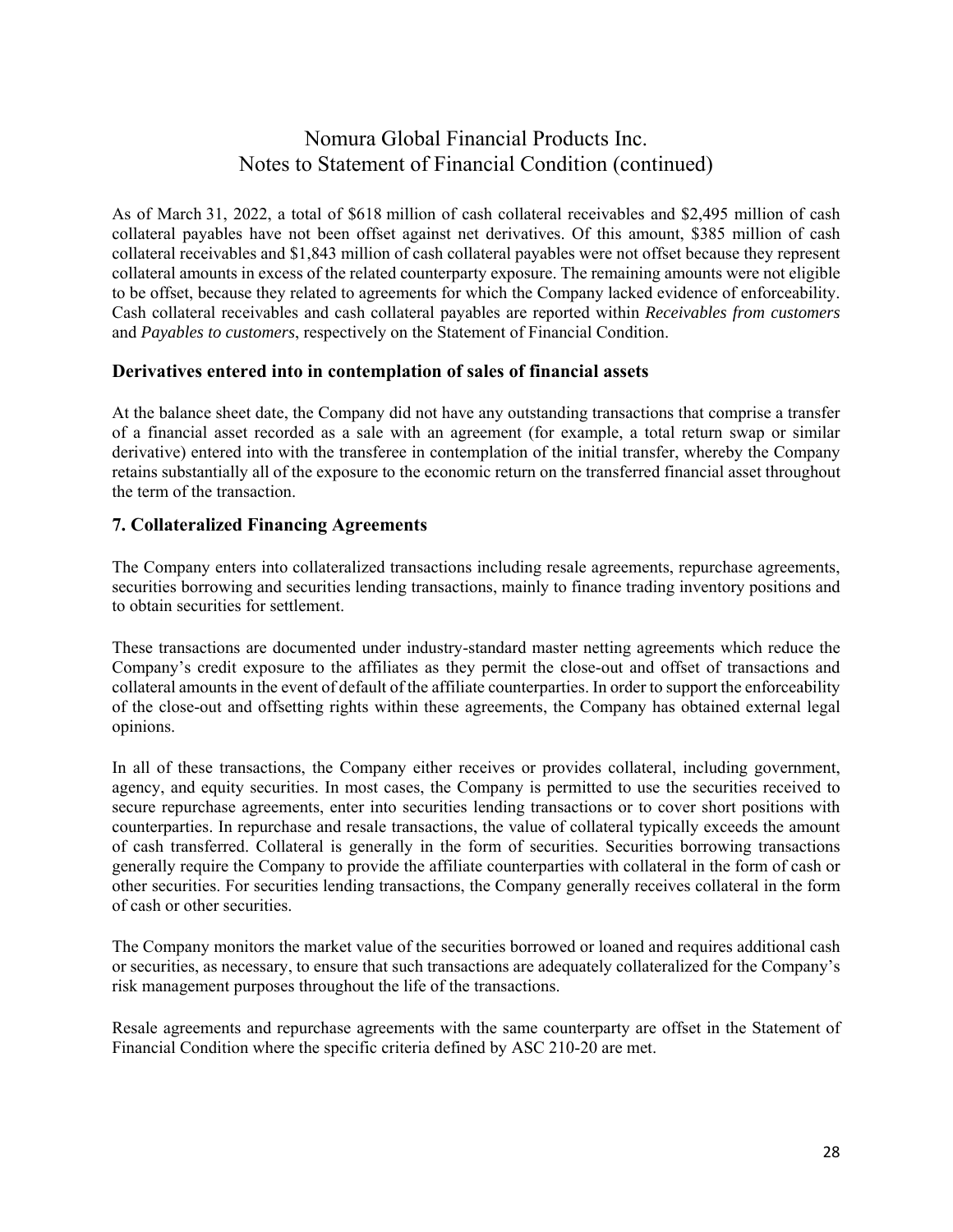As of March 31, 2022, a total of \$618 million of cash collateral receivables and \$2,495 million of cash collateral payables have not been offset against net derivatives. Of this amount, \$385 million of cash collateral receivables and \$1,843 million of cash collateral payables were not offset because they represent collateral amounts in excess of the related counterparty exposure. The remaining amounts were not eligible to be offset, because they related to agreements for which the Company lacked evidence of enforceability. Cash collateral receivables and cash collateral payables are reported within *Receivables from customers* and *Payables to customers*, respectively on the Statement of Financial Condition.

#### **Derivatives entered into in contemplation of sales of financial assets**

At the balance sheet date, the Company did not have any outstanding transactions that comprise a transfer of a financial asset recorded as a sale with an agreement (for example, a total return swap or similar derivative) entered into with the transferee in contemplation of the initial transfer, whereby the Company retains substantially all of the exposure to the economic return on the transferred financial asset throughout the term of the transaction.

### **7. Collateralized Financing Agreements**

The Company enters into collateralized transactions including resale agreements, repurchase agreements, securities borrowing and securities lending transactions, mainly to finance trading inventory positions and to obtain securities for settlement.

These transactions are documented under industry-standard master netting agreements which reduce the Company's credit exposure to the affiliates as they permit the close-out and offset of transactions and collateral amounts in the event of default of the affiliate counterparties. In order to support the enforceability of the close-out and offsetting rights within these agreements, the Company has obtained external legal opinions.

In all of these transactions, the Company either receives or provides collateral, including government, agency, and equity securities. In most cases, the Company is permitted to use the securities received to secure repurchase agreements, enter into securities lending transactions or to cover short positions with counterparties. In repurchase and resale transactions, the value of collateral typically exceeds the amount of cash transferred. Collateral is generally in the form of securities. Securities borrowing transactions generally require the Company to provide the affiliate counterparties with collateral in the form of cash or other securities. For securities lending transactions, the Company generally receives collateral in the form of cash or other securities.

The Company monitors the market value of the securities borrowed or loaned and requires additional cash or securities, as necessary, to ensure that such transactions are adequately collateralized for the Company's risk management purposes throughout the life of the transactions.

Resale agreements and repurchase agreements with the same counterparty are offset in the Statement of Financial Condition where the specific criteria defined by ASC 210-20 are met.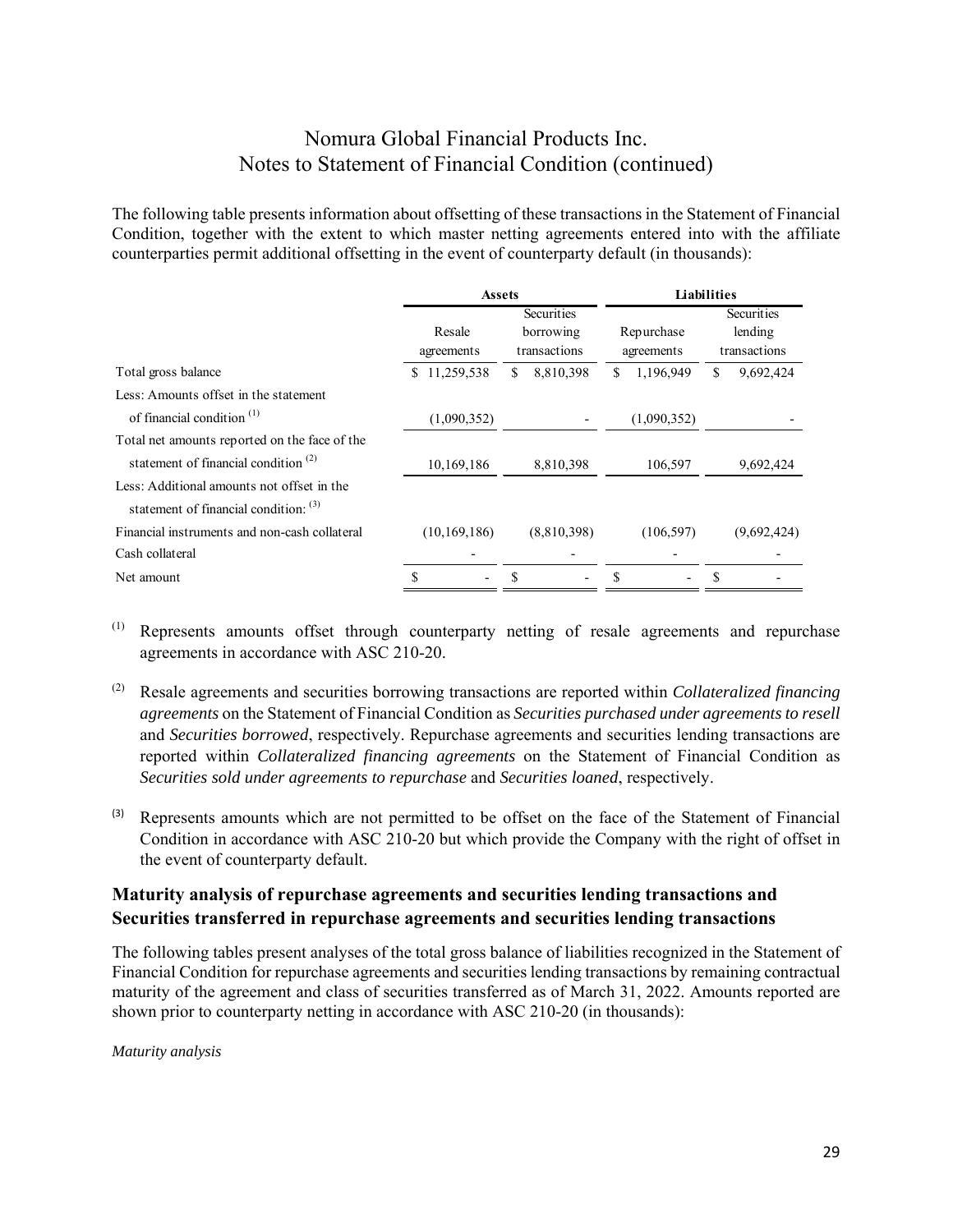The following table presents information about offsetting of these transactions in the Statement of Financial Condition, together with the extent to which master netting agreements entered into with the affiliate counterparties permit additional offsetting in the event of counterparty default (in thousands):

|                                                                                       |                                                                 | <b>Assets</b>   | <b>Liabilities</b>       |                                       |  |  |
|---------------------------------------------------------------------------------------|-----------------------------------------------------------------|-----------------|--------------------------|---------------------------------------|--|--|
|                                                                                       | Securities<br>Resale<br>borrowing<br>transactions<br>agreements |                 | Repurchase<br>agreements | Securities<br>lending<br>transactions |  |  |
| Total gross balance                                                                   | 11,259,538<br>S.                                                | \$<br>8,810,398 | \$<br>1,196,949          | \$<br>9,692,424                       |  |  |
| Less: Amounts offset in the statement                                                 |                                                                 |                 |                          |                                       |  |  |
| of financial condition $(1)$                                                          | (1,090,352)                                                     |                 | (1,090,352)              |                                       |  |  |
| Total net amounts reported on the face of the                                         |                                                                 |                 |                          |                                       |  |  |
| statement of financial condition $(2)$                                                | 10,169,186                                                      | 8,810,398       | 106,597                  | 9,692,424                             |  |  |
| Less: Additional amounts not offset in the<br>statement of financial condition: $(3)$ |                                                                 |                 |                          |                                       |  |  |
| Financial instruments and non-cash collateral                                         | (10, 169, 186)                                                  | (8,810,398)     | (106, 597)               | (9,692,424)                           |  |  |
| Cash collateral                                                                       |                                                                 |                 |                          |                                       |  |  |
| Net amount                                                                            | $\overline{\phantom{a}}$                                        | \$.             | -S                       | \$.                                   |  |  |

(1) Represents amounts offset through counterparty netting of resale agreements and repurchase agreements in accordance with ASC 210-20.

- (2) Resale agreements and securities borrowing transactions are reported within *Collateralized financing agreements* on the Statement of Financial Condition as *Securities purchased under agreements to resell* and *Securities borrowed*, respectively. Repurchase agreements and securities lending transactions are reported within *Collateralized financing agreements* on the Statement of Financial Condition as *Securities sold under agreements to repurchase* and *Securities loaned*, respectively.
- (3) Represents amounts which are not permitted to be offset on the face of the Statement of Financial Condition in accordance with ASC 210-20 but which provide the Company with the right of offset in the event of counterparty default.

### **Maturity analysis of repurchase agreements and securities lending transactions and Securities transferred in repurchase agreements and securities lending transactions**

The following tables present analyses of the total gross balance of liabilities recognized in the Statement of Financial Condition for repurchase agreements and securities lending transactions by remaining contractual maturity of the agreement and class of securities transferred as of March 31, 2022. Amounts reported are shown prior to counterparty netting in accordance with ASC 210-20 (in thousands):

*Maturity analysis*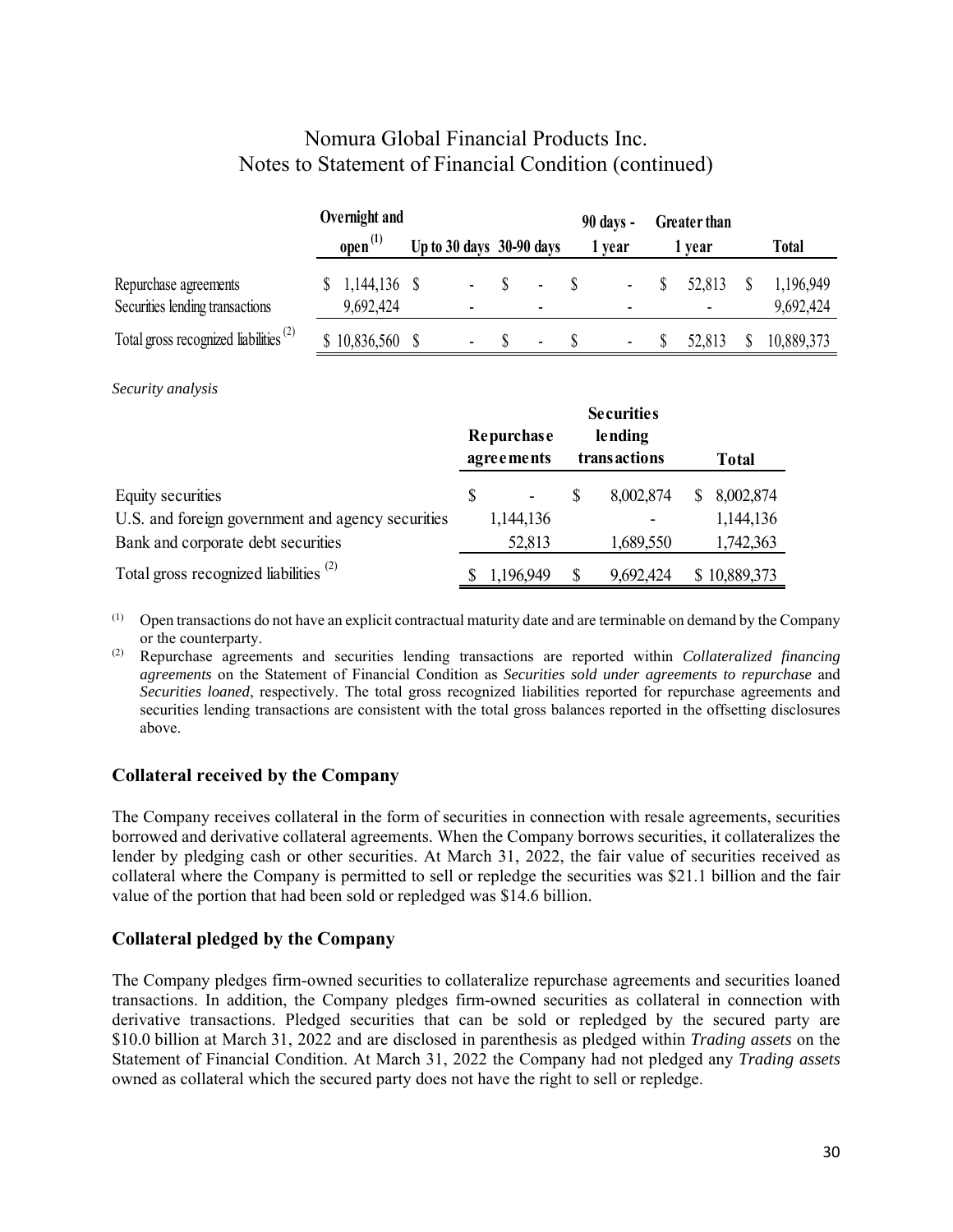|                           |                                 |   |                |   | l vear                   |                                     | vear   |                               | Total                  |
|---------------------------|---------------------------------|---|----------------|---|--------------------------|-------------------------------------|--------|-------------------------------|------------------------|
|                           |                                 |   | $\mathbf{L}$   |   | $\sim$                   |                                     | 52,813 |                               | 1,196,949<br>9,692,424 |
|                           |                                 |   | $\blacksquare$ |   | $\blacksquare$           |                                     |        |                               | 10,889,373             |
| $open^{(1)}$<br>9,692,424 | Overnight and<br>$1,144,136$ \$ | ٠ |                | ۰ | Up to 30 days 30-90 days | 90 days -<br>٠<br>$$10,836,560$ \\$ |        | <b>Greater than</b><br>52,813 |                        |

*Security analysis*

|                                                   | Repurchase<br>agreements     | <b>Securities</b><br>lending<br><b>transactions</b> |    | <b>Total</b> |
|---------------------------------------------------|------------------------------|-----------------------------------------------------|----|--------------|
| Equity securities                                 | $\qquad \qquad \blacksquare$ | 8,002,874                                           | S. | 8,002,874    |
| U.S. and foreign government and agency securities | 1,144,136                    |                                                     |    | 1,144,136    |
| Bank and corporate debt securities                | 52,813                       | 1,689,550                                           |    | 1,742,363    |
| Total gross recognized liabilities $(2)$          | 1,196,949                    | 9,692,424                                           |    | \$10,889,373 |

(1) Open transactions do not have an explicit contractual maturity date and are terminable on demand by the Company or the counterparty.

(2) Repurchase agreements and securities lending transactions are reported within *Collateralized financing agreements* on the Statement of Financial Condition as *Securities sold under agreements to repurchase* and *Securities loaned*, respectively. The total gross recognized liabilities reported for repurchase agreements and securities lending transactions are consistent with the total gross balances reported in the offsetting disclosures above.

### **Collateral received by the Company**

The Company receives collateral in the form of securities in connection with resale agreements, securities borrowed and derivative collateral agreements. When the Company borrows securities, it collateralizes the lender by pledging cash or other securities. At March 31, 2022, the fair value of securities received as collateral where the Company is permitted to sell or repledge the securities was \$21.1 billion and the fair value of the portion that had been sold or repledged was \$14.6 billion.

#### **Collateral pledged by the Company**

The Company pledges firm-owned securities to collateralize repurchase agreements and securities loaned transactions. In addition, the Company pledges firm-owned securities as collateral in connection with derivative transactions. Pledged securities that can be sold or repledged by the secured party are \$10.0 billion at March 31, 2022 and are disclosed in parenthesis as pledged within *Trading assets* on the Statement of Financial Condition. At March 31, 2022 the Company had not pledged any *Trading assets* owned as collateral which the secured party does not have the right to sell or repledge.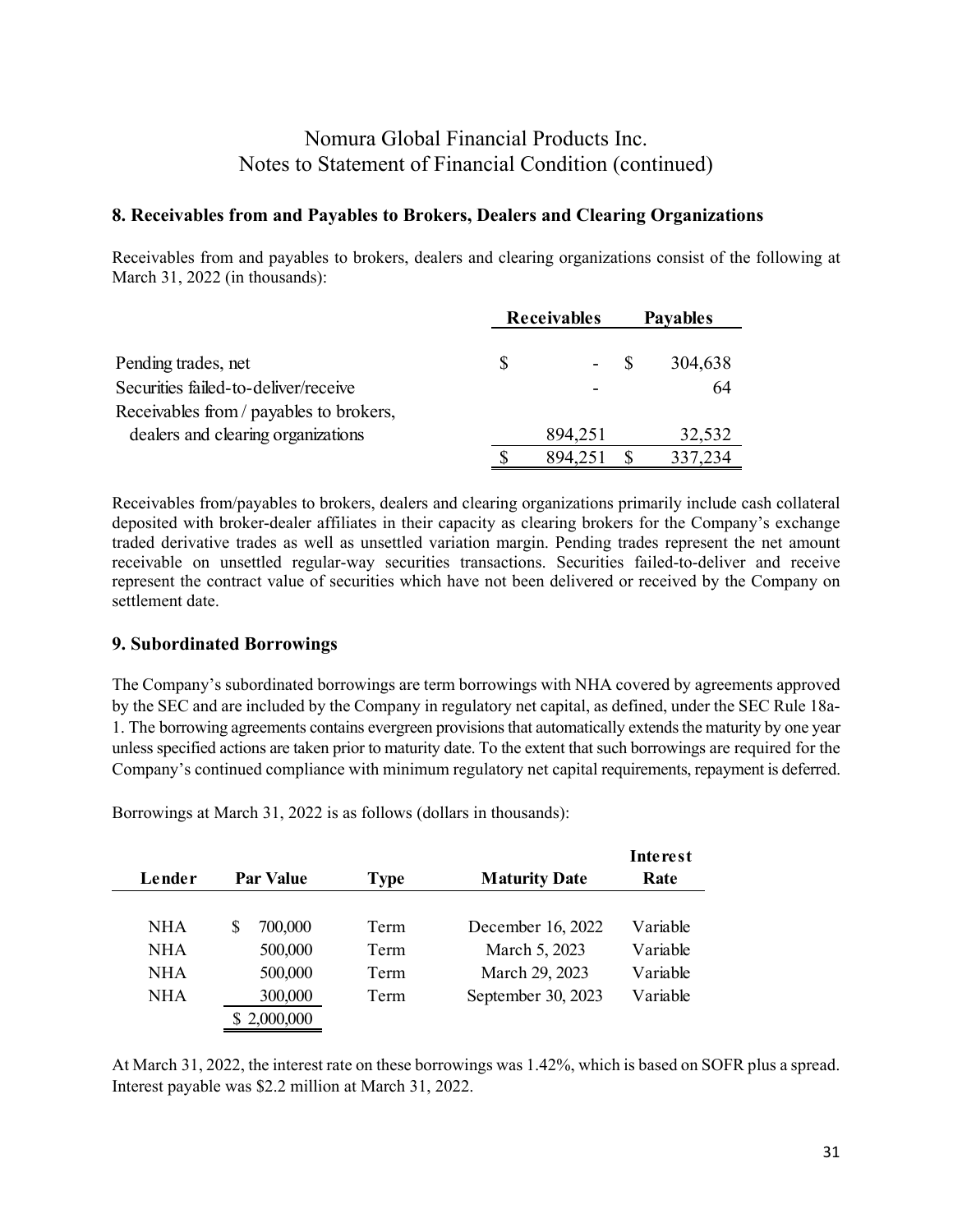### **8. Receivables from and Payables to Brokers, Dealers and Clearing Organizations**

Receivables from and payables to brokers, dealers and clearing organizations consist of the following at March 31, 2022 (in thousands):

|                                         | <b>Receivables</b> | <b>Payables</b> |         |  |
|-----------------------------------------|--------------------|-----------------|---------|--|
|                                         |                    |                 |         |  |
| Pending trades, net                     | \$<br>$\sim 100$   |                 | 304,638 |  |
| Securities failed-to-deliver/receive    |                    |                 | 64      |  |
| Receivables from / payables to brokers, |                    |                 |         |  |
| dealers and clearing organizations      | 894,251            |                 | 32,532  |  |
|                                         | 894,251            |                 | 337,234 |  |

Receivables from/payables to brokers, dealers and clearing organizations primarily include cash collateral deposited with broker-dealer affiliates in their capacity as clearing brokers for the Company's exchange traded derivative trades as well as unsettled variation margin. Pending trades represent the net amount receivable on unsettled regular-way securities transactions. Securities failed-to-deliver and receive represent the contract value of securities which have not been delivered or received by the Company on settlement date.

### **9. Subordinated Borrowings**

The Company's subordinated borrowings are term borrowings with NHA covered by agreements approved by the SEC and are included by the Company in regulatory net capital, as defined, under the SEC Rule 18a-1. The borrowing agreements contains evergreen provisions that automatically extends the maturity by one year unless specified actions are taken prior to maturity date. To the extent that such borrowings are required for the Company's continued compliance with minimum regulatory net capital requirements, repayment is deferred.

Borrowings at March 31, 2022 is as follows (dollars in thousands):

|   |         | <b>Type</b>                     | <b>Maturity Date</b> | <b>Interest</b><br>Rate |
|---|---------|---------------------------------|----------------------|-------------------------|
| S | 700,000 | Term                            | December 16, 2022    | Variable                |
|   | 500,000 | Term                            | March 5, 2023        | Variable                |
|   | 500,000 | Term                            | March 29, 2023       | Variable                |
|   | 300,000 | Term                            | September 30, 2023   | Variable                |
|   |         |                                 |                      |                         |
|   |         | <b>Par Value</b><br>\$2,000,000 |                      |                         |

At March 31, 2022, the interest rate on these borrowings was 1.42%, which is based on SOFR plus a spread. Interest payable was \$2.2 million at March 31, 2022.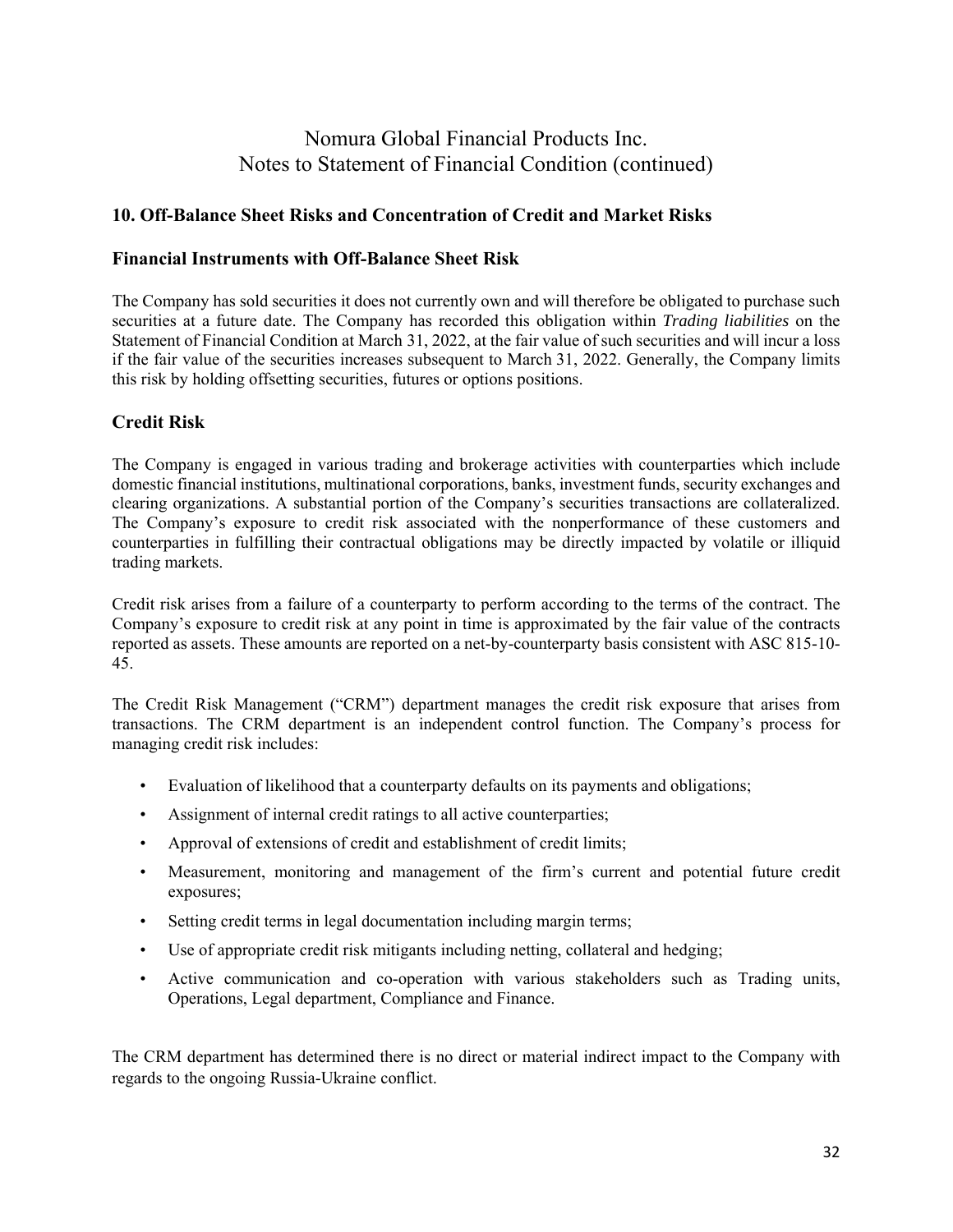### **10. Off-Balance Sheet Risks and Concentration of Credit and Market Risks**

#### **Financial Instruments with Off-Balance Sheet Risk**

The Company has sold securities it does not currently own and will therefore be obligated to purchase such securities at a future date. The Company has recorded this obligation within *Trading liabilities* on the Statement of Financial Condition at March 31, 2022, at the fair value of such securities and will incur a loss if the fair value of the securities increases subsequent to March 31, 2022. Generally, the Company limits this risk by holding offsetting securities, futures or options positions.

#### **Credit Risk**

The Company is engaged in various trading and brokerage activities with counterparties which include domestic financial institutions, multinational corporations, banks, investment funds, security exchanges and clearing organizations. A substantial portion of the Company's securities transactions are collateralized. The Company's exposure to credit risk associated with the nonperformance of these customers and counterparties in fulfilling their contractual obligations may be directly impacted by volatile or illiquid trading markets.

Credit risk arises from a failure of a counterparty to perform according to the terms of the contract. The Company's exposure to credit risk at any point in time is approximated by the fair value of the contracts reported as assets. These amounts are reported on a net-by-counterparty basis consistent with ASC 815-10- 45.

The Credit Risk Management ("CRM") department manages the credit risk exposure that arises from transactions. The CRM department is an independent control function. The Company's process for managing credit risk includes:

- Evaluation of likelihood that a counterparty defaults on its payments and obligations;
- Assignment of internal credit ratings to all active counterparties;
- Approval of extensions of credit and establishment of credit limits;
- Measurement, monitoring and management of the firm's current and potential future credit exposures;
- Setting credit terms in legal documentation including margin terms;
- Use of appropriate credit risk mitigants including netting, collateral and hedging;
- Active communication and co-operation with various stakeholders such as Trading units, Operations, Legal department, Compliance and Finance.

The CRM department has determined there is no direct or material indirect impact to the Company with regards to the ongoing Russia-Ukraine conflict.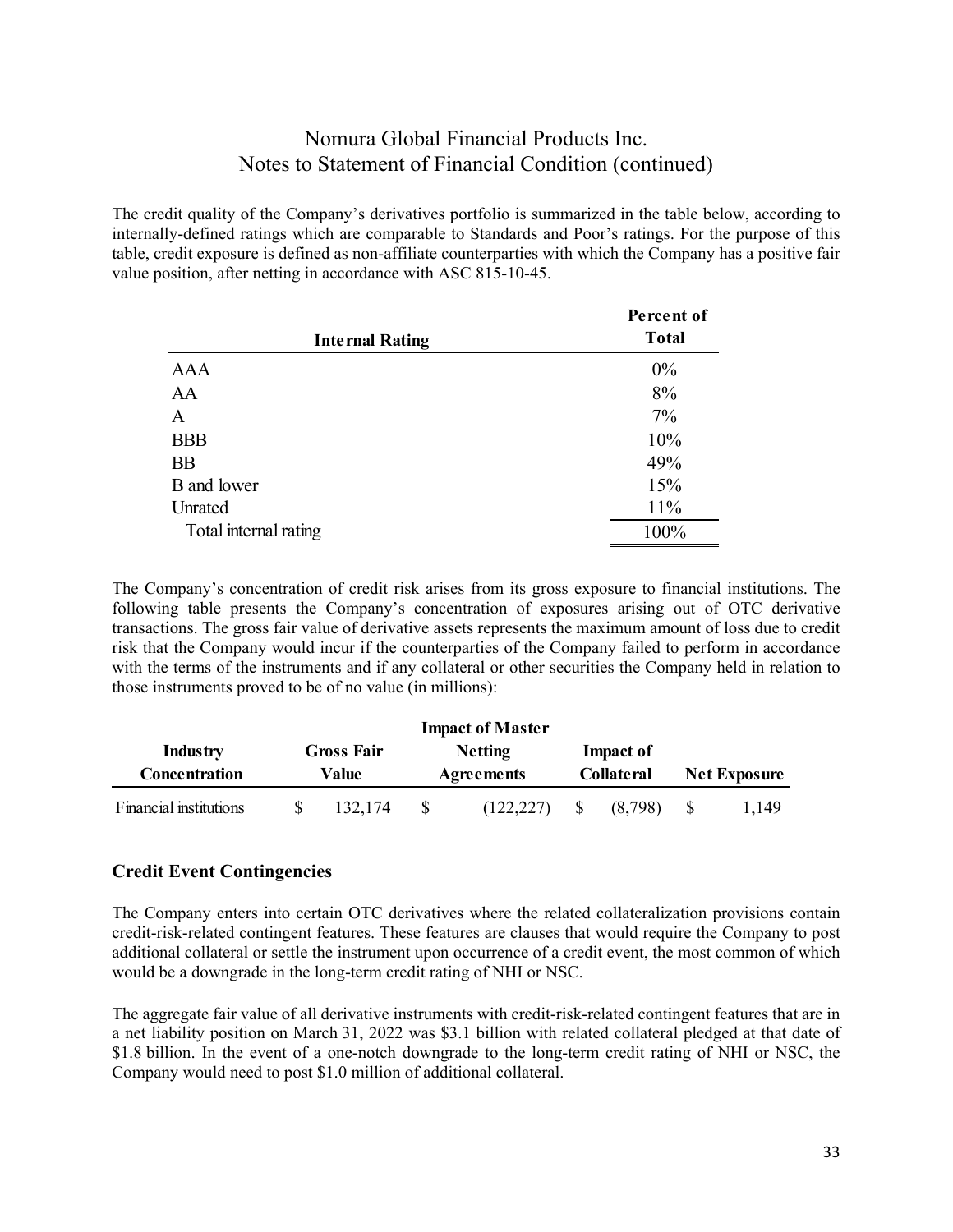The credit quality of the Company's derivatives portfolio is summarized in the table below, according to internally-defined ratings which are comparable to Standards and Poor's ratings. For the purpose of this table, credit exposure is defined as non-affiliate counterparties with which the Company has a positive fair value position, after netting in accordance with ASC 815-10-45.

|                        | Percent of   |
|------------------------|--------------|
| <b>Internal Rating</b> | <b>Total</b> |
| <b>AAA</b>             | $0\%$        |
| AA                     | 8%           |
| A                      | 7%           |
| <b>BBB</b>             | 10%          |
| <b>BB</b>              | 49%          |
| <b>B</b> and lower     | 15%          |
| Unrated                | 11%          |
| Total internal rating  | 100%         |
|                        |              |

The Company's concentration of credit risk arises from its gross exposure to financial institutions. The following table presents the Company's concentration of exposures arising out of OTC derivative transactions. The gross fair value of derivative assets represents the maximum amount of loss due to credit risk that the Company would incur if the counterparties of the Company failed to perform in accordance with the terms of the instruments and if any collateral or other securities the Company held in relation to those instruments proved to be of no value (in millions):

| <b>Impact of Master</b> |  |                   |  |                   |  |                   |  |                     |
|-------------------------|--|-------------------|--|-------------------|--|-------------------|--|---------------------|
| Industry                |  | <b>Gross Fair</b> |  | <b>Netting</b>    |  | <b>Impact of</b>  |  |                     |
| Concentration           |  | Value             |  | <b>Agreements</b> |  | <b>Collateral</b> |  | <b>Net Exposure</b> |
| Financial institutions  |  | 132,174           |  | (122, 227)        |  | (8,798)           |  | 1,149               |

### **Credit Event Contingencies**

The Company enters into certain OTC derivatives where the related collateralization provisions contain credit-risk-related contingent features. These features are clauses that would require the Company to post additional collateral or settle the instrument upon occurrence of a credit event, the most common of which would be a downgrade in the long-term credit rating of NHI or NSC.

The aggregate fair value of all derivative instruments with credit-risk-related contingent features that are in a net liability position on March 31, 2022 was \$3.1 billion with related collateral pledged at that date of \$1.8 billion. In the event of a one-notch downgrade to the long-term credit rating of NHI or NSC, the Company would need to post \$1.0 million of additional collateral.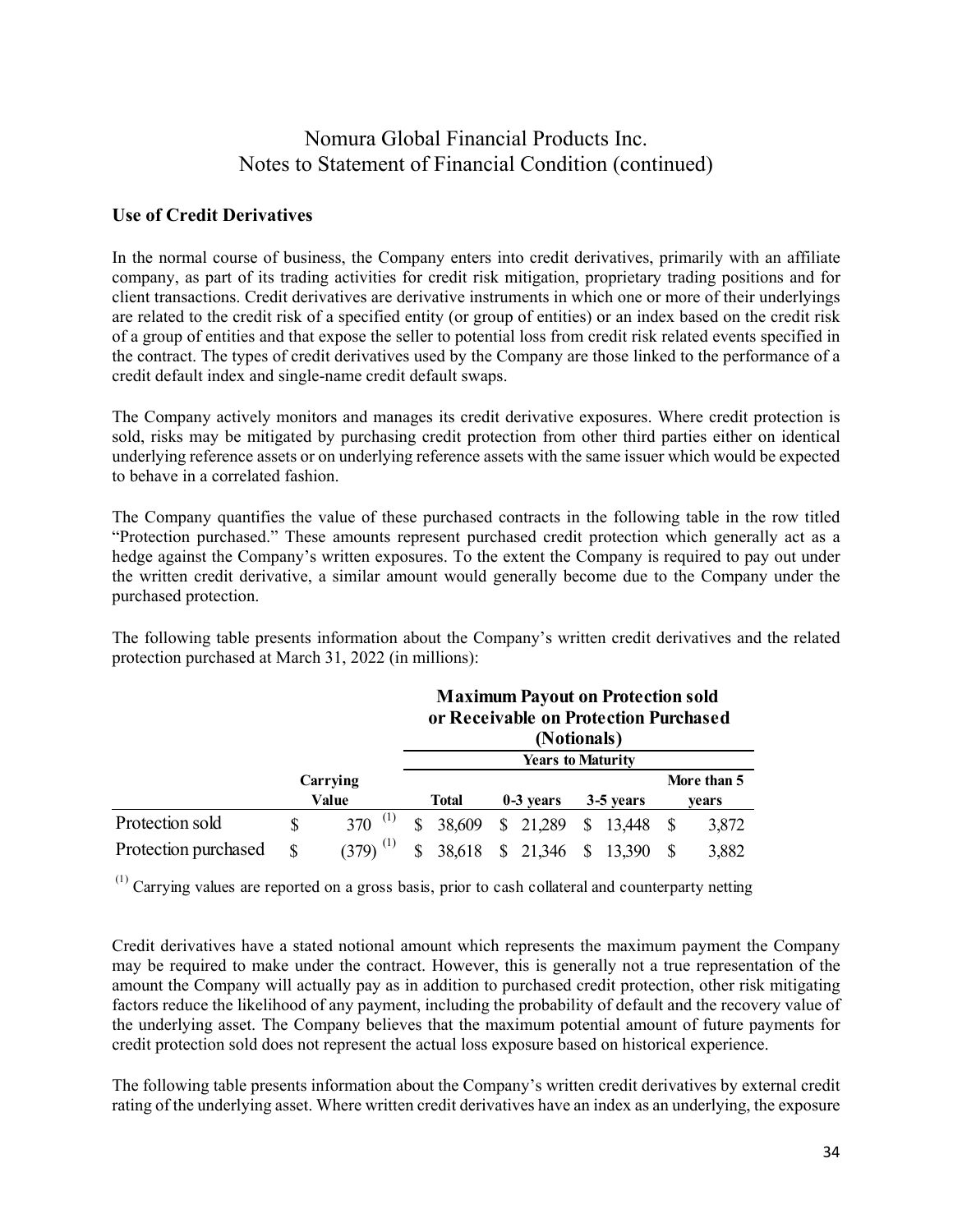### **Use of Credit Derivatives**

In the normal course of business, the Company enters into credit derivatives, primarily with an affiliate company, as part of its trading activities for credit risk mitigation, proprietary trading positions and for client transactions. Credit derivatives are derivative instruments in which one or more of their underlyings are related to the credit risk of a specified entity (or group of entities) or an index based on the credit risk of a group of entities and that expose the seller to potential loss from credit risk related events specified in the contract. The types of credit derivatives used by the Company are those linked to the performance of a credit default index and single-name credit default swaps.

The Company actively monitors and manages its credit derivative exposures. Where credit protection is sold, risks may be mitigated by purchasing credit protection from other third parties either on identical underlying reference assets or on underlying reference assets with the same issuer which would be expected to behave in a correlated fashion.

The Company quantifies the value of these purchased contracts in the following table in the row titled "Protection purchased." These amounts represent purchased credit protection which generally act as a hedge against the Company's written exposures. To the extent the Company is required to pay out under the written credit derivative, a similar amount would generally become due to the Company under the purchased protection.

The following table presents information about the Company's written credit derivatives and the related protection purchased at March 31, 2022 (in millions):

|                      |          |               |  | or Receivable on Protection Purchased |  | <b>Maximum Payout on Protection sold</b><br>(Notionals) |              |           |       |             |
|----------------------|----------|---------------|--|---------------------------------------|--|---------------------------------------------------------|--------------|-----------|-------|-------------|
|                      |          |               |  |                                       |  | <b>Years to Maturity</b>                                |              |           |       |             |
|                      | Carrying |               |  |                                       |  |                                                         |              |           |       | More than 5 |
|                      | Value    |               |  | <b>Total</b><br>$0-3$ vears           |  |                                                         |              | 3-5 years | vears |             |
| Protection sold      | S        | $370^{(1)}$   |  | 38,609                                |  | \$21,289                                                | $\mathbb{S}$ | 13,448    |       | 3,872       |
| Protection purchased | \$       | $(379)^{(1)}$ |  | 38,618                                |  |                                                         |              | 13,390    |       | 3,882       |

<sup>(1)</sup> Carrying values are reported on a gross basis, prior to cash collateral and counterparty netting

Credit derivatives have a stated notional amount which represents the maximum payment the Company may be required to make under the contract. However, this is generally not a true representation of the amount the Company will actually pay as in addition to purchased credit protection, other risk mitigating factors reduce the likelihood of any payment, including the probability of default and the recovery value of the underlying asset. The Company believes that the maximum potential amount of future payments for credit protection sold does not represent the actual loss exposure based on historical experience.

The following table presents information about the Company's written credit derivatives by external credit rating of the underlying asset. Where written credit derivatives have an index as an underlying, the exposure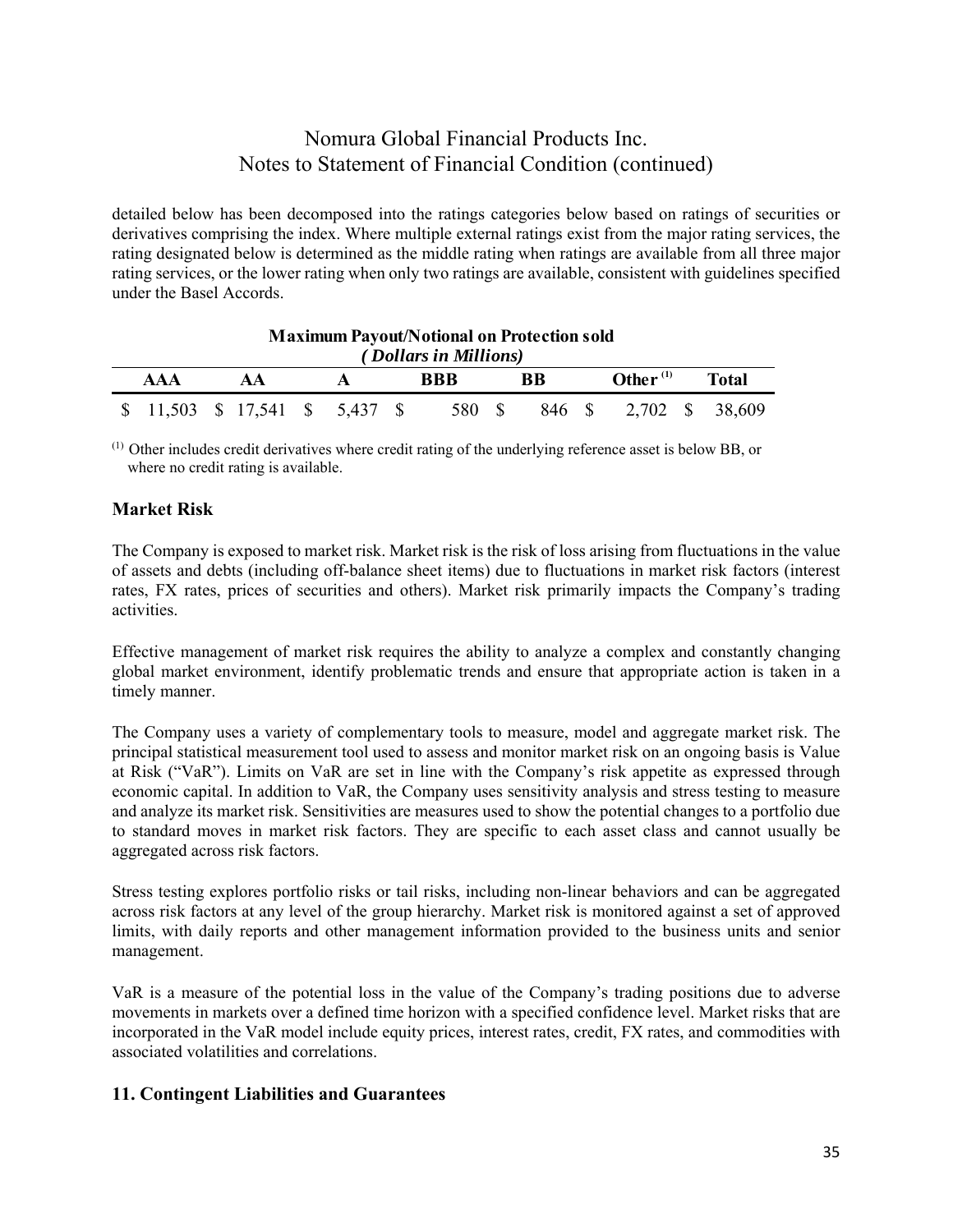detailed below has been decomposed into the ratings categories below based on ratings of securities or derivatives comprising the index. Where multiple external ratings exist from the major rating services, the rating designated below is determined as the middle rating when ratings are available from all three major rating services, or the lower rating when only two ratings are available, consistent with guidelines specified under the Basel Accords.

| <i>(Dollars in Millions)</i>                 |  |  |  |  |  |            |  |           |  |                        |  |       |
|----------------------------------------------|--|--|--|--|--|------------|--|-----------|--|------------------------|--|-------|
| AAA                                          |  |  |  |  |  | <b>BBB</b> |  | <b>BB</b> |  | Other $(1)$            |  | Total |
| $$11,503 \quad $17,541 \quad $5,437 \quad $$ |  |  |  |  |  | 580 \$     |  |           |  | 846 \$ 2,702 \$ 38,609 |  |       |

# **Maximum Payout/Notional on Protection sold**

(1) Other includes credit derivatives where credit rating of the underlying reference asset is below BB, or where no credit rating is available.

### **Market Risk**

The Company is exposed to market risk. Market risk is the risk of loss arising from fluctuations in the value of assets and debts (including off-balance sheet items) due to fluctuations in market risk factors (interest rates, FX rates, prices of securities and others). Market risk primarily impacts the Company's trading activities.

Effective management of market risk requires the ability to analyze a complex and constantly changing global market environment, identify problematic trends and ensure that appropriate action is taken in a timely manner.

The Company uses a variety of complementary tools to measure, model and aggregate market risk. The principal statistical measurement tool used to assess and monitor market risk on an ongoing basis is Value at Risk ("VaR"). Limits on VaR are set in line with the Company's risk appetite as expressed through economic capital. In addition to VaR, the Company uses sensitivity analysis and stress testing to measure and analyze its market risk. Sensitivities are measures used to show the potential changes to a portfolio due to standard moves in market risk factors. They are specific to each asset class and cannot usually be aggregated across risk factors.

Stress testing explores portfolio risks or tail risks, including non-linear behaviors and can be aggregated across risk factors at any level of the group hierarchy. Market risk is monitored against a set of approved limits, with daily reports and other management information provided to the business units and senior management.

VaR is a measure of the potential loss in the value of the Company's trading positions due to adverse movements in markets over a defined time horizon with a specified confidence level. Market risks that are incorporated in the VaR model include equity prices, interest rates, credit, FX rates, and commodities with associated volatilities and correlations.

#### **11. Contingent Liabilities and Guarantees**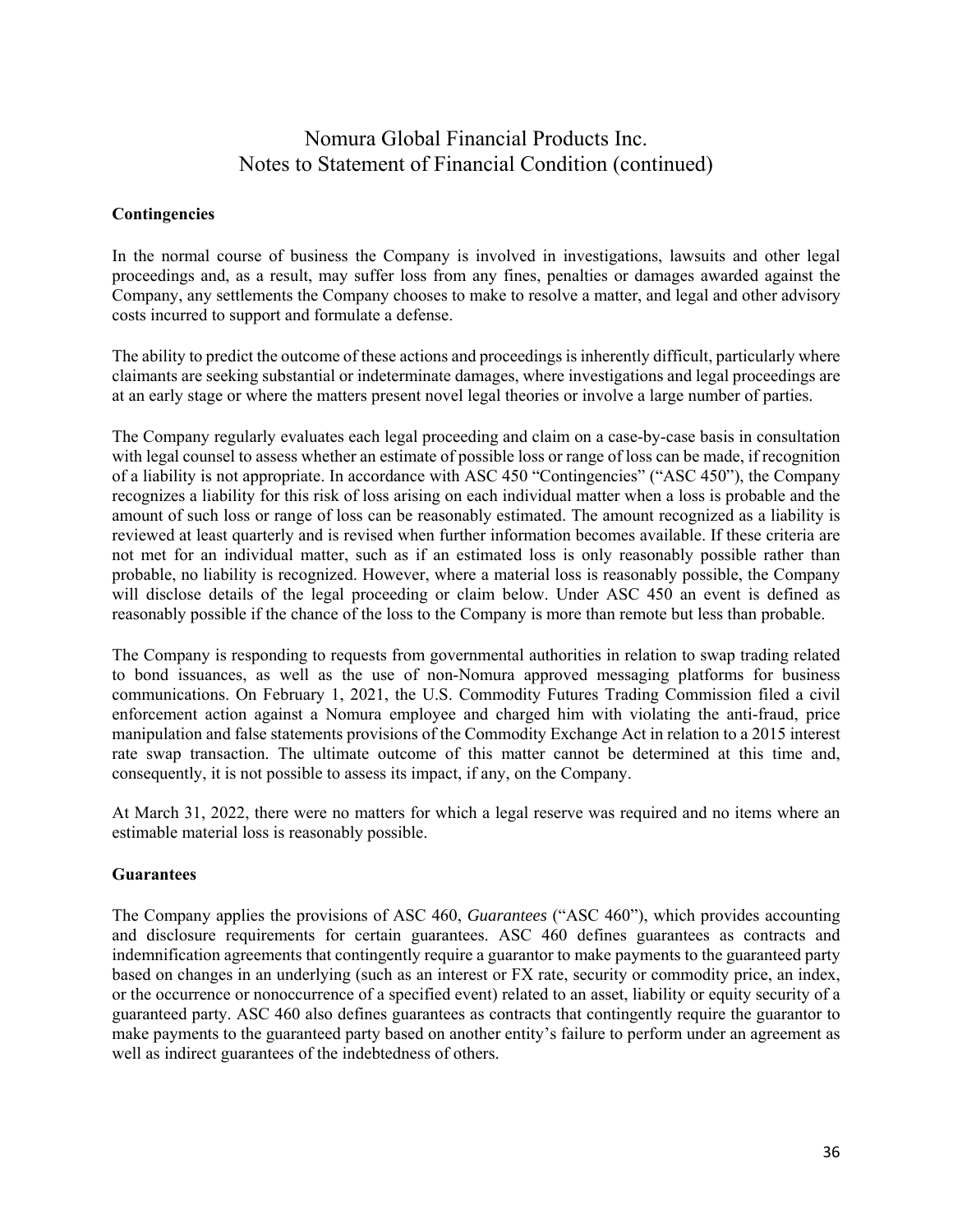#### **Contingencies**

In the normal course of business the Company is involved in investigations, lawsuits and other legal proceedings and, as a result, may suffer loss from any fines, penalties or damages awarded against the Company, any settlements the Company chooses to make to resolve a matter, and legal and other advisory costs incurred to support and formulate a defense.

The ability to predict the outcome of these actions and proceedings is inherently difficult, particularly where claimants are seeking substantial or indeterminate damages, where investigations and legal proceedings are at an early stage or where the matters present novel legal theories or involve a large number of parties.

The Company regularly evaluates each legal proceeding and claim on a case-by-case basis in consultation with legal counsel to assess whether an estimate of possible loss or range of loss can be made, if recognition of a liability is not appropriate. In accordance with ASC 450 "Contingencies" ("ASC 450"), the Company recognizes a liability for this risk of loss arising on each individual matter when a loss is probable and the amount of such loss or range of loss can be reasonably estimated. The amount recognized as a liability is reviewed at least quarterly and is revised when further information becomes available. If these criteria are not met for an individual matter, such as if an estimated loss is only reasonably possible rather than probable, no liability is recognized. However, where a material loss is reasonably possible, the Company will disclose details of the legal proceeding or claim below. Under ASC 450 an event is defined as reasonably possible if the chance of the loss to the Company is more than remote but less than probable.

The Company is responding to requests from governmental authorities in relation to swap trading related to bond issuances, as well as the use of non-Nomura approved messaging platforms for business communications. On February 1, 2021, the U.S. Commodity Futures Trading Commission filed a civil enforcement action against a Nomura employee and charged him with violating the anti-fraud, price manipulation and false statements provisions of the Commodity Exchange Act in relation to a 2015 interest rate swap transaction. The ultimate outcome of this matter cannot be determined at this time and, consequently, it is not possible to assess its impact, if any, on the Company.

At March 31, 2022, there were no matters for which a legal reserve was required and no items where an estimable material loss is reasonably possible.

#### **Guarantees**

The Company applies the provisions of ASC 460, *Guarantees* ("ASC 460"), which provides accounting and disclosure requirements for certain guarantees. ASC 460 defines guarantees as contracts and indemnification agreements that contingently require a guarantor to make payments to the guaranteed party based on changes in an underlying (such as an interest or FX rate, security or commodity price, an index, or the occurrence or nonoccurrence of a specified event) related to an asset, liability or equity security of a guaranteed party. ASC 460 also defines guarantees as contracts that contingently require the guarantor to make payments to the guaranteed party based on another entity's failure to perform under an agreement as well as indirect guarantees of the indebtedness of others.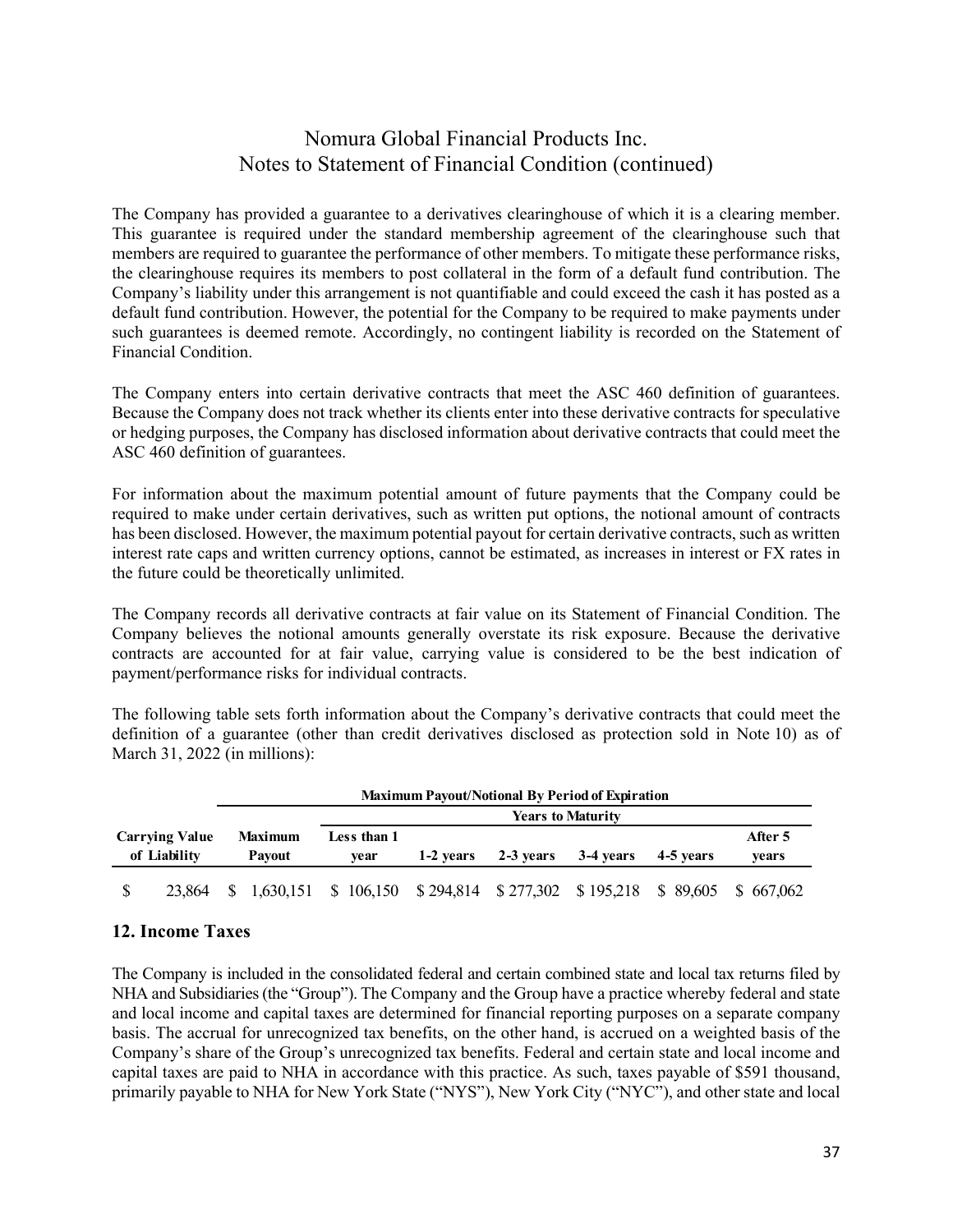The Company has provided a guarantee to a derivatives clearinghouse of which it is a clearing member. This guarantee is required under the standard membership agreement of the clearinghouse such that members are required to guarantee the performance of other members. To mitigate these performance risks, the clearinghouse requires its members to post collateral in the form of a default fund contribution. The Company's liability under this arrangement is not quantifiable and could exceed the cash it has posted as a default fund contribution. However, the potential for the Company to be required to make payments under such guarantees is deemed remote. Accordingly, no contingent liability is recorded on the Statement of Financial Condition.

The Company enters into certain derivative contracts that meet the ASC 460 definition of guarantees. Because the Company does not track whether its clients enter into these derivative contracts for speculative or hedging purposes, the Company has disclosed information about derivative contracts that could meet the ASC 460 definition of guarantees.

For information about the maximum potential amount of future payments that the Company could be required to make under certain derivatives, such as written put options, the notional amount of contracts has been disclosed. However, the maximum potential payout for certain derivative contracts, such as written interest rate caps and written currency options, cannot be estimated, as increases in interest or FX rates in the future could be theoretically unlimited.

The Company records all derivative contracts at fair value on its Statement of Financial Condition. The Company believes the notional amounts generally overstate its risk exposure. Because the derivative contracts are accounted for at fair value, carrying value is considered to be the best indication of payment/performance risks for individual contracts.

The following table sets forth information about the Company's derivative contracts that could meet the definition of a guarantee (other than credit derivatives disclosed as protection sold in Note 10) as of March 31, 2022 (in millions):

|                       | <b>Maximum Payout/Notional By Period of Expiration</b>                 |             |           |           |           |           |         |  |  |  |
|-----------------------|------------------------------------------------------------------------|-------------|-----------|-----------|-----------|-----------|---------|--|--|--|
|                       | <b>Years to Maturity</b>                                               |             |           |           |           |           |         |  |  |  |
| <b>Carrying Value</b> | <b>Maximum</b>                                                         | Less than 1 |           |           |           |           | After 5 |  |  |  |
| of Liability          | <b>Pavout</b>                                                          | vear        | 1-2 years | 2-3 years | 3-4 years | 4-5 vears | vears   |  |  |  |
| 23.864                | \$1,630,151 \$106,150 \$294,814 \$277,302 \$195,218 \$89,605 \$667,062 |             |           |           |           |           |         |  |  |  |

### **12. Income Taxes**

The Company is included in the consolidated federal and certain combined state and local tax returns filed by NHA and Subsidiaries (the "Group"). The Company and the Group have a practice whereby federal and state and local income and capital taxes are determined for financial reporting purposes on a separate company basis. The accrual for unrecognized tax benefits, on the other hand, is accrued on a weighted basis of the Company's share of the Group's unrecognized tax benefits. Federal and certain state and local income and capital taxes are paid to NHA in accordance with this practice. As such, taxes payable of \$591 thousand, primarily payable to NHA for New York State ("NYS"), New York City ("NYC"), and other state and local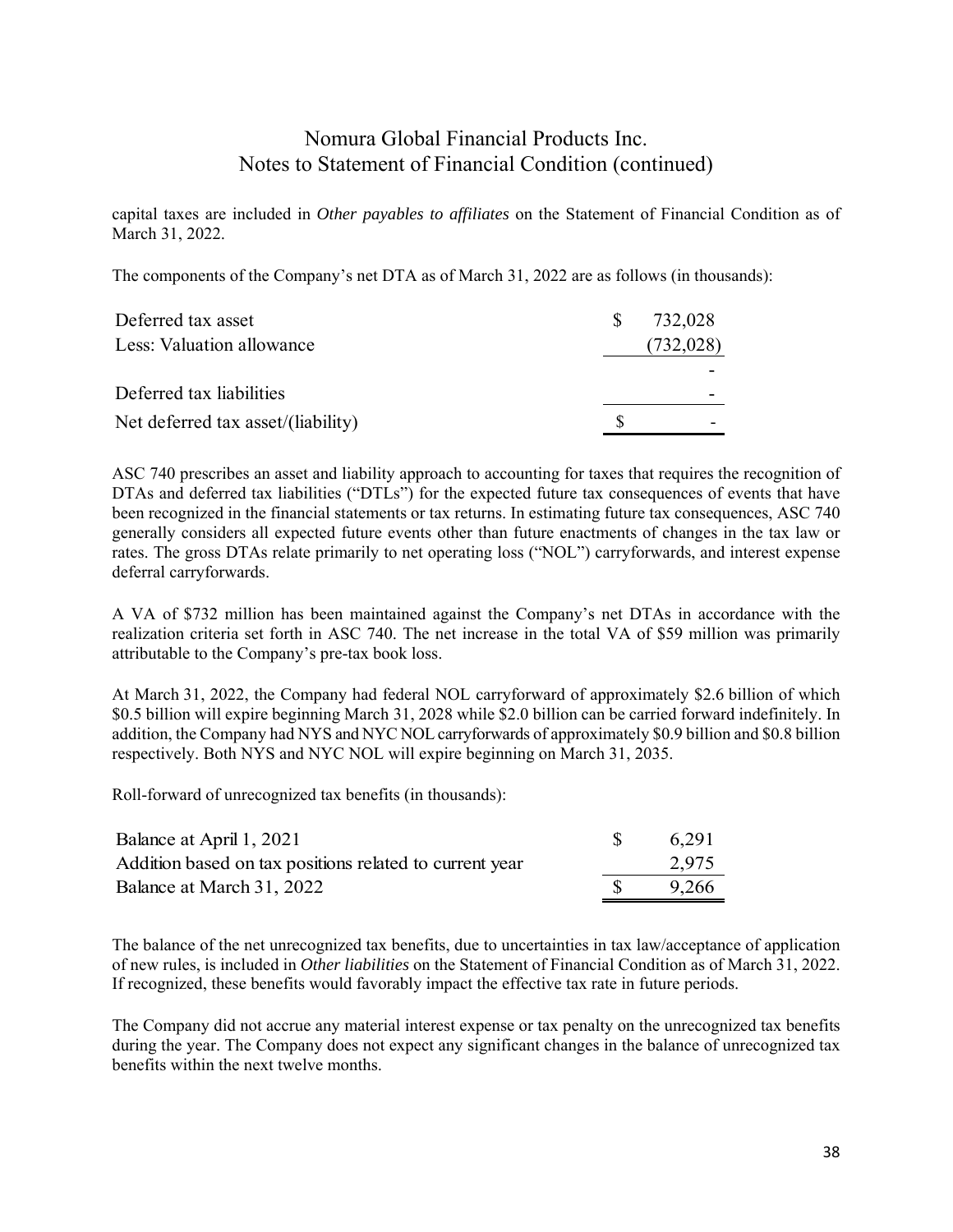capital taxes are included in *Other payables to affiliates* on the Statement of Financial Condition as of March 31, 2022.

The components of the Company's net DTA as of March 31, 2022 are as follows (in thousands):

| Deferred tax asset                 | S | 732,028    |
|------------------------------------|---|------------|
| Less: Valuation allowance          |   | (732, 028) |
|                                    |   |            |
| Deferred tax liabilities           |   |            |
| Net deferred tax asset/(liability) |   |            |

ASC 740 prescribes an asset and liability approach to accounting for taxes that requires the recognition of DTAs and deferred tax liabilities ("DTLs") for the expected future tax consequences of events that have been recognized in the financial statements or tax returns. In estimating future tax consequences, ASC 740 generally considers all expected future events other than future enactments of changes in the tax law or rates. The gross DTAs relate primarily to net operating loss ("NOL") carryforwards, and interest expense deferral carryforwards.

A VA of \$732 million has been maintained against the Company's net DTAs in accordance with the realization criteria set forth in ASC 740. The net increase in the total VA of \$59 million was primarily attributable to the Company's pre-tax book loss.

At March 31, 2022, the Company had federal NOL carryforward of approximately \$2.6 billion of which \$0.5 billion will expire beginning March 31, 2028 while \$2.0 billion can be carried forward indefinitely. In addition, the Company had NYS and NYC NOL carryforwards of approximately \$0.9 billion and \$0.8 billion respectively. Both NYS and NYC NOL will expire beginning on March 31, 2035.

Roll-forward of unrecognized tax benefits (in thousands):

| Balance at April 1, 2021                                | 6.291 |
|---------------------------------------------------------|-------|
| Addition based on tax positions related to current year | 2.975 |
| Balance at March 31, 2022                               | 9,266 |

The balance of the net unrecognized tax benefits, due to uncertainties in tax law/acceptance of application of new rules, is included in *Other liabilities* on the Statement of Financial Condition as of March 31, 2022. If recognized, these benefits would favorably impact the effective tax rate in future periods.

The Company did not accrue any material interest expense or tax penalty on the unrecognized tax benefits during the year. The Company does not expect any significant changes in the balance of unrecognized tax benefits within the next twelve months.